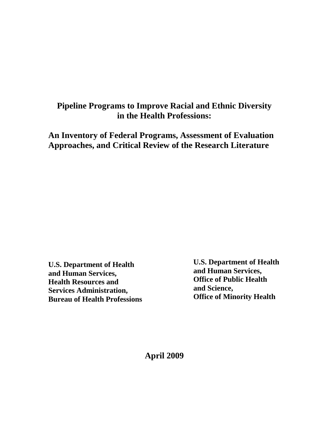# **Pipeline Programs to Improve Racial and Ethnic Diversity in the Health Professions:**

**An Inventory of Federal Programs, Assessment of Evaluation Approaches, and Critical Review of the Research Literature**

**U.S. Department of Health and Human Services, Health Resources and Services Administration, Bureau of Health Professions** **U.S. Department of Health and Human Services, Office of Public Health and Science, Office of Minority Health**

**April 2009**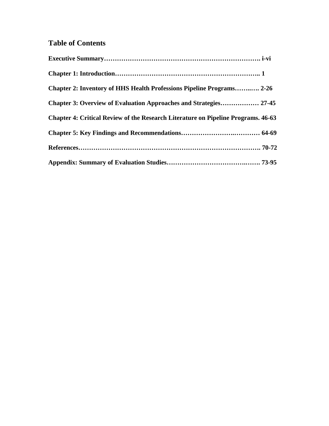# **Table of Contents**

| <b>Chapter 2: Inventory of HHS Health Professions Pipeline Programs 2-26</b>      |  |
|-----------------------------------------------------------------------------------|--|
| <b>Chapter 3: Overview of Evaluation Approaches and Strategies 27-45</b>          |  |
| Chapter 4: Critical Review of the Research Literature on Pipeline Programs. 46-63 |  |
|                                                                                   |  |
|                                                                                   |  |
|                                                                                   |  |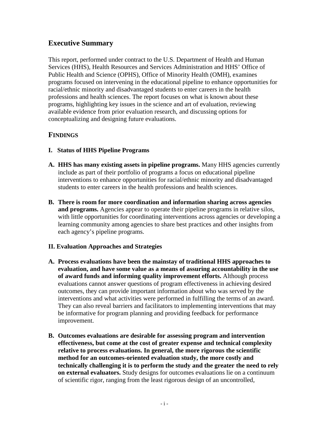# **Executive Summary**

This report, performed under contract to the U.S. Department of Health and Human Services (HHS), Health Resources and Services Administration and HHS' Office of Public Health and Science (OPHS), Office of Minority Health (OMH), examines programs focused on intervening in the educational pipeline to enhance opportunities for racial/ethnic minority and disadvantaged students to enter careers in the health professions and health sciences. The report focuses on what is known about these programs, highlighting key issues in the science and art of evaluation, reviewing available evidence from prior evaluation research, and discussing options for conceptualizing and designing future evaluations.

# **FINDINGS**

- **I. Status of HHS Pipeline Programs**
- **A. HHS has many existing assets in pipeline programs.** Many HHS agencies currently include as part of their portfolio of programs a focus on educational pipeline interventions to enhance opportunities for racial/ethnic minority and disadvantaged students to enter careers in the health professions and health sciences.
- **B. There is room for more coordination and information sharing across agencies and programs.** Agencies appear to operate their pipeline programs in relative silos, with little opportunities for coordinating interventions across agencies or developing a learning community among agencies to share best practices and other insights from each agency's pipeline programs.

#### **II. Evaluation Approaches and Strategies**

- **A. Process evaluations have been the mainstay of traditional HHS approaches to evaluation, and have some value as a means of assuring accountability in the use of award funds and informing quality improvement efforts.** Although process evaluations cannot answer questions of program effectiveness in achieving desired outcomes, they can provide important information about who was served by the interventions and what activities were performed in fulfilling the terms of an award. They can also reveal barriers and facilitators to implementing interventions that may be informative for program planning and providing feedback for performance improvement.
- **B. Outcomes evaluations are desirable for assessing program and intervention effectiveness, but come at the cost of greater expense and technical complexity relative to process evaluations. In general, the more rigorous the scientific method for an outcomes-oriented evaluation study, the more costly and technically challenging it is to perform the study and the greater the need to rely on external evaluators.** Study designs for outcomes evaluations lie on a continuum of scientific rigor, ranging from the least rigorous design of an uncontrolled,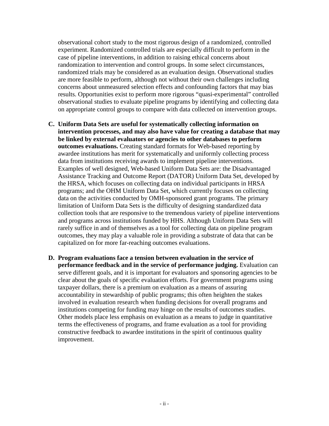observational cohort study to the most rigorous design of a randomized, controlled experiment. Randomized controlled trials are especially difficult to perform in the case of pipeline interventions, in addition to raising ethical concerns about randomization to intervention and control groups. In some select circumstances, randomized trials may be considered as an evaluation design. Observational studies are more feasible to perform, although not without their own challenges including concerns about unmeasured selection effects and confounding factors that may bias results. Opportunities exist to perform more rigorous "quasi-experimental" controlled observational studies to evaluate pipeline programs by identifying and collecting data on appropriate control groups to compare with data collected on intervention groups.

- **C. Uniform Data Sets are useful for systematically collecting information on intervention processes, and may also have value for creating a database that may be linked by external evaluators or agencies to other databases to perform outcomes evaluations.** Creating standard formats for Web-based reporting by awardee institutions has merit for systematically and uniformly collecting process data from institutions receiving awards to implement pipeline interventions. Examples of well designed, Web-based Uniform Data Sets are: the Disadvantaged Assistance Tracking and Outcome Report (DATOR) Uniform Data Set, developed by the HRSA, which focuses on collecting data on individual participants in HRSA programs; and the OHM Uniform Data Set, which currently focuses on collecting data on the activities conducted by OMH-sponsored grant programs. The primary limitation of Uniform Data Sets is the difficulty of designing standardized data collection tools that are responsive to the tremendous variety of pipeline interventions and programs across institutions funded by HHS. Although Uniform Data Sets will rarely suffice in and of themselves as a tool for collecting data on pipeline program outcomes, they may play a valuable role in providing a substrate of data that can be capitalized on for more far-reaching outcomes evaluations.
- **D. Program evaluations face a tension between evaluation in the service of performance feedback and in the service of performance judging.** Evaluation can serve different goals, and it is important for evaluators and sponsoring agencies to be clear about the goals of specific evaluation efforts. For government programs using taxpayer dollars, there is a premium on evaluation as a means of assuring accountability in stewardship of public programs; this often heighten the stakes involved in evaluation research when funding decisions for overall programs and institutions competing for funding may hinge on the results of outcomes studies. Other models place less emphasis on evaluation as a means to judge in quantitative terms the effectiveness of programs, and frame evaluation as a tool for providing constructive feedback to awardee institutions in the spirit of continuous quality improvement.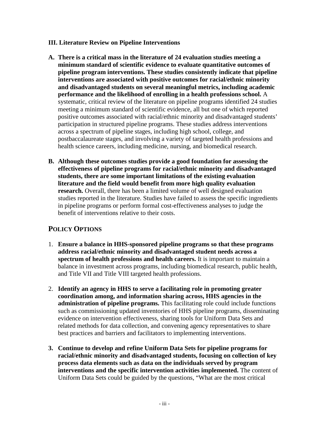#### **III. Literature Review on Pipeline Interventions**

- **A. There is a critical mass in the literature of 24 evaluation studies meeting a minimum standard of scientific evidence to evaluate quantitative outcomes of pipeline program interventions. These studies consistently indicate that pipeline interventions are associated with positive outcomes for racial/ethnic minority and disadvantaged students on several meaningful metrics, including academic performance and the likelihood of enrolling in a health professions school.** A systematic, critical review of the literature on pipeline programs identified 24 studies meeting a minimum standard of scientific evidence, all but one of which reported positive outcomes associated with racial/ethnic minority and disadvantaged students' participation in structured pipeline programs. These studies address interventions across a spectrum of pipeline stages, including high school, college, and postbaccalaureate stages, and involving a variety of targeted health professions and health science careers, including medicine, nursing, and biomedical research.
- **B. Although these outcomes studies provide a good foundation for assessing the effectiveness of pipeline programs for racial/ethnic minority and disadvantaged students, there are some important limitations of the existing evaluation literature and the field would benefit from more high quality evaluation research.** Overall, there has been a limited volume of well designed evaluation studies reported in the literature. Studies have failed to assess the specific ingredients in pipeline programs or perform formal cost-effectiveness analyses to judge the benefit of interventions relative to their costs.

# **POLICY OPTIONS**

- 1. **Ensure a balance in HHS-sponsored pipeline programs so that these programs address racial/ethnic minority and disadvantaged student needs across a spectrum of health professions and health careers.** It is important to maintain a balance in investment across programs, including biomedical research, public health, and Title VII and Title VIII targeted health professions.
- 2. **Identify an agency in HHS to serve a facilitating role in promoting greater coordination among, and information sharing across, HHS agencies in the administration of pipeline programs.** This facilitating role could include functions such as commissioning updated inventories of HHS pipeline programs, disseminating evidence on intervention effectiveness, sharing tools for Uniform Data Sets and related methods for data collection, and convening agency representatives to share best practices and barriers and facilitators to implementing interventions.
- **3. Continue to develop and refine Uniform Data Sets for pipeline programs for racial/ethnic minority and disadvantaged students, focusing on collection of key process data elements such as data on the individuals served by program interventions and the specific intervention activities implemented.** The content of Uniform Data Sets could be guided by the questions, "What are the most critical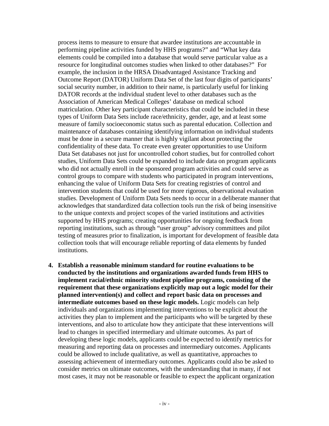process items to measure to ensure that awardee institutions are accountable in performing pipeline activities funded by HHS programs?" and "What key data elements could be compiled into a database that would serve particular value as a resource for longitudinal outcomes studies when linked to other databases?" For example, the inclusion in the HRSA Disadvantaged Assistance Tracking and Outcome Report (DATOR) Uniform Data Set of the last four digits of participants' social security number, in addition to their name, is particularly useful for linking DATOR records at the individual student level to other databases such as the Association of American Medical Colleges' database on medical school matriculation. Other key participant characteristics that could be included in these types of Uniform Data Sets include race/ethnicity, gender, age, and at least some measure of family socioeconomic status such as parental education. Collection and maintenance of databases containing identifying information on individual students must be done in a secure manner that is highly vigilant about protecting the confidentiality of these data. To create even greater opportunities to use Uniform Data Set databases not just for uncontrolled cohort studies, but for controlled cohort studies, Uniform Data Sets could be expanded to include data on program applicants who did not actually enroll in the sponsored program activities and could serve as control groups to compare with students who participated in program interventions, enhancing the value of Uniform Data Sets for creating registries of control and intervention students that could be used for more rigorous, observational evaluation studies. Development of Uniform Data Sets needs to occur in a deliberate manner that acknowledges that standardized data collection tools run the risk of being insensitive to the unique contexts and project scopes of the varied institutions and activities supported by HHS programs; creating opportunities for ongoing feedback from reporting institutions, such as through "user group" advisory committees and pilot testing of measures prior to finalization, is important for development of feasible data collection tools that will encourage reliable reporting of data elements by funded institutions.

**4. Establish a reasonable minimum standard for routine evaluations to be conducted by the institutions and organizations awarded funds from HHS to implement racial/ethnic minority student pipeline programs, consisting of the requirement that these organizations explicitly map out a logic model for their planned intervention(s) and collect and report basic data on processes and intermediate outcomes based on these logic models.** Logic models can help individuals and organizations implementing interventions to be explicit about the activities they plan to implement and the participants who will be targeted by these interventions, and also to articulate how they anticipate that these interventions will lead to changes in specified intermediary and ultimate outcomes. As part of developing these logic models, applicants could be expected to identify metrics for measuring and reporting data on processes and intermediary outcomes. Applicants could be allowed to include qualitative, as well as quantitative, approaches to assessing achievement of intermediary outcomes. Applicants could also be asked to consider metrics on ultimate outcomes, with the understanding that in many, if not most cases, it may not be reasonable or feasible to expect the applicant organization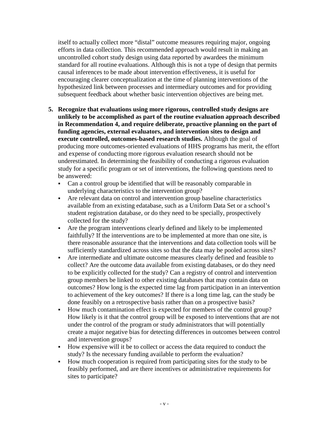itself to actually collect more "distal" outcome measures requiring major, ongoing efforts in data collection. This recommended approach would result in making an uncontrolled cohort study design using data reported by awardees the minimum standard for all routine evaluations. Although this is not a type of design that permits causal inferences to be made about intervention effectiveness, it is useful for encouraging clearer conceptualization at the time of planning interventions of the hypothesized link between processes and intermediary outcomes and for providing subsequent feedback about whether basic intervention objectives are being met.

- **5. Recognize that evaluations using more rigorous, controlled study designs are unlikely to be accomplished as part of the routine evaluation approach described in Recommendation 4, and require deliberate, proactive planning on the part of funding agencies, external evaluators, and intervention sites to design and execute controlled, outcomes-based research studies.** Although the goal of producing more outcomes-oriented evaluations of HHS programs has merit, the effort and expense of conducting more rigorous evaluation research should not be underestimated. In determining the feasibility of conducting a rigorous evaluation study for a specific program or set of interventions, the following questions need to be answered:
	- Can a control group be identified that will be reasonably comparable in underlying characteristics to the intervention group?
	- Are relevant data on control and intervention group baseline characteristics available from an existing edatabase, such as a Uniform Data Set or a school's student registration database, or do they need to be specially, prospectively collected for the study?
	- Are the program interventions clearly defined and likely to be implemented faithfully? If the interventions are to be implemented at more than one site, is there reasonable assurance that the interventions and data collection tools will be sufficiently standardized across sites so that the data may be pooled across sites?
	- Are intermediate and ultimate outcome measures clearly defined and feasible to collect? Are the outcome data available from existing databases, or do they need to be explicitly collected for the study? Can a registry of control and intervention group members be linked to other existing databases that may contain data on outcomes? How long is the expected time lag from participation in an intervention to achievement of the key outcomes? If there is a long time lag, can the study be done feasibly on a retrospective basis rather than on a prospective basis?
	- How much contamination effect is expected for members of the control group? How likely is it that the control group will be exposed to interventions that are not under the control of the program or study administrators that will potentially create a major negative bias for detecting differences in outcomes between control and intervention groups?
	- How expensive will it be to collect or access the data required to conduct the study? Is the necessary funding available to perform the evaluation?
	- How much cooperation is required from participating sites for the study to be feasibly performed, and are there incentives or administrative requirements for sites to participate?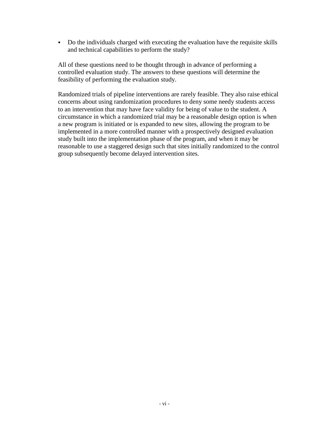Do the individuals charged with executing the evaluation have the requisite skills and technical capabilities to perform the study?

All of these questions need to be thought through in advance of performing a controlled evaluation study. The answers to these questions will determine the feasibility of performing the evaluation study.

Randomized trials of pipeline interventions are rarely feasible. They also raise ethical concerns about using randomization procedures to deny some needy students access to an intervention that may have face validity for being of value to the student. A circumstance in which a randomized trial may be a reasonable design option is when a new program is initiated or is expanded to new sites, allowing the program to be implemented in a more controlled manner with a prospectively designed evaluation study built into the implementation phase of the program, and when it may be reasonable to use a staggered design such that sites initially randomized to the control group subsequently become delayed intervention sites.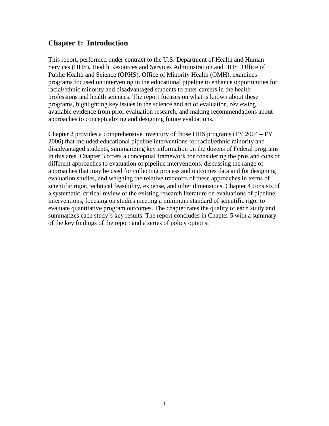# **Chapter 1: Introduction**

This report, performed under contract to the U.S. Department of Health and Human Services (HHS), Health Resources and Services Administration and HHS' Office of Public Health and Science (OPHS), Office of Minority Health (OMH), examines programs focused on intervening in the educational pipeline to enhance opportunities for racial/ethnic minority and disadvantaged students to enter careers in the health professions and health sciences. The report focuses on what is known about these programs, highlighting key issues in the science and art of evaluation, reviewing available evidence from prior evaluation research, and making recommendations about approaches to conceptualizing and designing future evaluations.

Chapter 2 provides a comprehensive inventory of those HHS programs (FY 2004 – FY 2006) that included educational pipeline interventions for racial/ethnic minority and disadvantaged students, summarizing key information on the dozens of Federal programs in this area. Chapter 3 offers a conceptual framework for considering the pros and cons of different approaches to evaluation of pipeline interventions, discussing the range of approaches that may be used for collecting process and outcomes data and for designing evaluation studies, and weighing the relative tradeoffs of these approaches in terms of scientific rigor, technical feasibility, expense, and other dimensions. Chapter 4 consists of a systematic, critical review of the existing research literature on evaluations of pipeline interventions, focusing on studies meeting a minimum standard of scientific rigor to evaluate quantitative program outcomes. The chapter rates the quality of each study and summarizes each study's key results. The report concludes in Chapter 5 with a summary of the key findings of the report and a series of policy options.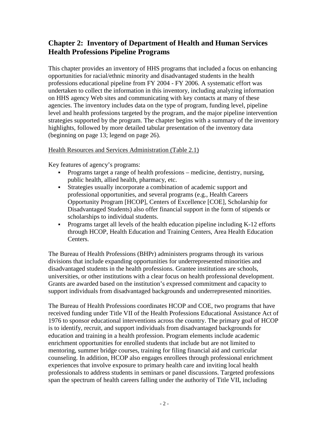# **Chapter 2: Inventory of Department of Health and Human Services Health Professions Pipeline Programs**

This chapter provides an inventory of HHS programs that included a focus on enhancing opportunities for racial/ethnic minority and disadvantaged students in the health professions educational pipeline from FY 2004 - FY 2006. A systematic effort was undertaken to collect the information in this inventory, including analyzing information on HHS agency Web sites and communicating with key contacts at many of these agencies. The inventory includes data on the type of program, funding level, pipeline level and health professions targeted by the program, and the major pipeline intervention strategies supported by the program. The chapter begins with a summary of the inventory highlights, followed by more detailed tabular presentation of the inventory data (beginning on page 13; legend on page 26).

#### Health Resources and Services Administration (Table 2.1)

Key features of agency's programs:

- Programs target a range of health professions medicine, dentistry, nursing, public health, allied health, pharmacy, etc.
- Strategies usually incorporate a combination of academic support and professional opportunities, and several programs (e.g., Health Careers Opportunity Program [HCOP], Centers of Excellence [COE], Scholarship for Disadvantaged Students) also offer financial support in the form of stipends or scholarships to individual students.
- Programs target all levels of the health education pipeline including K-12 efforts through HCOP, Health Education and Training Centers, Area Health Education Centers.

The Bureau of Health Professions (BHPr) administers programs through its various divisions that include expanding opportunities for underrepresented minorities and disadvantaged students in the health professions. Grantee institutions are schools, universities, or other institutions with a clear focus on health professional development. Grants are awarded based on the institution's expressed commitment and capacity to support individuals from disadvantaged backgrounds and underrepresented minorities.

The Bureau of Health Professions coordinates HCOP and COE, two programs that have received funding under Title VII of the Health Professions Educational Assistance Act of 1976 to sponsor educational interventions across the country. The primary goal of HCOP is to identify, recruit, and support individuals from disadvantaged backgrounds for education and training in a health profession. Program elements include academic enrichment opportunities for enrolled students that include but are not limited to mentoring, summer bridge courses, training for filing financial aid and curricular counseling. In addition, HCOP also engages enrollees through professional enrichment experiences that involve exposure to primary health care and inviting local health professionals to address students in seminars or panel discussions. Targeted professions span the spectrum of health careers falling under the authority of Title VII, including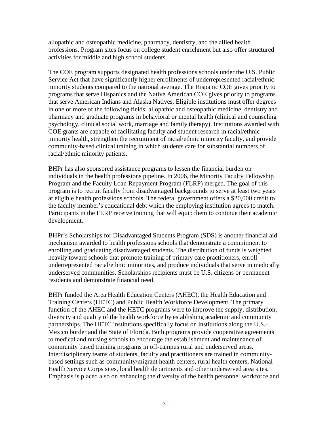allopathic and osteopathic medicine, pharmacy, dentistry, and the allied health professions. Program sites focus on college student enrichment but also offer structured activities for middle and high school students.

The COE program supports designated health professions schools under the U.S. Public Service Act that have significantly higher enrollments of underrepresented racial/ethnic minority students compared to the national average. The Hispanic COE gives priority to programs that serve Hispanics and the Native American COE gives priority to programs that serve American Indians and Alaska Natives. Eligible institutions must offer degrees in one or more of the following fields: allopathic and osteopathic medicine, dentistry and pharmacy and graduate programs in behavioral or mental health (clinical and counseling psychology, clinical social work, marriage and family therapy). Institutions awarded with COE grants are capable of facilitating faculty and student research in racial/ethnic minority health, strengthen the recruitment of racial/ethnic minority faculty, and provide community-based clinical training in which students care for substantial numbers of racial/ethnic minority patients.

BHPr has also sponsored assistance programs to lessen the financial burden on individuals in the health professions pipeline. In 2006, the Minority Faculty Fellowship Program and the Faculty Loan Repayment Program (FLRP) merged. The goal of this program is to recruit faculty from disadvantaged backgrounds to serve at least two years at eligible health professions schools. The federal government offers a \$20,000 credit to the faculty member's educational debt which the employing institution agrees to match. Participants in the FLRP receive training that will equip them to continue their academic development.

BHPr's Scholarships for Disadvantaged Students Program (SDS) is another financial aid mechanism awarded to health professions schools that demonstrate a commitment to enrolling and graduating disadvantaged students. The distribution of funds is weighted heavily toward schools that promote training of primary care practitioners, enroll underrepresented racial/ethnic minorities, and produce individuals that serve in medically underserved communities. Scholarships recipients must be U.S. citizens or permanent residents and demonstrate financial need.

BHPr funded the Area Health Education Centers (AHEC), the Health Education and Training Centers (HETC) and Public Health Workforce Development. The primary function of the AHEC and the HETC programs were to improve the supply, distribution, diversity and quality of the health workforce by establishing academic and community partnerships. The HETC institutions specifically focus on institutions along the U.S.- Mexico border and the State of Florida. Both programs provide cooperative agreements to medical and nursing schools to encourage the establishment and maintenance of community based training programs in off-campus rural and underserved areas. Interdisciplinary teams of students, faculty and practitioners are trained in communitybased settings such as community/migrant health centers, rural health centers, National Health Service Corps sites, local health departments and other underserved area sites. Emphasis is placed also on enhancing the diversity of the health personnel workforce and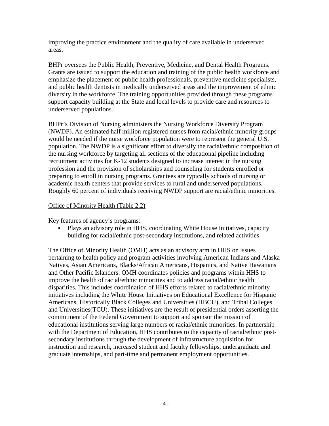improving the practice environment and the quality of care available in underserved areas.

BHPr oversees the Public Health, Preventive, Medicine, and Dental Health Programs. Grants are issued to support the education and training of the public health workforce and emphasize the placement of public health professionals, preventive medicine specialists, and public health dentists in medically underserved areas and the improvement of ethnic diversity in the workforce. The training opportunities provided through these programs support capacity building at the State and local levels to provide care and resources to underserved populations.

BHPr's Division of Nursing administers the Nursing Workforce Diversity Program (NWDP). An estimated half million registered nurses from racial/ethnic minority groups would be needed if the nurse workforce population were to represent the general U.S. population. The NWDP is a significant effort to diversify the racial/ethnic composition of the nursing workforce by targeting all sections of the educational pipeline including recruitment activities for K-12 students designed to increase interest in the nursing profession and the provision of scholarships and counseling for students enrolled or preparing to enroll in nursing programs. Grantees are typically schools of nursing or academic health centers that provide services to rural and underserved populations. Roughly 60 percent of individuals receiving NWDP support are racial/ethnic minorities.

#### Office of Minority Health (Table 2.2)

Key features of agency's programs:

 Plays an advisory role in HHS, coordinating White House Initiatives, capacity building for racial/ethnic post-secondary institutions, and related activities

The Office of Minority Health (OMH) acts as an advisory arm in HHS on issues pertaining to health policy and program activities involving American Indians and Alaska Natives, Asian Americans, Blacks/African Americans, Hispanics, and Native Hawaiians and Other Pacific Islanders. OMH coordinates policies and programs within HHS to improve the health of racial/ethnic minorities and to address racial/ethnic health disparities. This includes coordination of HHS efforts related to racial/ethnic minority initiatives including the White House Initiatives on Educational Excellence for Hispanic Americans, Historically Black Colleges and Universities (HBCU), and Tribal Colleges and Universities(TCU). These initiatives are the result of presidential orders asserting the commitment of the Federal Government to support and sponsor the mission of educational institutions serving large numbers of racial/ethnic minorities. In partnership with the Department of Education, HHS contributes to the capacity of racial/ethnic postsecondary institutions through the development of infrastructure acquisition for instruction and research, increased student and faculty fellowships, undergraduate and graduate internships, and part-time and permanent employment opportunities.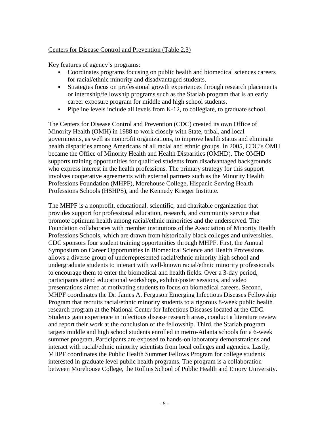#### Centers for Disease Control and Prevention (Table 2.3)

Key features of agency's programs:

- Coordinates programs focusing on public health and biomedical sciences careers for racial/ethnic minority and disadvantaged students.
- Strategies focus on professional growth experiences through research placements or internship/fellowship programs such as the Starlab program that is an early career exposure program for middle and high school students.
- Pipeline levels include all levels from K-12, to collegiate, to graduate school.

The Centers for Disease Control and Prevention (CDC) created its own Office of Minority Health (OMH) in 1988 to work closely with State, tribal, and local governments, as well as nonprofit organizations, to improve health status and eliminate health disparities among Americans of all racial and ethnic groups. In 2005, CDC's OMH became the Office of Minority Health and Health Disparities (OMHD). The OMHD supports training opportunities for qualified students from disadvantaged backgrounds who express interest in the health professions. The primary strategy for this support involves cooperative agreements with external partners such as the Minority Health Professions Foundation (MHPF), Morehouse College, Hispanic Serving Health Professions Schools (HSHPS), and the Kennedy Krieger Institute.

The MHPF is a nonprofit, educational, scientific, and charitable organization that provides support for professional education, research, and community service that promote optimum health among racial/ethnic minorities and the underserved. The Foundation collaborates with member institutions of the Association of Minority Health Professions Schools, which are drawn from historically black colleges and universities. CDC sponsors four student training opportunities through MHPF. First, the Annual Symposium on Career Opportunities in Biomedical Science and Health Professions allows a diverse group of underrepresented racial/ethnic minority high school and undergraduate students to interact with well-known racial/ethnic minority professionals to encourage them to enter the biomedical and health fields. Over a 3-day period, participants attend educational workshops, exhibit/poster sessions, and video presentations aimed at motivating students to focus on biomedical careers. Second, MHPF coordinates the Dr. James A. Ferguson Emerging Infectious Diseases Fellowship Program that recruits racial/ethnic minority students to a rigorous 8-week public health research program at the National Center for Infectious Diseases located at the CDC. Students gain experience in infectious disease research areas, conduct a literature review and report their work at the conclusion of the fellowship. Third, the Starlab program targets middle and high school students enrolled in metro-Atlanta schools for a 6-week summer program. Participants are exposed to hands-on laboratory demonstrations and interact with racial/ethnic minority scientists from local colleges and agencies. Lastly, MHPF coordinates the Public Health Summer Fellows Program for college students interested in graduate level public health programs. The program is a collaboration between Morehouse College, the Rollins School of Public Health and Emory University.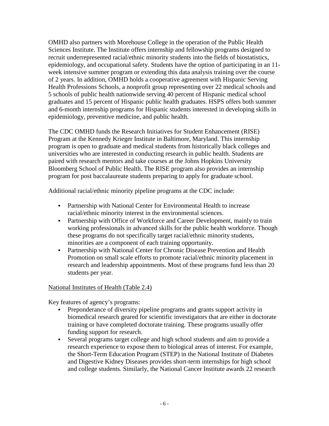OMHD also partners with Morehouse College in the operation of the Public Health Sciences Institute. The Institute offers internship and fellowship programs designed to recruit underrepresented racial/ethnic minority students into the fields of biostatistics, epidemiology, and occupational safety. Students have the option of participating in an 11 week intensive summer program or extending this data analysis training over the course of 2 years. In addition, OMHD holds a cooperative agreement with Hispanic Serving Health Professions Schools, a nonprofit group representing over 22 medical schools and 5 schools of public health nationwide serving 40 percent of Hispanic medical school graduates and 15 percent of Hispanic public health graduates. HSPS offers both summer and 6-month internship programs for Hispanic students interested in developing skills in epidemiology, preventive medicine, and public health.

The CDC OMHD funds the Research Initiatives for Student Enhancement (RISE) Program at the Kennedy Krieger Institute in Baltimore, Maryland. This internship program is open to graduate and medical students from historically black colleges and universities who are interested in conducting research in public health. Students are paired with research mentors and take courses at the Johns Hopkins University Bloomberg School of Public Health. The RISE program also provides an internship program for post baccalaureate students preparing to apply for graduate school.

Additional racial/ethnic minority pipeline programs at the CDC include:

- Partnership with National Center for Environmental Health to increase racial/ethnic minority interest in the environmental sciences.
- Partnership with Office of Workforce and Career Development, mainly to train working professionals in advanced skills for the public health workforce. Though these programs do not specifically target racial/ethnic minority students, minorities are a component of each training opportunity.
- Partnership with National Center for Chronic Disease Prevention and Health Promotion on small scale efforts to promote racial/ethnic minority placement in research and leadership appointments. Most of these programs fund less than 20 students per year.

### National Institutes of Health (Table 2.4)

Key features of agency's programs:

- Preponderance of diversity pipeline programs and grants support activity in biomedical research geared for scientific investigators that are either in doctorate training or have completed doctorate training. These programs usually offer funding support for research.
- Several programs target college and high school students and aim to provide a research experience to expose them to biological areas of interest. For example, the Short-Term Education Program (STEP) in the National Institute of Diabetes and Digestive Kidney Diseases provides short-term internships for high school and college students. Similarly, the National Cancer Institute awards 22 research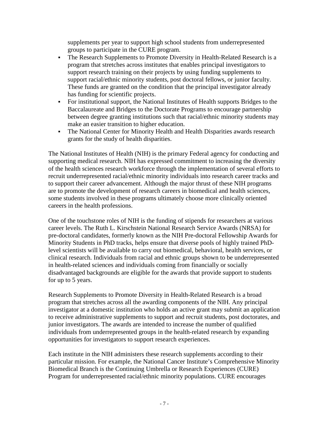supplements per year to support high school students from underrepresented groups to participate in the CURE program.

- The Research Supplements to Promote Diversity in Health-Related Research is a program that stretches across institutes that enables principal investigators to support research training on their projects by using funding supplements to support racial/ethnic minority students, post doctoral fellows, or junior faculty. These funds are granted on the condition that the principal investigator already has funding for scientific projects.
- For institutional support, the National Institutes of Health supports Bridges to the Baccalaureate and Bridges to the Doctorate Programs to encourage partnership between degree granting institutions such that racial/ethnic minority students may make an easier transition to higher education.
- The National Center for Minority Health and Health Disparities awards research grants for the study of health disparities.

The National Institutes of Health (NIH) is the primary Federal agency for conducting and supporting medical research. NIH has expressed commitment to increasing the diversity of the health sciences research workforce through the implementation of several efforts to recruit underrepresented racial/ethnic minority individuals into research career tracks and to support their career advancement. Although the major thrust of these NIH programs are to promote the development of research careers in biomedical and health sciences, some students involved in these programs ultimately choose more clinically oriented careers in the health professions.

One of the touchstone roles of NIH is the funding of stipends for researchers at various career levels. The Ruth L. Kirschstein National Research Service Awards (NRSA) for pre-doctoral candidates, formerly known as the NIH Pre-doctoral Fellowship Awards for Minority Students in PhD tracks, helps ensure that diverse pools of highly trained PhDlevel scientists will be available to carry out biomedical, behavioral, health services, or clinical research. Individuals from racial and ethnic groups shown to be underrepresented in health-related sciences and individuals coming from financially or socially disadvantaged backgrounds are eligible for the awards that provide support to students for up to 5 years.

Research Supplements to Promote Diversity in Health-Related Research is a broad program that stretches across all the awarding components of the NIH. Any principal investigator at a domestic institution who holds an active grant may submit an application to receive administrative supplements to support and recruit students, post doctorates, and junior investigators. The awards are intended to increase the number of qualified individuals from underrepresented groups in the health-related research by expanding opportunities for investigators to support research experiences.

Each institute in the NIH administers these research supplements according to their particular mission. For example, the National Cancer Institute's Comprehensive Minority Biomedical Branch is the Continuing Umbrella or Research Experiences (CURE) Program for underrepresented racial/ethnic minority populations. CURE encourages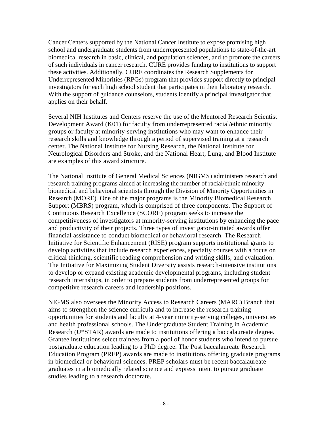Cancer Centers supported by the National Cancer Institute to expose promising high school and undergraduate students from underrepresented populations to state-of-the-art biomedical research in basic, clinical, and population sciences, and to promote the careers of such individuals in cancer research. CURE provides funding to institutions to support these activities. Additionally, CURE coordinates the Research Supplements for Underrepresented Minorities (RPGs) program that provides support directly to principal investigators for each high school student that participates in their laboratory research. With the support of guidance counselors, students identify a principal investigator that applies on their behalf.

Several NIH Institutes and Centers reserve the use of the Mentored Research Scientist Development Award (K01) for faculty from underrepresented racial/ethnic minority groups or faculty at minority-serving institutions who may want to enhance their research skills and knowledge through a period of supervised training at a research center. The National Institute for Nursing Research, the National Institute for Neurological Disorders and Stroke, and the National Heart, Lung, and Blood Institute are examples of this award structure.

The National Institute of General Medical Sciences (NIGMS) administers research and research training programs aimed at increasing the number of racial/ethnic minority biomedical and behavioral scientists through the Division of Minority Opportunities in Research (MORE). One of the major programs is the Minority Biomedical Research Support (MBRS) program, which is comprised of three components. The Support of Continuous Research Excellence (SCORE) program seeks to increase the competitiveness of investigators at minority-serving institutions by enhancing the pace and productivity of their projects. Three types of investigator-initiated awards offer financial assistance to conduct biomedical or behavioral research. The Research Initiative for Scientific Enhancement (RISE) program supports institutional grants to develop activities that include research experiences, specialty courses with a focus on critical thinking, scientific reading comprehension and writing skills, and evaluation. The Initiative for Maximizing Student Diversity assists research-intensive institutions to develop or expand existing academic developmental programs, including student research internships, in order to prepare students from underrepresented groups for competitive research careers and leadership positions.

NIGMS also oversees the Minority Access to Research Careers (MARC) Branch that aims to strengthen the science curricula and to increase the research training opportunities for students and faculty at 4-year minority-serving colleges, universities and health professional schools. The Undergraduate Student Training in Academic Research (U\*STAR) awards are made to institutions offering a baccalaureate degree. Grantee institutions select trainees from a pool of honor students who intend to pursue postgraduate education leading to a PhD degree. The Post baccalaureate Research Education Program (PREP) awards are made to institutions offering graduate programs in biomedical or behavioral sciences. PREP scholars must be recent baccalaureate graduates in a biomedically related science and express intent to pursue graduate studies leading to a research doctorate.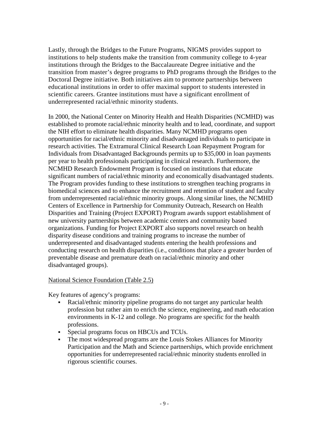Lastly, through the Bridges to the Future Programs, NIGMS provides support to institutions to help students make the transition from community college to 4-year institutions through the Bridges to the Baccalaureate Degree initiative and the transition from master's degree programs to PhD programs through the Bridges to the Doctoral Degree initiative. Both initiatives aim to promote partnerships between educational institutions in order to offer maximal support to students interested in scientific careers. Grantee institutions must have a significant enrollment of underrepresented racial/ethnic minority students.

In 2000, the National Center on Minority Health and Health Disparities (NCMHD) was established to promote racial/ethnic minority health and to lead, coordinate, and support the NIH effort to eliminate health disparities. Many NCMHD programs open opportunities for racial/ethnic minority and disadvantaged individuals to participate in research activities. The Extramural Clinical Research Loan Repayment Program for Individuals from Disadvantaged Backgrounds permits up to \$35,000 in loan payments per year to health professionals participating in clinical research. Furthermore, the NCMHD Research Endowment Program is focused on institutions that educate significant numbers of racial/ethnic minority and economically disadvantaged students. The Program provides funding to these institutions to strengthen teaching programs in biomedical sciences and to enhance the recruitment and retention of student and faculty from underrepresented racial/ethnic minority groups. Along similar lines, the NCMHD Centers of Excellence in Partnership for Community Outreach, Research on Health Disparities and Training (Project EXPORT) Program awards support establishment of new university partnerships between academic centers and community based organizations. Funding for Project EXPORT also supports novel research on health disparity disease conditions and training programs to increase the number of underrepresented and disadvantaged students entering the health professions and conducting research on health disparities (i.e., conditions that place a greater burden of preventable disease and premature death on racial/ethnic minority and other disadvantaged groups).

#### National Science Foundation (Table 2.5)

Key features of agency's programs:

- Racial/ethnic minority pipeline programs do not target any particular health profession but rather aim to enrich the science, engineering, and math education environments in K-12 and college. No programs are specific for the health professions.
- Special programs focus on HBCUs and TCUs.
- The most widespread programs are the Louis Stokes Alliances for Minority Participation and the Math and Science partnerships, which provide enrichment opportunities for underrepresented racial/ethnic minority students enrolled in rigorous scientific courses.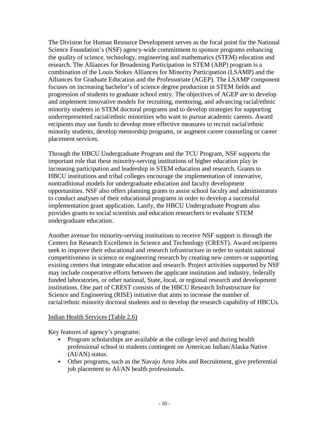The Division for Human Resource Development serves as the focal point for the National Science Foundation's (NSF) agency-wide commitment to sponsor programs enhancing the quality of science, technology, engineering and mathematics (STEM) education and research. The Alliances for Broadening Participation in STEM (ABP) program is a combination of the Louis Stokes Alliances for Minority Participation (LSAMP) and the Alliances for Graduate Education and the Professoriate (AGEP). The LSAMP component focuses on increasing bachelor's of science degree production in STEM fields and progression of students to graduate school entry. The objectives of AGEP are to develop and implement innovative models for recruiting, mentoring, and advancing racial/ethnic minority students in STEM doctoral programs and to develop strategies for supporting underrepresented racial/ethnic minorities who want to pursue academic careers. Award recipients may use funds to develop more effective measures to recruit racial/ethnic minority students, develop mentorship programs, or augment career counseling or career placement services.

Through the HBCU Undergraduate Program and the TCU Program, NSF supports the important role that these minority-serving institutions of higher education play in increasing participation and leadership in STEM education and research. Grants to HBCU institutions and tribal colleges encourage the implementation of innovative, nontraditional models for undergraduate education and faculty development opportunities. NSF also offers planning grants to assist school faculty and administrators to conduct analyses of their educational programs in order to develop a successful implementation grant application. Lastly, the HBCU Undergraduate Program also provides grants to social scientists and education researchers to evaluate STEM undergraduate education.

Another avenue for minority-serving institutions to receive NSF support is through the Centers for Research Excellence in Science and Technology (CREST). Award recipients seek to improve their educational and research infrastructure in order to sustain national competitiveness in science or engineering research by creating new centers or supporting existing centers that integrate education and research. Project activities supported by NSF may include cooperative efforts between the applicant institution and industry, federally funded laboratories, or other national, State, local, or regional research and development institutions. One part of CREST consists of the HBCU Research Infrastructure for Science and Engineering (RISE) initiative that aims to increase the number of racial/ethnic minority doctoral students and to develop the research capability of HBCUs.

#### Indian Health Services (Table 2.6)

Key features of agency's programs:

- Program scholarships are available at the college level and during health professional school to students contingent on American Indian/Alaska Native (AI/AN) status.
- Other programs, such as the Navajo Area Jobs and Recruitment, give preferential job placement to AI/AN health professionals.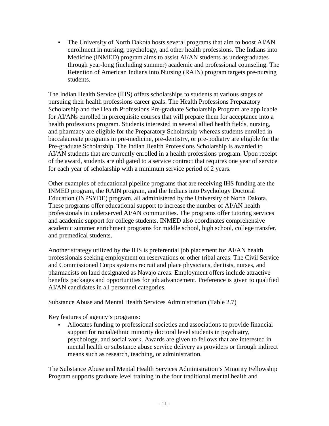The University of North Dakota hosts several programs that aim to boost AI/AN enrollment in nursing, psychology, and other health professions. The Indians into Medicine (INMED) program aims to assist AI/AN students as undergraduates through year-long (including summer) academic and professional counseling. The Retention of American Indians into Nursing (RAIN) program targets pre-nursing students.

The Indian Health Service (IHS) offers scholarships to students at various stages of pursuing their health professions career goals. The Health Professions Preparatory Scholarship and the Health Professions Pre-graduate Scholarship Program are applicable for AI/ANs enrolled in prerequisite courses that will prepare them for acceptance into a health professions program. Students interested in several allied health fields, nursing, and pharmacy are eligible for the Preparatory Scholarship whereas students enrolled in baccalaureate programs in pre-medicine, pre-dentistry, or pre-podiatry are eligible for the Pre-graduate Scholarship. The Indian Health Professions Scholarship is awarded to AI/AN students that are currently enrolled in a health professions program. Upon receipt of the award, students are obligated to a service contract that requires one year of service for each year of scholarship with a minimum service period of 2 years.

Other examples of educational pipeline programs that are receiving IHS funding are the INMED program, the RAIN program, and the Indians into Psychology Doctoral Education (INPSYDE) program, all administered by the University of North Dakota. These programs offer educational support to increase the number of AI/AN health professionals in underserved AI/AN communities. The programs offer tutoring services and academic support for college students. INMED also coordinates comprehensive academic summer enrichment programs for middle school, high school, college transfer, and premedical students.

Another strategy utilized by the IHS is preferential job placement for AI/AN health professionals seeking employment on reservations or other tribal areas. The Civil Service and Commissioned Corps systems recruit and place physicians, dentists, nurses, and pharmacists on land designated as Navajo areas. Employment offers include attractive benefits packages and opportunities for job advancement. Preference is given to qualified AI/AN candidates in all personnel categories.

#### Substance Abuse and Mental Health Services Administration (Table 2.7)

Key features of agency's programs:

 Allocates funding to professional societies and associations to provide financial support for racial/ethnic minority doctoral level students in psychiatry, psychology, and social work. Awards are given to fellows that are interested in mental health or substance abuse service delivery as providers or through indirect means such as research, teaching, or administration.

The Substance Abuse and Mental Health Services Administration's Minority Fellowship Program supports graduate level training in the four traditional mental health and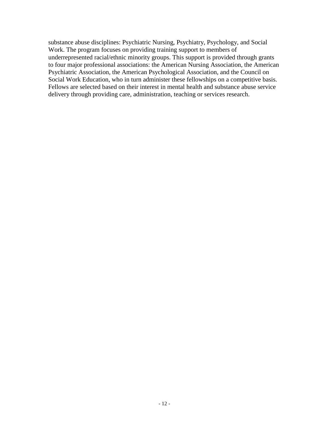substance abuse disciplines: Psychiatric Nursing, Psychiatry, Psychology, and Social Work. The program focuses on providing training support to members of underrepresented racial/ethnic minority groups. This support is provided through grants to four major professional associations: the American Nursing Association, the American Psychiatric Association, the American Psychological Association, and the Council on Social Work Education, who in turn administer these fellowships on a competitive basis. Fellows are selected based on their interest in mental health and substance abuse service delivery through providing care, administration, teaching or services research.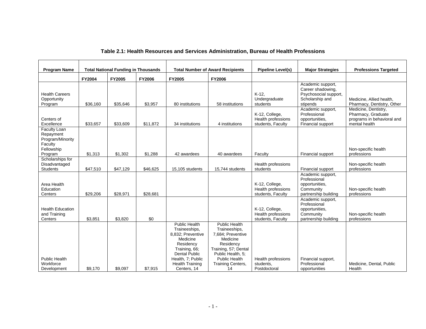|                                                                                   | <b>Total National Funding in Thousands</b> |          |          | <b>Total Number of Award Recipients</b>                                                                                                                                                    |                                                                                                                                                                                     |                                                           | <b>Professions Targeted</b>                                                                    |                                                                                           |
|-----------------------------------------------------------------------------------|--------------------------------------------|----------|----------|--------------------------------------------------------------------------------------------------------------------------------------------------------------------------------------------|-------------------------------------------------------------------------------------------------------------------------------------------------------------------------------------|-----------------------------------------------------------|------------------------------------------------------------------------------------------------|-------------------------------------------------------------------------------------------|
| <b>Program Name</b>                                                               |                                            |          |          |                                                                                                                                                                                            |                                                                                                                                                                                     | <b>Pipeline Level(s)</b>                                  | <b>Major Strategies</b>                                                                        |                                                                                           |
|                                                                                   | <b>FY2004</b>                              | FY2005   | FY2006   | FY2005                                                                                                                                                                                     | FY2006                                                                                                                                                                              |                                                           |                                                                                                |                                                                                           |
| <b>Health Careers</b><br>Opportunity<br>Program                                   | \$36,160                                   | \$35,646 | \$3,957  | 80 institutions                                                                                                                                                                            | 58 institutions                                                                                                                                                                     | $K-12$ ,<br>Undergraduate<br>students                     | Academic support,<br>Career shadowing,<br>Psychosocial support,<br>Scholarship and<br>stipends | Medicine, Allied health,<br>Pharmacy, Dentistry, Other                                    |
| Centers of<br>Excellence                                                          | \$33,657                                   | \$33,609 | \$11,872 | 34 institutions                                                                                                                                                                            | 4 institutions                                                                                                                                                                      | K-12, College,<br>Health professions<br>students, Faculty | Academic support,<br>Professional<br>opportunities,<br>Financial support                       | Medicine, Dentistry,<br>Pharmacy, Graduate<br>programs in behavioral and<br>mental health |
| Faculty Loan<br>Repayment<br>Program/Minority<br>Faculty<br>Fellowship<br>Program | \$1,313                                    | \$1,302  | \$1,288  | 42 awardees                                                                                                                                                                                | 40 awardees                                                                                                                                                                         | Faculty                                                   | Financial support                                                                              | Non-specific health<br>professions                                                        |
| Scholarships for<br>Disadvantaged<br><b>Students</b>                              | \$47,510                                   | \$47,129 | \$46,625 | 15,105 students                                                                                                                                                                            | 15.744 students                                                                                                                                                                     | Health professions<br>students                            | Financial support                                                                              | Non-specific health<br>professions                                                        |
| Area Health<br>Education<br>Centers                                               | \$29,206                                   | \$28,971 | \$28,681 |                                                                                                                                                                                            |                                                                                                                                                                                     | K-12, College,<br>Health professions<br>students, Faculty | Academic support,<br>Professional<br>opportunities,<br>Community<br>partnership building       | Non-specific health<br>professions                                                        |
| <b>Health Education</b><br>and Training<br>Centers                                | \$3,851                                    | \$3,820  | \$0      |                                                                                                                                                                                            |                                                                                                                                                                                     | K-12, College,<br>Health professions<br>students, Faculty | Academic support,<br>Professional<br>opportunities,<br>Community<br>partnership building       | Non-specific health<br>professions                                                        |
| <b>Public Health</b><br>Workforce<br>Development                                  | \$9.170                                    | \$9,097  | \$7,915  | <b>Public Health</b><br>Traineeships,<br>8.832: Preventive<br>Medicine<br>Residency<br>Training, 66;<br><b>Dental Public</b><br>Health, 7; Public<br><b>Health Training</b><br>Centers, 14 | <b>Public Health</b><br>Traineeships,<br>7.684: Preventive<br>Medicine<br>Residency<br>Training, 57; Dental<br>Public Health, 5;<br>Public Health<br><b>Training Centers,</b><br>14 | Health professions<br>students,<br>Postdoctoral           | Financial support,<br>Professional<br>opportunities                                            | Medicine, Dental, Public<br>Health                                                        |

#### **Table 2.1: Health Resources and Services Administration, Bureau of Health Professions**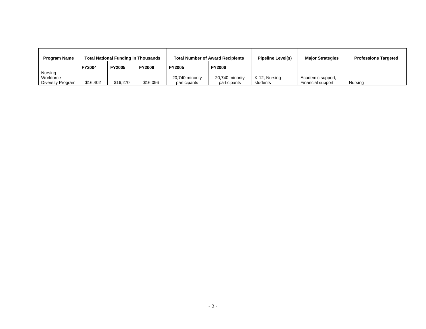| <b>Program Name</b>                       | <b>Total National Funding in Thousands</b> |               |               | <b>Total Number of Award Recipients</b> | <b>Pipeline Level(s)</b>        | <b>Major Strategies</b>   | <b>Professions Targeted</b>            |         |
|-------------------------------------------|--------------------------------------------|---------------|---------------|-----------------------------------------|---------------------------------|---------------------------|----------------------------------------|---------|
|                                           | <b>FY2004</b>                              | <b>FY2005</b> | <b>FY2006</b> | <b>FY2005</b>                           | <b>FY2006</b>                   |                           |                                        |         |
| Nursing<br>Workforce<br>Diversity Program | \$16,402                                   | \$16,270      | \$16,096      | 20,740 minority<br>participants         | 20,740 minority<br>participants | K-12, Nursing<br>students | Academic support,<br>Financial support | Nursing |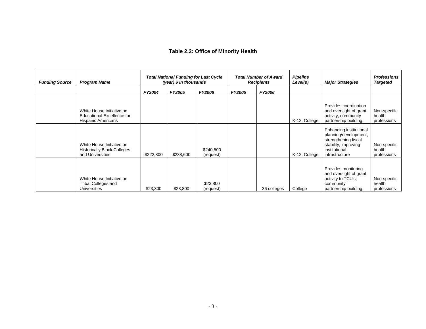# **Table 2.2: Office of Minority Health**

| <b>Funding Source</b> | <b>Program Name</b>                                                                  | <b>Total National Funding for Last Cycle</b><br>(year) \$ in thousands |               |                        | <b>Total Number of Award</b><br><b>Recipients</b> |               | <b>Pipeline</b><br>Level(s) | <b>Major Strategies</b>                                                                                                             | <b>Professions</b><br><b>Targeted</b> |
|-----------------------|--------------------------------------------------------------------------------------|------------------------------------------------------------------------|---------------|------------------------|---------------------------------------------------|---------------|-----------------------------|-------------------------------------------------------------------------------------------------------------------------------------|---------------------------------------|
|                       |                                                                                      | <b>FY2004</b>                                                          | <b>FY2005</b> | <b>FY2006</b>          | <b>FY2005</b>                                     | <b>FY2006</b> |                             |                                                                                                                                     |                                       |
|                       | White House Initiative on<br>Educational Excellence for<br><b>Hispanic Americans</b> |                                                                        |               |                        |                                                   |               | K-12, College               | Provides coordination<br>and oversight of grant<br>activity, community<br>partnership building                                      | Non-specific<br>health<br>professions |
|                       | White House Initiative on<br><b>Historically Black Colleges</b><br>and Universities  | \$222,800                                                              | \$238,600     | \$240,500<br>(request) |                                                   |               | K-12, College               | Enhancing institutional<br>planning/development,<br>strengthening fiscal<br>stability, improving<br>institutional<br>infrastructure | Non-specific<br>health<br>professions |
|                       | White House Initiative on<br>Tribal Colleges and<br><b>Universities</b>              | \$23,300                                                               | \$23,800      | \$23,800<br>(request)  |                                                   | 36 colleges   | College                     | Provides monitoring<br>and oversight of grant<br>activity to TCU's,<br>community<br>partnership building                            | Non-specific<br>health<br>professions |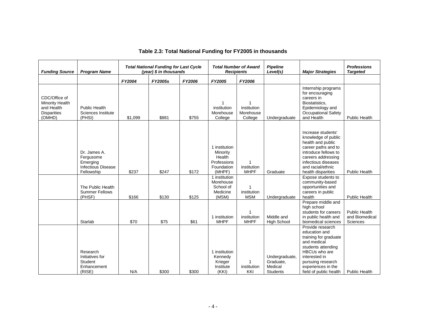| <b>Funding Source</b>                                                                 | <b>Program Name</b>                                                              |         | <b>Total National Funding for Last Cycle</b><br>(year) \$ in thousands |        | <b>Recipients</b>                                                          | <b>Total Number of Award</b>             | <b>Pipeline</b><br>Level(s)                               | <b>Major Strategies</b>                                                                                                                                                                                | <b>Professions</b><br><b>Targeted</b>       |
|---------------------------------------------------------------------------------------|----------------------------------------------------------------------------------|---------|------------------------------------------------------------------------|--------|----------------------------------------------------------------------------|------------------------------------------|-----------------------------------------------------------|--------------------------------------------------------------------------------------------------------------------------------------------------------------------------------------------------------|---------------------------------------------|
|                                                                                       |                                                                                  | FY2004  | FY2005s                                                                | FY2006 | FY2005                                                                     | FY2006                                   |                                                           |                                                                                                                                                                                                        |                                             |
| CDC/Office of<br><b>Minority Health</b><br>and Health<br><b>Disparities</b><br>(OMHD) | Public Health<br>Sciences Institute<br>(PHSI)                                    | \$1,099 | \$881                                                                  | \$755  | 1<br>institution<br>Morehouse<br>College                                   | 1<br>institution<br>Morehouse<br>College | Undergraduate                                             | Internship programs<br>for encouraging<br>careers in<br>Biostatistics,<br>Epidemiology and<br><b>Occupational Safety</b><br>and Health                                                                 | <b>Public Health</b>                        |
|                                                                                       | Dr. James A.<br>Fergusome<br>Emerging<br><b>Infectious Disease</b><br>Fellowship | \$237   | \$247                                                                  | \$172  | 1 institution<br>Minority<br>Health<br>Professions<br>Foundation<br>(MHPF) | 1<br>institution<br><b>MHPF</b>          | Graduate                                                  | Increase students'<br>knowledge of public<br>health and public<br>career paths and to<br>introduce fellows to<br>careers addressing<br>infectious diseases<br>and racial/ethnic<br>health disparities  | <b>Public Health</b>                        |
|                                                                                       | The Public Health<br><b>Summer Fellows</b><br>(PHSF)                             | \$166   | \$130                                                                  | \$125  | 1 institution<br>Morehouse<br>School of<br>Medicine<br>(MSM)               | 1<br>institution<br><b>MSM</b>           | Undergraduate                                             | Expose students to<br>community-based<br>opportunities and<br>careers in public<br>health                                                                                                              | <b>Public Health</b>                        |
|                                                                                       | Starlab                                                                          | \$70    | \$75                                                                   | \$61   | 1 institution<br><b>MHPF</b>                                               | institution<br><b>MHPF</b>               | Middle and<br><b>High School</b>                          | Prepare middle and<br>high school<br>students for careers<br>in public health and<br>biomedical sciences                                                                                               | Public Health<br>and Biomedical<br>Sciences |
|                                                                                       | Research<br>Initiatives for<br>Student<br>Enhancement<br>(RISE)                  | N/A     | \$300                                                                  | \$300  | 1 institution<br>Kennedy<br>Krieger<br>Institute<br>(KKI)                  | institution<br>KKI                       | Undergraduate,<br>Graduate,<br>Medical<br><b>Students</b> | Provide research<br>education and<br>training for graduate<br>and medical<br>students attending<br>HBCUs who are<br>interested in<br>pursuing research<br>experiences in the<br>field of public health | <b>Public Health</b>                        |

# **Table 2.3: Total National Funding for FY2005 in thousands**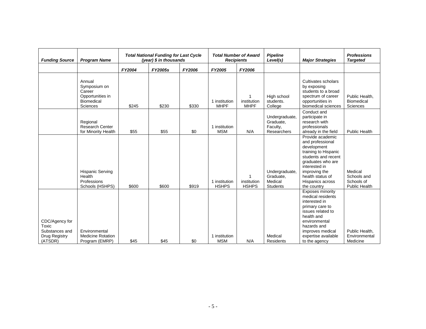| <b>Funding Source</b>                                                 | <b>Program Name</b>                                                            | <b>Total National Funding for Last Cycle</b><br>(year) \$ in thousands |                |        | <b>Total Number of Award</b><br><b>Recipients</b> | <b>Pipeline</b><br>Level(s) | <b>Major Strategies</b>                                   | <b>Professions</b><br><b>Targeted</b>                                                                                                                                                                            |                                                              |
|-----------------------------------------------------------------------|--------------------------------------------------------------------------------|------------------------------------------------------------------------|----------------|--------|---------------------------------------------------|-----------------------------|-----------------------------------------------------------|------------------------------------------------------------------------------------------------------------------------------------------------------------------------------------------------------------------|--------------------------------------------------------------|
|                                                                       |                                                                                | FY2004                                                                 | <b>FY2005s</b> | FY2006 | FY2005                                            | FY2006                      |                                                           |                                                                                                                                                                                                                  |                                                              |
|                                                                       | Annual<br>Symposium on<br>Career<br>Opportunities in<br>Biomedical<br>Sciences | \$245                                                                  | \$230          | \$330  | 1 institution<br><b>MHPF</b>                      | institution<br><b>MHPF</b>  | High school<br>students.<br>College                       | Cultivates scholars<br>by exposing<br>students to a broad<br>spectrum of career<br>opportunities in<br>biomedical sciences                                                                                       | Public Health,<br><b>Biomedical</b><br>Sciences              |
|                                                                       | Regional<br><b>Research Center</b><br>for Minority Health                      | \$55                                                                   | \$55           | \$0    | 1 institution<br><b>MSM</b>                       | N/A                         | Undergraduate,<br>Graduate,<br>Faculty,<br>Researchers    | Conduct and<br>participate in<br>research with<br>professionals<br>already in the field                                                                                                                          | <b>Public Health</b>                                         |
|                                                                       | <b>Hispanic Serving</b><br>Health<br>Professions<br>Schools (HSHPS)            | \$600                                                                  | \$600          | \$919  | 1 institution<br><b>HSHPS</b>                     | institution<br><b>HSHPS</b> | Undergraduate,<br>Graduate,<br>Medical<br><b>Students</b> | Provide academic<br>and professional<br>development<br>training to Hispanic<br>students and recent<br>graduates who are<br>interested in<br>improving the<br>health status of<br>Hispanics across<br>the country | Medical<br>Schools and<br>Schools of<br><b>Public Health</b> |
| CDC/Agency for<br>Toxic<br>Substances and<br>Drug Registry<br>(ATSDR) | Environmental<br><b>Medicine Rotation</b><br>Program (EMRP)                    | \$45                                                                   | \$45           | \$0    | 1 institution<br><b>MSM</b>                       | N/A                         | Medical<br><b>Residents</b>                               | Exposes minority<br>medical residents<br>interested in<br>primary care to<br>issues related to<br>health and<br>environmental<br>hazards and<br>improves medical<br>expertise available<br>to the agency         | Public Health,<br>Environmental<br>Medicine                  |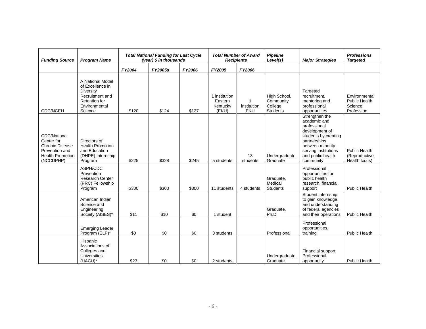| <b>Funding Source</b>                                                                                          | <b>Program Name</b>                                                                                                      | <b>Total National Funding for Last Cycle</b><br>(year) \$ in thousands |         |        |                                               | <b>Total Number of Award</b><br><b>Recipients</b> | <b>Pipeline</b><br>Level(s)                             | <b>Major Strategies</b>                                                                                                                                                                 | <b>Professions</b><br><b>Targeted</b>                          |
|----------------------------------------------------------------------------------------------------------------|--------------------------------------------------------------------------------------------------------------------------|------------------------------------------------------------------------|---------|--------|-----------------------------------------------|---------------------------------------------------|---------------------------------------------------------|-----------------------------------------------------------------------------------------------------------------------------------------------------------------------------------------|----------------------------------------------------------------|
|                                                                                                                |                                                                                                                          | FY2004                                                                 | FY2005s | FY2006 | FY2005                                        | FY2006                                            |                                                         |                                                                                                                                                                                         |                                                                |
| <b>CDC/NCEH</b>                                                                                                | A National Model<br>of Excellence in<br>Diversity<br>Recruitment and<br><b>Retention for</b><br>Environmental<br>Science | \$120                                                                  | \$124   | \$127  | 1 institution<br>Eastern<br>Kentucky<br>(EKU) | institution<br>EKU                                | High School,<br>Community<br>College<br><b>Students</b> | Targeted<br>recruitment,<br>mentoring and<br>professional<br>opportunities                                                                                                              | Environmental<br><b>Public Health</b><br>Science<br>Profession |
| CDC/National<br>Center for<br><b>Chronic Disease</b><br>Prevention and<br><b>Health Promotion</b><br>(NCCDPHP) | Directors of<br><b>Health Promotion</b><br>and Education<br>(DHPE) Internship<br>Program                                 | \$225                                                                  | \$328   | \$245  | 5 students                                    | 13<br>students                                    | Undergraduate,<br>Graduate                              | Strengthen the<br>academic and<br>professional<br>development of<br>students by creating<br>partnerships<br>between minority-<br>serving institutions<br>and public health<br>community | Public Health<br>(Reproductive<br>Health focus)                |
|                                                                                                                | ASPH/CDC<br>Prevention<br><b>Research Center</b><br>(PRC) Fellowship<br>Program                                          | \$300                                                                  | \$300   | \$300  | 11 students                                   | 4 students                                        | Graduate,<br>Medical<br><b>Students</b>                 | Professional<br>opportunities for<br>public health<br>research, financial<br>support                                                                                                    | <b>Public Health</b>                                           |
|                                                                                                                | American Indian<br>Science and<br>Engineering<br>Society (AISES)*                                                        | \$11                                                                   | \$10    | \$0    | 1 student                                     |                                                   | Graduate,<br>Ph.D.                                      | Student internship<br>to gain knowledge<br>and understanding<br>of federal agencies<br>and their operations                                                                             | <b>Public Health</b>                                           |
|                                                                                                                | <b>Emerging Leader</b><br>Program (ELP)*                                                                                 | \$0                                                                    | \$0     | \$0    | 3 students                                    |                                                   | Professional                                            | Professional<br>opportunities,<br>training                                                                                                                                              | <b>Public Health</b>                                           |
|                                                                                                                | Hispanic<br>Associations of<br>Colleges and<br><b>Universities</b><br>(HACU)*                                            | \$23                                                                   | \$0     | \$0    | 2 students                                    |                                                   | Undergraduate,<br>Graduate                              | Financial support,<br>Professional<br>opportunity                                                                                                                                       | <b>Public Health</b>                                           |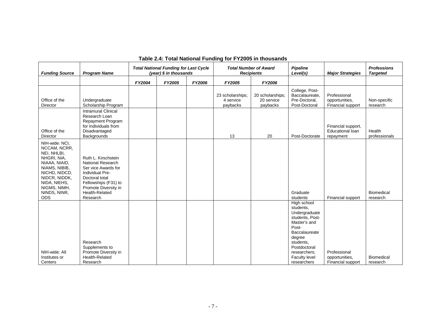| <b>Funding Source</b>                                                                                                                                                                          | <b>Program Name</b>                                                                                                                                                                       | <b>Total National Funding for Last Cycle</b><br>(year) $$$ in thousands |        | <b>Total Number of Award</b><br><b>Recipients</b> |                                           | <b>Pipeline</b><br>Level(s)                | <b>Major Strategies</b>                                                                                                                                                                              | <b>Professions</b><br><b>Targeted</b>                      |                               |
|------------------------------------------------------------------------------------------------------------------------------------------------------------------------------------------------|-------------------------------------------------------------------------------------------------------------------------------------------------------------------------------------------|-------------------------------------------------------------------------|--------|---------------------------------------------------|-------------------------------------------|--------------------------------------------|------------------------------------------------------------------------------------------------------------------------------------------------------------------------------------------------------|------------------------------------------------------------|-------------------------------|
|                                                                                                                                                                                                |                                                                                                                                                                                           | FY2004                                                                  | FY2005 | FY2006                                            | FY2005                                    | <b>FY2006</b>                              |                                                                                                                                                                                                      |                                                            |                               |
| Office of the<br>Director                                                                                                                                                                      | Undergraduate<br>Scholarship Program                                                                                                                                                      |                                                                         |        |                                                   | 23 scholarships;<br>4 service<br>paybacks | 20 scholarships;<br>20 service<br>paybacks | College, Post-<br>Baccalaureate,<br>Pre-Doctoral,<br>Post-Doctoral                                                                                                                                   | Professional<br>opportunities,<br>Financial support        | Non-specific<br>research      |
| Office of the<br><b>Director</b>                                                                                                                                                               | <b>Intramural Clinical</b><br>Research Loan<br>Repayment Program<br>for Individuals from<br>Disadvantaged<br>Backgrounds                                                                  |                                                                         |        |                                                   | 13                                        | 20                                         | Post-Doctorate                                                                                                                                                                                       | Financial support,<br><b>Educational loan</b><br>repayment | Health<br>professionals       |
| NIH-wide: NCI.<br>NCCAM, NCRR,<br>NEI, NHLBI,<br>NHGRI, NIA,<br>NIAAA, NIAID,<br>NIAMS, NIBIB,<br>NICHD, NIDCD,<br>NIDCR, NIDDK,<br>NIDA, NIEHS,<br>NIGMS, NIMH,<br>NINDS, NINR,<br><b>ODS</b> | Ruth L. Kirschstein<br><b>National Research</b><br>Ser vice Awards for<br>Individual Pre-<br>Doctoral total<br>Fellowships (F31) to<br>Promote Diversity in<br>Health-Related<br>Research |                                                                         |        |                                                   |                                           |                                            | Graduate<br>students                                                                                                                                                                                 | Financial support                                          | <b>Biomedical</b><br>research |
| NIH-wide: All<br>Institutes or<br>Centers                                                                                                                                                      | Research<br>Supplements to<br>Promote Diversity in<br>Health-Related<br>Research                                                                                                          |                                                                         |        |                                                   |                                           |                                            | High school<br>students,<br>Undergraduate<br>students. Post-<br>Master's and<br>Post-<br>Baccalaureate<br>degree<br>students.<br>Postdoctoral<br>researchers;<br><b>Faculty level</b><br>researchers | Professional<br>opportunities,<br>Financial support        | <b>Biomedical</b><br>research |

# **Table 2.4: Total National Funding for FY2005 in thousands**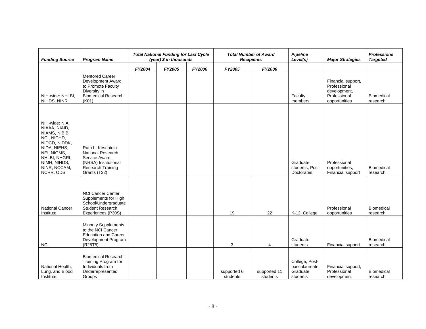| <b>Funding Source</b>                                                                                                                                                         | <b>Program Name</b>                                                                                                          | <b>Total National Funding for Last Cycle</b><br>(year) $$$ in thousands |        |        | <b>Total Number of Award</b><br><b>Recipients</b> | <b>Pipeline</b><br>Level(s) | <b>Major Strategies</b>                                  | <b>Professions</b><br><b>Targeted</b>                                               |                               |
|-------------------------------------------------------------------------------------------------------------------------------------------------------------------------------|------------------------------------------------------------------------------------------------------------------------------|-------------------------------------------------------------------------|--------|--------|---------------------------------------------------|-----------------------------|----------------------------------------------------------|-------------------------------------------------------------------------------------|-------------------------------|
|                                                                                                                                                                               |                                                                                                                              | FY2004                                                                  | FY2005 | FY2006 | FY2005                                            | FY2006                      |                                                          |                                                                                     |                               |
| NIH-wide: NHLBI,<br>NIHDS, NINR                                                                                                                                               | <b>Mentored Career</b><br>Development Award<br>to Promote Faculty<br>Diversity in<br><b>Biomedical Research</b><br>(K01)     |                                                                         |        |        |                                                   |                             | Faculty<br>members                                       | Financial support,<br>Professional<br>development,<br>Professional<br>opportunities | <b>Biomedical</b><br>research |
| NIH-wide: NIA,<br>NIAAA, NIAID,<br>NIAMS, NIBIB,<br>NCI, NICHD,<br>NIDCD, NIDDK,<br>NIDA, NIEHS,<br>NEI, NIGMS,<br>NHLBI, NHGRI,<br>NIMH, NINDS,<br>NINR, NCCAM,<br>NCRR, ODS | Ruth L. Kirschtein<br><b>National Research</b><br>Service Award<br>(NRSA) Institutional<br>Research Training<br>Grants (T32) |                                                                         |        |        |                                                   |                             | Graduate<br>students, Post-<br>Doctorates                | Professional<br>opportunities,<br>Financial support                                 | <b>Biomedical</b><br>research |
| <b>National Cancer</b><br>Institute                                                                                                                                           | <b>NCI Cancer Center</b><br>Supplements for High<br>School/Undergraduate<br><b>Student Research</b><br>Experiences (P30S)    |                                                                         |        |        | 19                                                | 22                          | K-12, College                                            | Professional<br>opportunities                                                       | Biomedical<br>research        |
| <b>NCI</b>                                                                                                                                                                    | <b>Minority Supplements</b><br>to the NCI Cancer<br><b>Education and Career</b><br>Development Program<br>(R25T5)            |                                                                         |        |        | 3                                                 | 4                           | Graduate<br>students                                     | Financial support                                                                   | Biomedical<br>research        |
| National Health,<br>Lung, and Blood<br>Institute                                                                                                                              | <b>Biomedical Research</b><br>Training Program for<br>Individuals from<br>Underrepresented<br>Groups                         |                                                                         |        |        | supported 6<br>students                           | supported 11<br>students    | College, Post-<br>baccalaureate,<br>Graduate<br>students | Financial support,<br>Professional<br>development                                   | <b>Biomedical</b><br>research |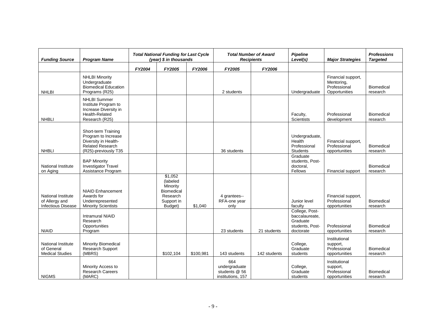| <b>Funding Source</b>                                             | <b>Program Name</b>                                                                                                   | <b>Total National Funding for Last Cycle</b><br>(year) \$ in thousands |                                                                                           |           | <b>Recipients</b>                                          | <b>Total Number of Award</b> | Pipeline<br>Level(s)                                                         | <b>Major Strategies</b>                                           | <b>Professions</b><br><b>Targeted</b> |
|-------------------------------------------------------------------|-----------------------------------------------------------------------------------------------------------------------|------------------------------------------------------------------------|-------------------------------------------------------------------------------------------|-----------|------------------------------------------------------------|------------------------------|------------------------------------------------------------------------------|-------------------------------------------------------------------|---------------------------------------|
|                                                                   |                                                                                                                       | FY2004                                                                 | FY2005                                                                                    | FY2006    | FY2005                                                     | FY2006                       |                                                                              |                                                                   |                                       |
| <b>NHLBI</b>                                                      | <b>NHLBI Minority</b><br>Undergraduate<br><b>Biomedical Education</b><br>Programs (R25)                               |                                                                        |                                                                                           |           | 2 students                                                 |                              | Undergraduate                                                                | Financial support,<br>Mentoring,<br>Professional<br>Opportunities | <b>Biomedical</b><br>research         |
| <b>NHBLI</b>                                                      | <b>NHLBI Summer</b><br>Institute Program to<br>Increase Diversity in<br>Health-Related<br>Research (R25)              |                                                                        |                                                                                           |           |                                                            |                              | Faculty,<br>Scientists                                                       | Professional<br>development                                       | <b>Biomedical</b><br>research         |
| <b>NHBLI</b>                                                      | Short-term Training<br>Program to Increase<br>Diversity in Health-<br><b>Related Research</b><br>(R25)-previously T35 |                                                                        |                                                                                           |           | 36 students                                                |                              | Undergraduate,<br><b>Health</b><br>Professional<br><b>Students</b>           | Financial support,<br>Professional<br>opportunities               | <b>Biomedical</b><br>research         |
| National Institute<br>on Aging                                    | <b>BAP Minority</b><br>Investigator Travel<br>Assistance Program                                                      |                                                                        |                                                                                           |           |                                                            |                              | Graduate<br>students, Post-<br>doctoral,<br>Fellows                          | Financial support                                                 | Biomedical<br>research                |
| National Institute<br>of Allergy and<br><b>Infectious Disease</b> | <b>NIAID Enhancement</b><br>Awards for<br>Underrepresented<br><b>Minority Scientists</b>                              |                                                                        | \$1,052<br>(labeled<br>Minority<br><b>Biomedical</b><br>Research<br>Support in<br>Budget) | \$1,040   | 4 grantees--<br>RFA-one year<br>only                       |                              | Junior level<br>faculty                                                      | Financial support,<br>Professional<br>opportunities               | Biomedical<br>research                |
| <b>NIAID</b>                                                      | <b>Intramural NIAID</b><br>Research<br>Opportunities<br>Program                                                       |                                                                        |                                                                                           |           | 23 students                                                | 21 students                  | College, Post-<br>baccalaureate,<br>Graduate<br>students, Post-<br>doctorate | Professional<br>opportunities                                     | <b>Biomedical</b><br>research         |
| National Institute<br>of General<br><b>Medical Studies</b>        | <b>Minority Biomedical</b><br>Research Support<br>(MBRS)                                                              |                                                                        | \$102,104                                                                                 | \$100,981 | 143 students                                               | 142 students                 | College,<br>Graduate<br>students                                             | Institutional<br>support,<br>Professional<br>opportunities        | <b>Biomedical</b><br>research         |
| <b>NIGMS</b>                                                      | Minority Access to<br><b>Research Careers</b><br>(MARC)                                                               |                                                                        |                                                                                           |           | 664<br>undergraduate<br>students @ 56<br>institutions, 157 |                              | College,<br>Graduate<br>students                                             | Institutional<br>support,<br>Professional<br>opportunities        | <b>Biomedical</b><br>research         |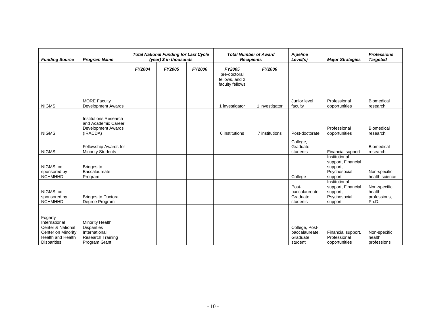| <b>Funding Source</b>                                                                                                 | <b>Program Name</b>                                                                                 | <b>Total National Funding for Last Cycle</b><br>(year) \$ in thousands |        |        |                                                   | <b>Total Number of Award</b><br><b>Recipients</b> | <b>Pipeline</b><br>Level(s)                             | <b>Major Strategies</b>                                                    | <b>Professions</b><br><b>Targeted</b>           |
|-----------------------------------------------------------------------------------------------------------------------|-----------------------------------------------------------------------------------------------------|------------------------------------------------------------------------|--------|--------|---------------------------------------------------|---------------------------------------------------|---------------------------------------------------------|----------------------------------------------------------------------------|-------------------------------------------------|
|                                                                                                                       |                                                                                                     | FY2004                                                                 | FY2005 | FY2006 | FY2005                                            | FY2006                                            |                                                         |                                                                            |                                                 |
|                                                                                                                       |                                                                                                     |                                                                        |        |        | pre-doctoral<br>fellows, and 2<br>faculty fellows |                                                   |                                                         |                                                                            |                                                 |
| <b>NIGMS</b>                                                                                                          | <b>MORE Faculty</b><br><b>Development Awards</b>                                                    |                                                                        |        |        | 1 investigator                                    | 1 investigator                                    | Junior level<br>faculty                                 | Professional<br>opportunities                                              | <b>Biomedical</b><br>research                   |
| <b>NIGMS</b>                                                                                                          | <b>Institutions Research</b><br>and Academic Career<br>Development Awards<br>(IRACDA)               |                                                                        |        |        | 6 institutions                                    | 7 institutions                                    | Post-doctorate                                          | Professional<br>opportunities                                              | <b>Biomedical</b><br>research                   |
| <b>NIGMS</b>                                                                                                          | Fellowship Awards for<br><b>Minority Students</b>                                                   |                                                                        |        |        |                                                   |                                                   | College,<br>Graduate<br>students                        | Financial support                                                          | Biomedical<br>research                          |
| NIGMS, co-<br>sponsored by<br><b>NCHMHHD</b>                                                                          | <b>Bridges to</b><br>Baccalaureate<br>Program                                                       |                                                                        |        |        |                                                   |                                                   | College                                                 | Institutional<br>support, Financial<br>support,<br>Psychosocial<br>support | Non-specific<br>health science                  |
| NIGMS, co-<br>sponsored by<br><b>NCHMHHD</b>                                                                          | <b>Bridges to Doctoral</b><br>Degree Program                                                        |                                                                        |        |        |                                                   |                                                   | Post-<br>baccalaureate.<br>Graduate<br>students         | Institutional<br>support, Financial<br>support,<br>Psychosocial<br>support | Non-specific<br>health<br>professions,<br>Ph.D. |
| Fogarty<br>International<br>Center & National<br>Center on Minority<br><b>Health and Health</b><br><b>Disparities</b> | Minority Health<br><b>Disparities</b><br>International<br><b>Research Training</b><br>Program Grant |                                                                        |        |        |                                                   |                                                   | College, Post-<br>baccalaureate,<br>Graduate<br>student | Financial support,<br>Professional<br>opportunities                        | Non-specific<br>health<br>professions           |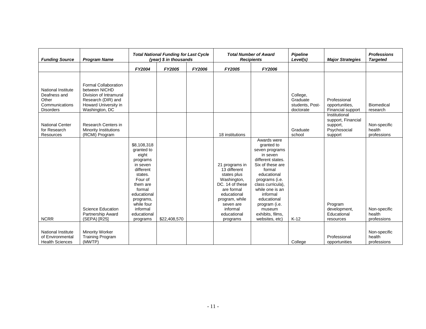| <b>Funding Source</b>                                                                    | <b>Program Name</b>                                                                                                                    | <b>Total National Funding for Last Cycle</b><br>(year) \$ in thousands                                                                                                                               |              |        |                                                                                                                                                                                    | <b>Total Number of Award</b><br><b>Recipients</b>                                                                                                                                                                                                                               | <b>Pipeline</b><br>Level(s)                          | <b>Major Strategies</b>                                                    | <b>Professions</b><br><b>Targeted</b> |
|------------------------------------------------------------------------------------------|----------------------------------------------------------------------------------------------------------------------------------------|------------------------------------------------------------------------------------------------------------------------------------------------------------------------------------------------------|--------------|--------|------------------------------------------------------------------------------------------------------------------------------------------------------------------------------------|---------------------------------------------------------------------------------------------------------------------------------------------------------------------------------------------------------------------------------------------------------------------------------|------------------------------------------------------|----------------------------------------------------------------------------|---------------------------------------|
|                                                                                          |                                                                                                                                        | FY2004                                                                                                                                                                                               | FY2005       | FY2006 | FY2005                                                                                                                                                                             | FY2006                                                                                                                                                                                                                                                                          |                                                      |                                                                            |                                       |
| <b>National Institute</b><br>Deafness and<br>Other<br>Communications<br><b>Disorders</b> | <b>Formal Collaboration</b><br>between NICHD<br>Division of Intramural<br>Research (DIR) and<br>Howard University in<br>Washington, DC |                                                                                                                                                                                                      |              |        |                                                                                                                                                                                    |                                                                                                                                                                                                                                                                                 | College,<br>Graduate<br>students, Post-<br>doctorate | Professional<br>opportunities,<br>Financial support                        | <b>Biomedical</b><br>research         |
| <b>National Center</b><br>for Research<br>Resources                                      | Research Centers in<br><b>Minority Institutions</b><br>(RCMI) Program                                                                  |                                                                                                                                                                                                      |              |        | 18 institutions                                                                                                                                                                    |                                                                                                                                                                                                                                                                                 | Graduate<br>school                                   | Institutional<br>support, Financial<br>support,<br>Psychosocial<br>support | Non-specific<br>health<br>professions |
| <b>NCRR</b>                                                                              | <b>Science Education</b><br>Partnership Award<br>(SEPA) [R25]                                                                          | \$8,108,318<br>granted to<br>eight<br>programs<br>in seven<br>different<br>states.<br>Four of<br>them are<br>formal<br>educational<br>programs,<br>while four<br>informal<br>educational<br>programs | \$22,408,570 |        | 21 programs in<br>13 different<br>states plus<br>Washington,<br>DC. 14 of these<br>are formal<br>educational<br>program, while<br>seven are<br>informal<br>educational<br>programs | Awards were<br>granted to<br>seven programs<br>in seven<br>different states.<br>Six of these are<br>formal<br>educational<br>programs (i.e.<br>class curricula),<br>while one is an<br>informal<br>educational<br>program (i.e.<br>museum<br>exhibits, films,<br>websites, etc) | $K-12$                                               | Program<br>development,<br>Educational<br>resources                        | Non-specific<br>health<br>professions |
| <b>National Institute</b><br>of Environmental<br><b>Health Sciences</b>                  | <b>Minority Worker</b><br><b>Training Program</b><br>(MWTP)                                                                            |                                                                                                                                                                                                      |              |        |                                                                                                                                                                                    |                                                                                                                                                                                                                                                                                 | College                                              | Professional<br>opportunities                                              | Non-specific<br>health<br>professions |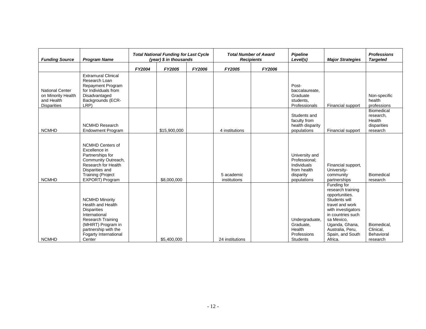| <b>Funding Source</b>                                                            | <b>Program Name</b>                                                                                                                                                                                   | <b>Total National Funding for Last Cycle</b><br>(year) $$$ in thousands |              |        |                            | <b>Total Number of Award</b><br><b>Recipients</b> | <b>Pipeline</b><br>Level(s)                                                               | <b>Major Strategies</b>                                                                                                                                                                                              | <b>Professions</b><br><b>Targeted</b>                        |
|----------------------------------------------------------------------------------|-------------------------------------------------------------------------------------------------------------------------------------------------------------------------------------------------------|-------------------------------------------------------------------------|--------------|--------|----------------------------|---------------------------------------------------|-------------------------------------------------------------------------------------------|----------------------------------------------------------------------------------------------------------------------------------------------------------------------------------------------------------------------|--------------------------------------------------------------|
|                                                                                  |                                                                                                                                                                                                       | FY2004                                                                  | FY2005       | FY2006 | FY2005                     | FY2006                                            |                                                                                           |                                                                                                                                                                                                                      |                                                              |
| <b>National Center</b><br>on Minority Health<br>and Health<br><b>Disparities</b> | <b>Extramural Clinical</b><br>Research Loan<br><b>Repayment Program</b><br>for Individuals from<br>Disadvantaged<br>Backgrounds (ECR-<br>LRP)                                                         |                                                                         |              |        |                            |                                                   | Post-<br>baccalaureate.<br>Graduate<br>students,<br>Professionals                         | Financial support                                                                                                                                                                                                    | Non-specific<br>health<br>professions                        |
| <b>NCMHD</b>                                                                     | <b>NCMHD Research</b><br><b>Endowment Program</b>                                                                                                                                                     |                                                                         | \$15,900,000 |        | 4 institutions             |                                                   | Students and<br>faculty from<br>health disparity<br>populations                           | Financial support                                                                                                                                                                                                    | Biomedical<br>research,<br>Health<br>disparities<br>research |
| <b>NCMHD</b>                                                                     | <b>NCMHD Centers of</b><br>Excellence in<br>Partnerships for<br>Community Outreach,<br>Research for Health<br>Disparities and<br><b>Training (Project</b><br>EXPORT) Program                          |                                                                         | \$8,000,000  |        | 5 academic<br>institutions |                                                   | University and<br>Professional:<br>Individuals<br>from health<br>disparity<br>populations | Financial support,<br>University-<br>community<br>partnerships                                                                                                                                                       | Biomedical<br>research                                       |
| <b>NCMHD</b>                                                                     | <b>NCMHD Minority</b><br><b>Health and Health</b><br><b>Disparities</b><br>International<br><b>Research Training</b><br>(MHIRT) Program in<br>partnership with the<br>Fogarty International<br>Center |                                                                         | \$5.400.000  |        | 24 institutions            |                                                   | Undergraduate.<br>Graduate,<br>Health<br>Professions<br><b>Students</b>                   | Funding for<br>research training<br>opportunities.<br>Students will<br>travel and work<br>with investigators<br>in countries such<br>sa Mexico,<br>Uganda, Ghana,<br>Australia, Peru,<br>Spain, and South<br>Africa. | Biomedical,<br>Clinical,<br>Behavioral<br>research           |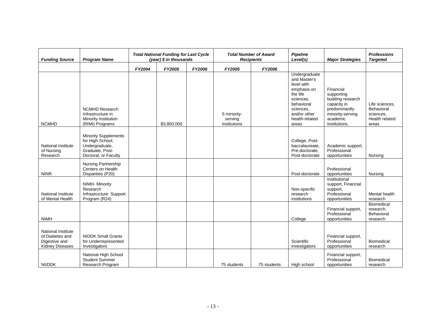| <b>Funding Source</b>                                                            | <b>Program Name</b>                                                                                          | <b>Total National Funding for Last Cycle</b><br>(year) \$ in thousands |             |        |                                        | <b>Total Number of Award</b><br><b>Recipients</b> | Pipeline<br>Level(s)                                                                                                                                      | <b>Major Strategies</b>                                                                                                       | <b>Professions</b><br><b>Targeted</b>                                |
|----------------------------------------------------------------------------------|--------------------------------------------------------------------------------------------------------------|------------------------------------------------------------------------|-------------|--------|----------------------------------------|---------------------------------------------------|-----------------------------------------------------------------------------------------------------------------------------------------------------------|-------------------------------------------------------------------------------------------------------------------------------|----------------------------------------------------------------------|
|                                                                                  |                                                                                                              | FY2004                                                                 | FY2005      | FY2006 | FY2005                                 | FY2006                                            |                                                                                                                                                           |                                                                                                                               |                                                                      |
| <b>NCMHD</b>                                                                     | <b>NCMHD Research</b><br>Infrastructure in<br>Minority Institution<br>(RIMI) Programs                        |                                                                        | \$3,800,000 |        | 5 minority-<br>serving<br>institutions |                                                   | Undergraduate<br>and Master's<br>level with<br>emphasis on<br>the life<br>sciences,<br>behavioral<br>sciences,<br>and/or other<br>health-related<br>areas | Financial<br>supporting<br>building research<br>capacity in<br>predominantly<br>minority-serving<br>academic<br>institutions. | Life sciences.<br>Behavioral<br>sciences.<br>Health related<br>areas |
| National Institute<br>of Nursing<br>Research                                     | <b>Minority Supplements</b><br>for High School,<br>Undergraduate,<br>Graduate, Post-<br>Doctoral, or Faculty |                                                                        |             |        |                                        |                                                   | College, Post-<br>baccalaureate,<br>Pre-doctorate,<br>Post-doctorate                                                                                      | Academic support,<br>Professional<br>opportunities                                                                            | Nursing                                                              |
| <b>NINR</b>                                                                      | Nursing Partnership<br>Centers on Health<br>Disparities (P20)                                                |                                                                        |             |        |                                        |                                                   | Post-doctorate                                                                                                                                            | Professional<br>opportunities                                                                                                 | Nursing                                                              |
| <b>National Institute</b><br>of Mental Health                                    | NIMH- Minority<br>Research<br>Infrastructure Support<br>Program (R24)                                        |                                                                        |             |        |                                        |                                                   | Non-specific<br>research<br>institutions                                                                                                                  | Institutional<br>support, Financial<br>support,<br>Professional<br>opportunities                                              | Mental health<br>research<br><b>Biomedical</b>                       |
| <b>NIMH</b>                                                                      |                                                                                                              |                                                                        |             |        |                                        |                                                   | College                                                                                                                                                   | Financial support,<br>Professional<br>opportunities                                                                           | research,<br>Behavioral<br>research                                  |
| National Institute<br>of Diabetes and<br>Digestive and<br><b>Kidney Diseases</b> | <b>NIDDK Small Grants</b><br>for Underrepresented<br>Investigators                                           |                                                                        |             |        |                                        |                                                   | Scientific<br>investigators                                                                                                                               | Financial support,<br>Professional<br>opportunities                                                                           | <b>Biomedical</b><br>research                                        |
| <b>NIIDDK</b>                                                                    | National High School<br><b>Student Summer</b><br>Research Program                                            |                                                                        |             |        | 75 students                            | 75 students                                       | High school                                                                                                                                               | Financial support,<br>Professional<br>opportunities                                                                           | <b>Biomedical</b><br>research                                        |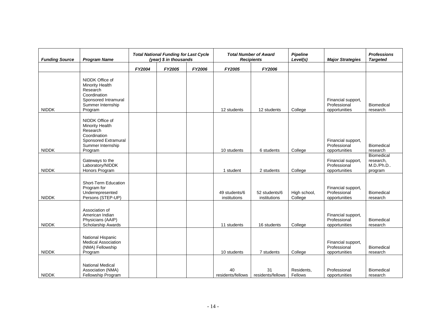| <b>Funding Source</b> | <b>Program Name</b>                                                                                                           | <b>Total National Funding for Last Cycle</b><br>(year) \$ in thousands |        |        |                               | <b>Total Number of Award</b><br><b>Recipients</b> | <b>Pipeline</b><br>Level(s) | <b>Major Strategies</b>                             | <b>Professions</b><br><b>Targeted</b>           |
|-----------------------|-------------------------------------------------------------------------------------------------------------------------------|------------------------------------------------------------------------|--------|--------|-------------------------------|---------------------------------------------------|-----------------------------|-----------------------------------------------------|-------------------------------------------------|
|                       |                                                                                                                               | FY2004                                                                 | FY2005 | FY2006 | FY2005                        | FY2006                                            |                             |                                                     |                                                 |
| <b>NIDDK</b>          | NIDDK Office of<br><b>Minority Health</b><br>Research<br>Coordination<br>Sponsored Intramural<br>Summer Internship<br>Program |                                                                        |        |        | 12 students                   | 12 students                                       | College                     | Financial support,<br>Professional<br>opportunities | Biomedical<br>research                          |
| <b>NIDDK</b>          | NIDDK Office of<br>Minority Health<br>Research<br>Coordination<br>Sponsored Extramural<br>Summer Internship<br>Program        |                                                                        |        |        | 10 students                   | 6 students                                        | College                     | Financial support,<br>Professional<br>opportunities | Biomedical<br>research                          |
| <b>NIDDK</b>          | Gateways to the<br>Laboratory/NIDDK<br>Honors Program                                                                         |                                                                        |        |        | 1 student                     | 2 students                                        | College                     | Financial support,<br>Professional<br>opportunities | Biomedical<br>research,<br>M.D./Ph.D<br>program |
| <b>NIDDK</b>          | Short-Term Education<br>Program for<br>Underrepresented<br>Persons (STEP-UP)                                                  |                                                                        |        |        | 49 students/6<br>institutions | 52 students/6<br>institutions                     | High school,<br>College     | Financial support,<br>Professional<br>opportunities | Biomedical<br>research                          |
| <b>NIDDK</b>          | Association of<br>American Indian<br>Physicians (AAIP)<br>Scholarship Awards                                                  |                                                                        |        |        | 11 students                   | 16 students                                       | College                     | Financial support,<br>Professional<br>opportunities | Biomedical<br>research                          |
| <b>NIDDK</b>          | National Hispanic<br><b>Medical Association</b><br>(NMA) Fellowship<br>Program                                                |                                                                        |        |        | 10 students                   | 7 students                                        | College                     | Financial support,<br>Professional<br>opportunities | Biomedical<br>research                          |
| <b>NIDDK</b>          | <b>National Medical</b><br>Association (NMA)<br>Fellowship Program                                                            |                                                                        |        |        | 40<br>residents/fellows       | 31<br>residents/fellows                           | Residents,<br>Fellows       | Professional<br>opportunities                       | Biomedical<br>research                          |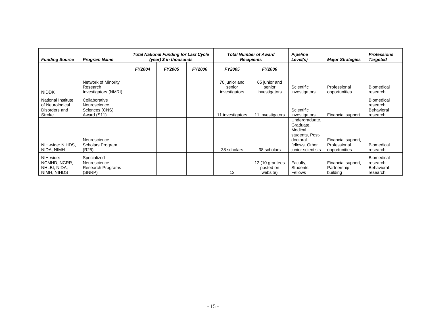| <b>Funding Source</b>                                            | <b>Program Name</b>                                            | <b>Total National Funding for Last Cycle</b><br>(year) \$ in thousands |        |        |                                          | <b>Total Number of Award</b><br><b>Recipients</b> | <b>Pipeline</b><br>Level(s)                                                                                  | <b>Major Strategies</b>                             | <b>Professions</b><br><b>Targeted</b>                    |
|------------------------------------------------------------------|----------------------------------------------------------------|------------------------------------------------------------------------|--------|--------|------------------------------------------|---------------------------------------------------|--------------------------------------------------------------------------------------------------------------|-----------------------------------------------------|----------------------------------------------------------|
|                                                                  |                                                                | <b>FY2004</b>                                                          | FY2005 | FY2006 | <b>FY2005</b>                            | <b>FY2006</b>                                     |                                                                                                              |                                                     |                                                          |
| <b>NIDDK</b>                                                     | Network of Minority<br>Research<br>Investigators (NMRI)        |                                                                        |        |        | 70 junior and<br>senior<br>investigators | 65 junior and<br>senior<br>investigators          | Scientific<br>investigators                                                                                  | Professional<br>opportunities                       | <b>Biomedical</b><br>research                            |
| National Institute<br>of Neurological<br>Disorders and<br>Stroke | Collaborative<br>Neuroscience<br>Sciences (CNS)<br>Award (S11) |                                                                        |        |        | 11 investigators                         | 11 investigators                                  | Scientific<br>investigators                                                                                  | Financial support                                   | Biomedical<br>research,<br>Behavioral<br>research        |
| NIH-wide: NIHDS,<br>NIDA, NIMH                                   | Neuroscience<br>Scholars Program<br>(R25)                      |                                                                        |        |        | 38 scholars                              | 38 scholars                                       | Undergraduate,<br>Graduate,<br>Medical<br>students, Post-<br>doctoral<br>fellows, Other<br>junior scientists | Financial support,<br>Professional<br>opportunities | <b>Biomedical</b><br>research                            |
| NIH-wide:<br>NCMHD, NCRR,<br>NHLBI, NIDA,<br>NIMH, NIHDS         | Specialized<br>Neuroscience<br>Research Programs<br>(SNRP)     |                                                                        |        |        | 12                                       | 12 (10 grantees<br>posted on<br>website)          | Faculty,<br>Students,<br><b>Fellows</b>                                                                      | Financial support,<br>Partnership<br>building       | Biomedical<br>research,<br><b>Behavioral</b><br>research |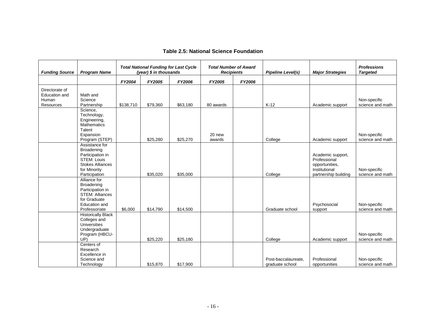| <b>Funding Source</b>                                               | <b>Program Name</b>                                                                                                                | <b>Total National Funding for Last Cycle</b><br>(year) \$ in thousands |          |          | <b>Total Number of Award</b><br><b>Recipients</b> |        | <b>Pipeline Level(s)</b>               | <b>Major Strategies</b>                                                                      | <b>Professions</b><br><b>Targeted</b> |
|---------------------------------------------------------------------|------------------------------------------------------------------------------------------------------------------------------------|------------------------------------------------------------------------|----------|----------|---------------------------------------------------|--------|----------------------------------------|----------------------------------------------------------------------------------------------|---------------------------------------|
|                                                                     |                                                                                                                                    | FY2004                                                                 | FY2005   | FY2006   | FY2005                                            | FY2006 |                                        |                                                                                              |                                       |
| Directorate of<br><b>Education and</b><br>Human<br><b>Resources</b> | Math and<br>Science<br>Partnership                                                                                                 | \$138,710                                                              | \$79,360 | \$63,180 | 80 awards                                         |        | $K-12$                                 | Academic support                                                                             | Non-specific<br>science and math      |
|                                                                     | Science,<br>Technology,<br>Engineering,<br><b>Mathematics</b><br>Talent<br>Expansion<br>Program (STEP)                             |                                                                        | \$25,280 | \$25,270 | 20 new<br>awards                                  |        | College                                | Academic support                                                                             | Non-specific<br>science and math      |
|                                                                     | Assistance for<br>Broadening<br>Participation in<br><b>STEM: Louis</b><br><b>Stokes Alliances</b><br>for Minority<br>Participation |                                                                        | \$35,020 | \$35,000 |                                                   |        | College                                | Academic support,<br>Professional<br>opportunities,<br>Institutional<br>partnership building | Non-specific<br>science and math      |
|                                                                     | Alliance for<br>Broadening<br>Participation in<br><b>STEM: Alliances</b><br>for Graduate<br><b>Education and</b><br>Professoriate  | \$6,000                                                                | \$14,790 | \$14,500 |                                                   |        | Graduate school                        | Psychosocial<br>support                                                                      | Non-specific<br>science and math      |
|                                                                     | <b>Historically Black</b><br>Colleges and<br><b>Universities</b><br>Undergraduate<br>Program (HBCU-<br>UP)                         |                                                                        | \$25,220 | \$25,180 |                                                   |        | College                                | Academic support                                                                             | Non-specific<br>science and math      |
|                                                                     | Centers of<br>Research<br>Excellence in<br>Science and<br>Technology                                                               |                                                                        | \$15,870 | \$17.900 |                                                   |        | Post-baccalaureate.<br>graduate school | Professional<br>opportunities                                                                | Non-specific<br>science and math      |

#### **Table 2.5: National Science Foundation**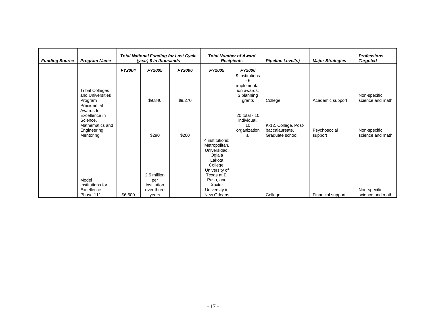| <b>Funding Source</b> | <b>Program Name</b>                                                                                    | <b>Total National Funding for Last Cycle</b><br>(year) \$ in thousands |                                                          | <b>Total Number of Award</b><br><b>Recipients</b> |                                                                                                                                                                         | <b>Pipeline Level(s)</b>                                                    | <b>Major Strategies</b>                                   | <b>Professions</b><br><b>Targeted</b> |                                  |
|-----------------------|--------------------------------------------------------------------------------------------------------|------------------------------------------------------------------------|----------------------------------------------------------|---------------------------------------------------|-------------------------------------------------------------------------------------------------------------------------------------------------------------------------|-----------------------------------------------------------------------------|-----------------------------------------------------------|---------------------------------------|----------------------------------|
|                       |                                                                                                        | FY2004                                                                 | FY2005                                                   | <b>FY2006</b>                                     | <b>FY2005</b>                                                                                                                                                           | FY2006                                                                      |                                                           |                                       |                                  |
|                       | <b>Tribal Colleges</b><br>and Universities<br>Program                                                  |                                                                        | \$9,840                                                  | \$9,270                                           |                                                                                                                                                                         | 9 institutions<br>- 6<br>implementat<br>ion awards,<br>3 planning<br>grants | College                                                   | Academic support                      | Non-specific<br>science and math |
|                       | Presidential<br>Awards for<br>Excellence in<br>Science,<br>Mathematics and<br>Engineering<br>Mentoring |                                                                        | \$290                                                    | \$200                                             |                                                                                                                                                                         | 20 total - 10<br>individual,<br>10<br>organization<br>al                    | K-12, College, Post-<br>baccalaureate,<br>Graduate school | Psychosocial<br>support               | Non-specific<br>science and math |
|                       | Model<br>Institutions for<br>Excellence-<br>Phase 111                                                  | \$6,600                                                                | 2.5 million<br>per<br>institution<br>over three<br>vears |                                                   | 4 institutions:<br>Metropolitan,<br>Universidad,<br>Oglala<br>Lakota<br>College,<br>University of<br>Texas at El<br>Paso, and<br>Xavier<br>University in<br>New Orleans |                                                                             | College                                                   | Financial support                     | Non-specific<br>science and math |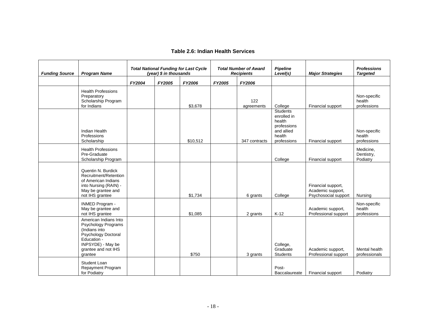#### **Table 2.6: Indian Health Services**

| <b>Funding Source</b> | <b>Program Name</b>                                                                                                                                               | <b>Total National Funding for Last Cycle</b><br>(year) \$ in thousands |        |          | <b>Total Number of Award</b><br><b>Recipients</b> | <b>Pipeline</b><br>Level(s) | <b>Major Strategies</b>                                                                        | <b>Professions</b><br><b>Targeted</b>                           |                                       |
|-----------------------|-------------------------------------------------------------------------------------------------------------------------------------------------------------------|------------------------------------------------------------------------|--------|----------|---------------------------------------------------|-----------------------------|------------------------------------------------------------------------------------------------|-----------------------------------------------------------------|---------------------------------------|
|                       |                                                                                                                                                                   | FY2004                                                                 | FY2005 | FY2006   | FY2005                                            | FY2006                      |                                                                                                |                                                                 |                                       |
|                       | <b>Health Professions</b><br>Preparatory<br>Scholarship Program<br>for Indians                                                                                    |                                                                        |        | \$3,678  |                                                   | 122<br>agreements           | College                                                                                        | Financial support                                               | Non-specific<br>health<br>professions |
|                       | Indian Health<br>Professions<br>Scholarship                                                                                                                       |                                                                        |        | \$10.512 |                                                   | 347 contracts               | <b>Students</b><br>enrolled in<br>health<br>professions<br>and allied<br>health<br>professions | Financial support                                               | Non-specific<br>health<br>professions |
|                       | <b>Health Professions</b><br>Pre-Graduate<br>Scholarship Program                                                                                                  |                                                                        |        |          |                                                   |                             | College                                                                                        | Financial support                                               | Medicine,<br>Dentistry,<br>Podiatry   |
|                       | Quentin N. Burdick<br>Recruitment/Retention<br>of American Indians<br>into Nursing (RAIN) -<br>May be grantee and<br>not IHS grantee                              |                                                                        |        | \$1,734  |                                                   | 6 grants                    | College                                                                                        | Financial support,<br>Academic support,<br>Psychosocial support | Nursing                               |
|                       | <b>INMED Program -</b><br>May be grantee and<br>not IHS grantee                                                                                                   |                                                                        |        | \$1,085  |                                                   | 2 grants                    | $K-12$                                                                                         | Academic support,<br>Professional support                       | Non-specific<br>health<br>professions |
|                       | American Indians Into<br>Psychology Programs<br>(Indians into<br><b>Psychology Doctoral</b><br>Education -<br>INPSYDE) - May be<br>grantee and not IHS<br>grantee |                                                                        |        | \$750    |                                                   | 3 grants                    | College,<br>Graduate<br>Students                                                               | Academic support,<br>Professional support                       | Mental health<br>professionals        |
|                       | Student Loan<br>Repayment Program<br>for Podiatry                                                                                                                 |                                                                        |        |          |                                                   |                             | Post-<br>Baccalaureate                                                                         | Financial support                                               | Podiatry                              |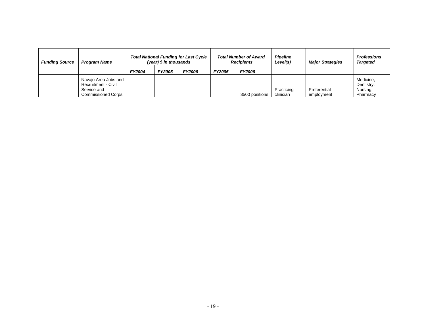| <b>Funding Source</b> | <b>Program Name</b>                                                                     | <b>Total National Funding for Last Cycle</b><br>(year) \$ in thousands |        |               | <b>Total Number of Award</b><br><b>Recipients</b> |                | <b>Pipeline</b><br>Level(s) | <b>Major Strategies</b>    | <b>Professions</b><br><b>Targeted</b>           |
|-----------------------|-----------------------------------------------------------------------------------------|------------------------------------------------------------------------|--------|---------------|---------------------------------------------------|----------------|-----------------------------|----------------------------|-------------------------------------------------|
|                       |                                                                                         | FY2004                                                                 | FY2005 | <b>FY2006</b> | FY2005                                            | <b>FY2006</b>  |                             |                            |                                                 |
|                       | Navajo Area Jobs and<br>Recruitment - Civil<br>Service and<br><b>Commissioned Corps</b> |                                                                        |        |               |                                                   | 3500 positions | Practicing<br>clinician     | Preferential<br>employment | Medicine,<br>Dentistry,<br>Nursing,<br>Pharmacy |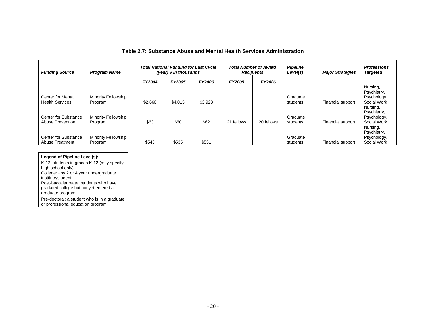| <b>Funding Source</b>                                 | <b>Program Name</b>            | <b>Total National Funding for Last Cycle</b><br>(year) $$$ in thousands |         | <b>Total Number of Award</b><br><b>Recipients</b> |               | <b>Pipeline</b><br>Level(s) | <b>Major Strategies</b> | <b>Professions</b><br><b>Targeted</b> |                                                       |
|-------------------------------------------------------|--------------------------------|-------------------------------------------------------------------------|---------|---------------------------------------------------|---------------|-----------------------------|-------------------------|---------------------------------------|-------------------------------------------------------|
|                                                       |                                | <b>FY2004</b>                                                           | FY2005  | FY2006                                            | <b>FY2005</b> | FY2006                      |                         |                                       |                                                       |
| <b>Center for Mental</b><br><b>Health Services</b>    | Minority Fellowship<br>Program | \$2,660                                                                 | \$4,013 | \$3,928                                           |               |                             | Graduate<br>students    | Financial support                     | Nursing,<br>Psychiatry,<br>Psychology,<br>Social Work |
| <b>Center for Substance</b><br>Abuse Prevention       | Minority Fellowship<br>Program | \$63                                                                    | \$60    | \$62                                              | 21 fellows    | 20 fellows                  | Graduate<br>students    | Financial support                     | Nursing,<br>Psychiatry,<br>Psychology,<br>Social Work |
| <b>Center for Substance</b><br><b>Abuse Treatment</b> | Minority Fellowship<br>Program | \$540                                                                   | \$535   | \$531                                             |               |                             | Graduate<br>students    | Financial support                     | Nursing,<br>Psychiatry,<br>Psychology,<br>Social Work |

#### **Table 2.7: Substance Abuse and Mental Health Services Administration**

# **Legend of Pipeline Level(s):**

K-12: students in grades K-12 (may specify high school only) College: any 2 or 4 year undergraduate institute/student Post-baccalaureate: students who have gradated college but not yet entered a graduate program

Pre-doctoral: a student who is in a graduate or professional education program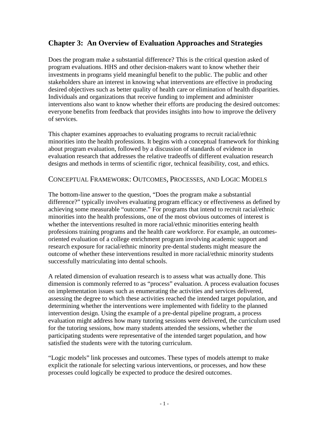# **Chapter 3: An Overview of Evaluation Approaches and Strategies**

Does the program make a substantial difference? This is the critical question asked of program evaluations. HHS and other decision-makers want to know whether their investments in programs yield meaningful benefit to the public. The public and other stakeholders share an interest in knowing what interventions are effective in producing desired objectives such as better quality of health care or elimination of health disparities. Individuals and organizations that receive funding to implement and administer interventions also want to know whether their efforts are producing the desired outcomes: everyone benefits from feedback that provides insights into how to improve the delivery of services.

This chapter examines approaches to evaluating programs to recruit racial/ethnic minorities into the health professions. It begins with a conceptual framework for thinking about program evaluation, followed by a discussion of standards of evidence in evaluation research that addresses the relative tradeoffs of different evaluation research designs and methods in terms of scientific rigor, technical feasibility, cost, and ethics.

# CONCEPTUAL FRAMEWORK: OUTCOMES, PROCESSES, AND LOGIC MODELS

The bottom-line answer to the question, "Does the program make a substantial difference?" typically involves evaluating program efficacy or effectiveness as defined by achieving some measurable "outcome." For programs that intend to recruit racial/ethnic minorities into the health professions, one of the most obvious outcomes of interest is whether the interventions resulted in more racial/ethnic minorities entering health professions training programs and the health care workforce. For example, an outcomesoriented evaluation of a college enrichment program involving academic support and research exposure for racial/ethnic minority pre-dental students might measure the outcome of whether these interventions resulted in more racial/ethnic minority students successfully matriculating into dental schools.

A related dimension of evaluation research is to assess what was actually done. This dimension is commonly referred to as "process" evaluation. A process evaluation focuses on implementation issues such as enumerating the activities and services delivered, assessing the degree to which these activities reached the intended target population, and determining whether the interventions were implemented with fidelity to the planned intervention design. Using the example of a pre-dental pipeline program, a process evaluation might address how many tutoring sessions were delivered, the curriculum used for the tutoring sessions, how many students attended the sessions, whether the participating students were representative of the intended target population, and how satisfied the students were with the tutoring curriculum.

"Logic models" link processes and outcomes. These types of models attempt to make explicit the rationale for selecting various interventions, or processes, and how these processes could logically be expected to produce the desired outcomes.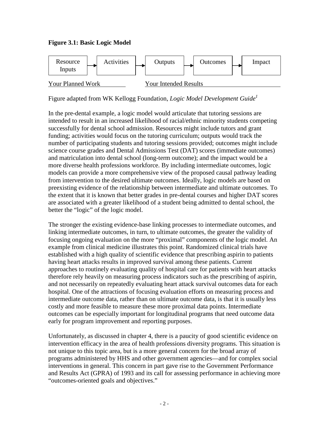# **Figure 3.1: Basic Logic Model**



Figure adapted from WK Kellogg Foundation, *Logic Model Development Guide1* 

In the pre-dental example, a logic model would articulate that tutoring sessions are intended to result in an increased likelihood of racial/ethnic minority students competing successfully for dental school admission. Resources might include tutors and grant funding; activities would focus on the tutoring curriculum; outputs would track the number of participating students and tutoring sessions provided; outcomes might include science course grades and Dental Admissions Test (DAT) scores (immediate outcomes) and matriculation into dental school (long-term outcome); and the impact would be a more diverse health professions workforce. By including intermediate outcomes, logic models can provide a more comprehensive view of the proposed causal pathway leading from intervention to the desired ultimate outcomes. Ideally, logic models are based on preexisting evidence of the relationship between intermediate and ultimate outcomes. To the extent that it is known that better grades in pre-dental courses and higher DAT scores are associated with a greater likelihood of a student being admitted to dental school, the better the "logic" of the logic model.

The stronger the existing evidence-base linking processes to intermediate outcomes, and linking intermediate outcomes, in turn, to ultimate outcomes, the greater the validity of focusing ongoing evaluation on the more "proximal" components of the logic model. An example from clinical medicine illustrates this point. Randomized clinical trials have established with a high quality of scientific evidence that prescribing aspirin to patients having heart attacks results in improved survival among these patients. Current approaches to routinely evaluating quality of hospital care for patients with heart attacks therefore rely heavily on measuring process indicators such as the prescribing of aspirin, and not necessarily on repeatedly evaluating heart attack survival outcomes data for each hospital. One of the attractions of focusing evaluation efforts on measuring process and intermediate outcome data, rather than on ultimate outcome data, is that it is usually less costly and more feasible to measure these more proximal data points. Intermediate outcomes can be especially important for longitudinal programs that need outcome data early for program improvement and reporting purposes.

Unfortunately, as discussed in chapter 4, there is a paucity of good scientific evidence on intervention efficacy in the area of health professions diversity programs. This situation is not unique to this topic area, but is a more general concern for the broad array of programs administered by HHS and other government agencies—and for complex social interventions in general. This concern in part gave rise to the Government Performance and Results Act (GPRA) of 1993 and its call for assessing performance in achieving more "outcomes-oriented goals and objectives."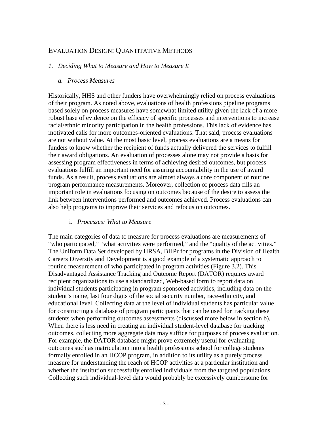# EVALUATION DESIGN: QUANTITATIVE METHODS

### *1. Deciding What to Measure and How to Measure It*

### *a. Process Measures*

Historically, HHS and other funders have overwhelmingly relied on process evaluations of their program. As noted above, evaluations of health professions pipeline programs based solely on process measures have somewhat limited utility given the lack of a more robust base of evidence on the efficacy of specific processes and interventions to increase racial/ethnic minority participation in the health professions. This lack of evidence has motivated calls for more outcomes-oriented evaluations. That said, process evaluations are not without value. At the most basic level, process evaluations are a means for funders to know whether the recipient of funds actually delivered the services to fulfill their award obligations. An evaluation of processes alone may not provide a basis for assessing program effectiveness in terms of achieving desired outcomes, but process evaluations fulfill an important need for assuring accountability in the use of award funds. As a result, process evaluations are almost always a core component of routine program performance measurements. Moreover, collection of process data fills an important role in evaluations focusing on outcomes because of the desire to assess the link between interventions performed and outcomes achieved. Process evaluations can also help programs to improve their services and refocus on outcomes.

## i. *Processes: What to Measure*

The main categories of data to measure for process evaluations are measurements of "who participated," "what activities were performed," and the "quality of the activities." The Uniform Data Set developed by HRSA, BHPr for programs in the Division of Health Careers Diversity and Development is a good example of a systematic approach to routine measurement of who participated in program activities (Figure 3.2). This Disadvantaged Assistance Tracking and Outcome Report (DATOR) requires award recipient organizations to use a standardized, Web-based form to report data on individual students participating in program sponsored activities, including data on the student's name, last four digits of the social security number, race-ethnicity, and educational level. Collecting data at the level of individual students has particular value for constructing a database of program participants that can be used for tracking these students when performing outcomes assessments (discussed more below in section b). When there is less need in creating an individual student-level database for tracking outcomes, collecting more aggregate data may suffice for purposes of process evaluation. For example, the DATOR database might prove extremely useful for evaluating outcomes such as matriculation into a health professions school for college students formally enrolled in an HCOP program, in addition to its utility as a purely process measure for understanding the reach of HCOP activities at a particular institution and whether the institution successfully enrolled individuals from the targeted populations. Collecting such individual-level data would probably be excessively cumbersome for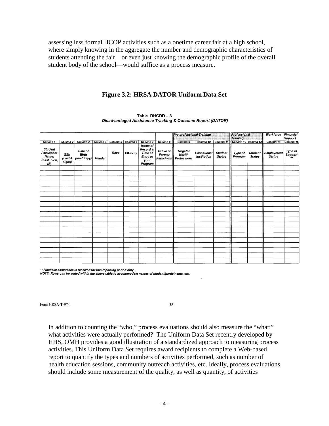assessing less formal HCOP activities such as a onetime career fair at a high school, where simply knowing in the aggregate the number and demographic characteristics of students attending the fair—or even just knowing the demographic profile of the overall student body of the school—would suffice as a process measure.

## **Figure 3.2: HRSA DATOR Uniform Data Set**

|                                                                |                           |                                       |          |          |           |                                                                                     |                                           | <b>Pre-professional Training</b>  | service control of the model of the reason |                                 | Professional<br>Training |                                 | Workforce                   | Financial<br><b>Support</b> |
|----------------------------------------------------------------|---------------------------|---------------------------------------|----------|----------|-----------|-------------------------------------------------------------------------------------|-------------------------------------------|-----------------------------------|--------------------------------------------|---------------------------------|--------------------------|---------------------------------|-----------------------------|-----------------------------|
| Column 1                                                       | Column <sub>2</sub>       | Column 3                              | Column 4 | Column 5 | Column 6  | Column <sub>7</sub>                                                                 | Column 8                                  | Column 9                          | Column 10                                  | Column <sub>11</sub>            | Column 12 Column 13      |                                 | Column 14                   | Column 15                   |
| <b>Student</b><br>Participant<br>Name:<br>(Last, First,<br>MI) | SSN<br>(Last 4<br>digits) | Date of<br><b>Birth</b><br>(mm/dd/yy) | Gender   | Race     | Ethnicity | <b>Home of</b><br>Record at<br><b>Time of</b><br><b>Entry to</b><br>your<br>Program | Active or<br><b>Former</b><br>Participant | Targeted<br>Health<br>Professions | <b>Educational</b><br><b>Institution</b>   | <b>Student</b><br><b>Status</b> | Type of<br>Program       | <b>Student</b><br><b>Status</b> | Employment<br><b>Status</b> | Type of<br>Support          |
|                                                                |                           |                                       |          |          |           |                                                                                     |                                           |                                   |                                            |                                 |                          |                                 |                             |                             |
|                                                                |                           |                                       |          |          |           |                                                                                     |                                           |                                   |                                            |                                 |                          |                                 |                             |                             |
|                                                                |                           |                                       |          |          |           |                                                                                     |                                           |                                   |                                            |                                 |                          |                                 |                             |                             |
|                                                                |                           |                                       |          |          |           |                                                                                     |                                           |                                   |                                            |                                 |                          |                                 |                             |                             |
|                                                                |                           |                                       |          |          |           |                                                                                     |                                           |                                   |                                            |                                 |                          |                                 |                             |                             |
|                                                                |                           |                                       |          |          |           |                                                                                     |                                           |                                   |                                            |                                 |                          |                                 |                             |                             |
|                                                                |                           |                                       |          |          |           |                                                                                     |                                           |                                   |                                            |                                 |                          |                                 |                             |                             |
|                                                                |                           |                                       |          |          |           |                                                                                     |                                           |                                   |                                            |                                 |                          |                                 |                             |                             |
|                                                                |                           |                                       |          |          |           |                                                                                     |                                           |                                   |                                            |                                 |                          |                                 |                             |                             |
|                                                                |                           |                                       |          |          |           |                                                                                     |                                           |                                   |                                            |                                 |                          |                                 |                             |                             |
|                                                                |                           |                                       |          |          |           |                                                                                     |                                           |                                   |                                            |                                 |                          |                                 |                             |                             |
|                                                                |                           |                                       |          |          |           |                                                                                     |                                           |                                   |                                            |                                 |                          |                                 |                             |                             |
|                                                                |                           |                                       |          |          |           |                                                                                     |                                           |                                   |                                            |                                 |                          |                                 |                             |                             |
|                                                                |                           |                                       |          |          |           |                                                                                     |                                           |                                   |                                            |                                 |                          |                                 |                             |                             |
|                                                                |                           |                                       |          |          |           |                                                                                     |                                           |                                   |                                            |                                 |                          |                                 |                             |                             |
|                                                                |                           |                                       |          |          |           |                                                                                     |                                           |                                   |                                            |                                 |                          |                                 |                             |                             |
|                                                                |                           |                                       |          |          |           |                                                                                     |                                           |                                   |                                            |                                 |                          |                                 |                             |                             |

Table DHCDD-3 Disadvantaged Assistance Tracking & Outcome Report (DATOR)

\*\* Financial assistance is received for this reporting period only.<br>NOTE: Rows can be added within the above table to accommodate names of student/particinants, etc.

Form HRSA-T-97-1

 $38$ 

In addition to counting the "who," process evaluations should also measure the "what:" what activities were actually performed? The Uniform Data Set recently developed by HHS, OMH provides a good illustration of a standardized approach to measuring process activities. This Uniform Data Set requires award recipients to complete a Web-based report to quantify the types and numbers of activities performed, such as number of health education sessions, community outreach activities, etc. Ideally, process evaluations should include some measurement of the quality, as well as quantity, of activities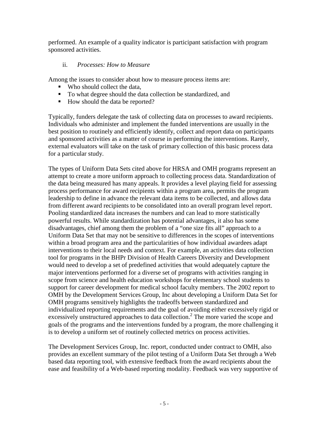performed. An example of a quality indicator is participant satisfaction with program sponsored activities.

# ii. *Processes: How to Measure*

Among the issues to consider about how to measure process items are:

- Who should collect the data,
- To what degree should the data collection be standardized, and
- How should the data be reported?

Typically, funders delegate the task of collecting data on processes to award recipients. Individuals who administer and implement the funded interventions are usually in the best position to routinely and efficiently identify, collect and report data on participants and sponsored activities as a matter of course in performing the interventions. Rarely, external evaluators will take on the task of primary collection of this basic process data for a particular study.

The types of Uniform Data Sets cited above for HRSA and OMH programs represent an attempt to create a more uniform approach to collecting process data. Standardization of the data being measured has many appeals. It provides a level playing field for assessing process performance for award recipients within a program area, permits the program leadership to define in advance the relevant data items to be collected, and allows data from different award recipients to be consolidated into an overall program level report. Pooling standardized data increases the numbers and can lead to more statistically powerful results. While standardization has potential advantages, it also has some disadvantages, chief among them the problem of a "one size fits all" approach to a Uniform Data Set that may not be sensitive to differences in the scopes of interventions within a broad program area and the particularities of how individual awardees adapt interventions to their local needs and context. For example, an activities data collection tool for programs in the BHPr Division of Health Careers Diversity and Development would need to develop a set of predefined activities that would adequately capture the major interventions performed for a diverse set of programs with activities ranging in scope from science and health education workshops for elementary school students to support for career development for medical school faculty members. The 2002 report to OMH by the Development Services Group, Inc about developing a Uniform Data Set for OMH programs sensitively highlights the tradeoffs between standardized and individualized reporting requirements and the goal of avoiding either excessively rigid or excessively unstructured approaches to data collection.<sup>2</sup> The more varied the scope and goals of the programs and the interventions funded by a program, the more challenging it is to develop a uniform set of routinely collected metrics on process activities.

The Development Services Group, Inc. report, conducted under contract to OMH, also provides an excellent summary of the pilot testing of a Uniform Data Set through a Web based data reporting tool, with extensive feedback from the award recipients about the ease and feasibility of a Web-based reporting modality. Feedback was very supportive of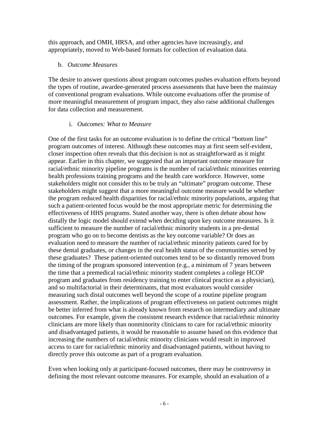this approach, and OMH, HRSA, and other agencies have increasingly, and appropriately, moved to Web-based formats for collection of evaluation data.

# b. *Outcome Measures*

The desire to answer questions about program outcomes pushes evaluation efforts beyond the types of routine, awardee-generated process assessments that have been the mainstay of conventional program evaluations. While outcome evaluations offer the promise of more meaningful measurement of program impact, they also raise additional challenges for data collection and measurement.

# i. *Outcomes: What to Measure*

One of the first tasks for an outcome evaluation is to define the critical "bottom line" program outcomes of interest. Although these outcomes may at first seem self-evident, closer inspection often reveals that this decision is not as straightforward as it might appear. Earlier in this chapter, we suggested that an important outcome measure for racial/ethnic minority pipeline programs is the number of racial/ethnic minorities entering health professions training programs and the health care workforce. However, some stakeholders might not consider this to be truly an "ultimate" program outcome. These stakeholders might suggest that a more meaningful outcome measure would be whether the program reduced health disparities for racial/ethnic minority populations, arguing that such a patient-oriented focus would be the most appropriate metric for determining the effectiveness of HHS programs. Stated another way, there is often debate about how distally the logic model should extend when deciding upon key outcome measures. Is it sufficient to measure the number of racial/ethnic minority students in a pre-dental program who go on to become dentists as the key outcome variable? Or does an evaluation need to measure the number of racial/ethnic minority patients cared for by these dental graduates, or changes in the oral health status of the communities served by these graduates? These patient-oriented outcomes tend to be so distantly removed from the timing of the program sponsored intervention (e.g., a minimum of 7 years between the time that a premedical racial/ethnic minority student completes a college HCOP program and graduates from residency training to enter clinical practice as a physician), and so multifactorial in their determinants, that most evaluators would consider measuring such distal outcomes well beyond the scope of a routine pipeline program assessment. Rather, the implications of program effectiveness on patient outcomes might be better inferred from what is already known from research on intermediary and ultimate outcomes. For example, given the consistent research evidence that racial/ethnic minority clinicians are more likely than nonminority clinicians to care for racial/ethnic minority and disadvantaged patients, it would be reasonable to assume based on this evidence that increasing the numbers of racial/ethnic minority clinicians would result in improved access to care for racial/ethnic minority and disadvantaged patients, without having to directly prove this outcome as part of a program evaluation.

Even when looking only at participant-focused outcomes, there may be controversy in defining the most relevant outcome measures. For example, should an evaluation of a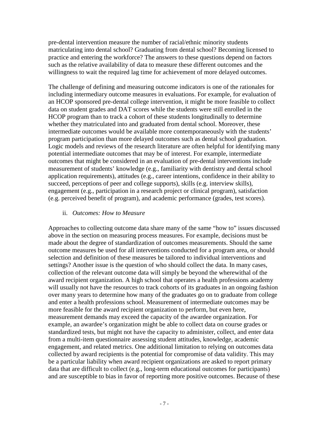pre-dental intervention measure the number of racial/ethnic minority students matriculating into dental school? Graduating from dental school? Becoming licensed to practice and entering the workforce? The answers to these questions depend on factors such as the relative availability of data to measure these different outcomes and the willingness to wait the required lag time for achievement of more delayed outcomes.

The challenge of defining and measuring outcome indicators is one of the rationales for including intermediary outcome measures in evaluations. For example, for evaluation of an HCOP sponsored pre-dental college intervention, it might be more feasible to collect data on student grades and DAT scores while the students were still enrolled in the HCOP program than to track a cohort of these students longitudinally to determine whether they matriculated into and graduated from dental school. Moreover, these intermediate outcomes would be available more contemporaneously with the students' program participation than more delayed outcomes such as dental school graduation. Logic models and reviews of the research literature are often helpful for identifying many potential intermediate outcomes that may be of interest. For example, intermediate outcomes that might be considered in an evaluation of pre-dental interventions include measurement of students' knowledge (e.g., familiarity with dentistry and dental school application requirements), attitudes (e.g., career intentions, confidence in their ability to succeed, perceptions of peer and college supports), skills (e.g. interview skills), engagement (e.g., participation in a research project or clinical program), satisfaction (e.g. perceived benefit of program), and academic performance (grades, test scores).

#### ii. *Outcomes: How to Measure*

Approaches to collecting outcome data share many of the same "how to" issues discussed above in the section on measuring process measures. For example, decisions must be made about the degree of standardization of outcomes measurements. Should the same outcome measures be used for all interventions conducted for a program area, or should selection and definition of these measures be tailored to individual interventions and settings? Another issue is the question of who should collect the data. In many cases, collection of the relevant outcome data will simply be beyond the wherewithal of the award recipient organization. A high school that operates a health professions academy will usually not have the resources to track cohorts of its graduates in an ongoing fashion over many years to determine how many of the graduates go on to graduate from college and enter a health professions school. Measurement of intermediate outcomes may be more feasible for the award recipient organization to perform, but even here, measurement demands may exceed the capacity of the awardee organization. For example, an awardee's organization might be able to collect data on course grades or standardized tests, but might not have the capacity to administer, collect, and enter data from a multi-item questionnaire assessing student attitudes, knowledge, academic engagement, and related metrics. One additional limitation to relying on outcomes data collected by award recipients is the potential for compromise of data validity. This may be a particular liability when award recipient organizations are asked to report primary data that are difficult to collect (e.g., long-term educational outcomes for participants) and are susceptible to bias in favor of reporting more positive outcomes. Because of these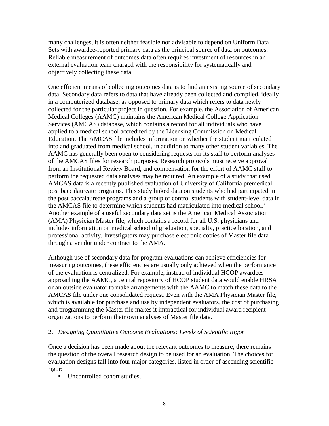many challenges, it is often neither feasible nor advisable to depend on Uniform Data Sets with awardee-reported primary data as the principal source of data on outcomes. Reliable measurement of outcomes data often requires investment of resources in an external evaluation team charged with the responsibility for systematically and objectively collecting these data.

One efficient means of collecting outcomes data is to find an existing source of secondary data. Secondary data refers to data that have already been collected and compiled, ideally in a computerized database, as opposed to primary data which refers to data newly collected for the particular project in question. For example, the Association of American Medical Colleges (AAMC) maintains the American Medical College Application Services (AMCAS) database, which contains a record for all individuals who have applied to a medical school accredited by the Licensing Commission on Medical Education. The AMCAS file includes information on whether the student matriculated into and graduated from medical school, in addition to many other student variables. The AAMC has generally been open to considering requests for its staff to perform analyses of the AMCAS files for research purposes. Research protocols must receive approval from an Institutional Review Board, and compensation for the effort of AAMC staff to perform the requested data analyses may be required. An example of a study that used AMCAS data is a recently published evaluation of University of California premedical post baccalaureate programs. This study linked data on students who had participated in the post baccalaureate programs and a group of control students with student-level data in the AMCAS file to determine which students had matriculated into medical school.<sup>3</sup> Another example of a useful secondary data set is the American Medical Association (AMA) Physician Master file, which contains a record for all U.S. physicians and includes information on medical school of graduation, specialty, practice location, and professional activity. Investigators may purchase electronic copies of Master file data through a vendor under contract to the AMA.

Although use of secondary data for program evaluations can achieve efficiencies for measuring outcomes, these efficiencies are usually only achieved when the performance of the evaluation is centralized. For example, instead of individual HCOP awardees approaching the AAMC, a central repository of HCOP student data would enable HRSA or an outside evaluator to make arrangements with the AAMC to match these data to the AMCAS file under one consolidated request. Even with the AMA Physician Master file, which is available for purchase and use by independent evaluators, the cost of purchasing and programming the Master file makes it impractical for individual award recipient organizations to perform their own analyses of Master file data.

## 2. *Designing Quantitative Outcome Evaluations: Levels of Scientific Rigor*

Once a decision has been made about the relevant outcomes to measure, there remains the question of the overall research design to be used for an evaluation. The choices for evaluation designs fall into four major categories, listed in order of ascending scientific rigor:

Uncontrolled cohort studies.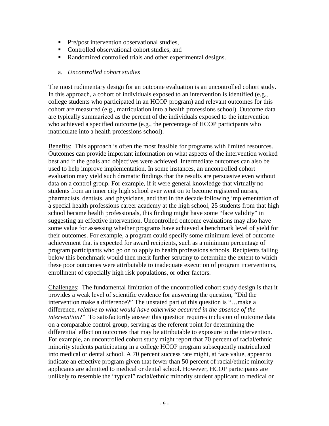- **Pre/post intervention observational studies,**
- Controlled observational cohort studies, and
- Randomized controlled trials and other experimental designs.
- a. *Uncontrolled cohort studies*

The most rudimentary design for an outcome evaluation is an uncontrolled cohort study. In this approach, a cohort of individuals exposed to an intervention is identified (e.g., college students who participated in an HCOP program) and relevant outcomes for this cohort are measured (e.g., matriculation into a health professions school). Outcome data are typically summarized as the percent of the individuals exposed to the intervention who achieved a specified outcome (e.g., the percentage of HCOP participants who matriculate into a health professions school).

Benefits: This approach is often the most feasible for programs with limited resources. Outcomes can provide important information on what aspects of the intervention worked best and if the goals and objectives were achieved. Intermediate outcomes can also be used to help improve implementation. In some instances, an uncontrolled cohort evaluation may yield such dramatic findings that the results are persuasive even without data on a control group. For example, if it were general knowledge that virtually no students from an inner city high school ever went on to become registered nurses, pharmacists, dentists, and physicians, and that in the decade following implementation of a special health professions career academy at the high school, 25 students from that high school became health professionals, this finding might have some "face validity" in suggesting an effective intervention. Uncontrolled outcome evaluations may also have some value for assessing whether programs have achieved a benchmark level of yield for their outcomes. For example, a program could specify some minimum level of outcome achievement that is expected for award recipients, such as a minimum percentage of program participants who go on to apply to health professions schools. Recipients falling below this benchmark would then merit further scrutiny to determine the extent to which these poor outcomes were attributable to inadequate execution of program interventions, enrollment of especially high risk populations, or other factors.

Challenges: The fundamental limitation of the uncontrolled cohort study design is that it provides a weak level of scientific evidence for answering the question, "Did the intervention make a difference?" The unstated part of this question is "…make a difference, *relative to what would have otherwise occurred in the absence of the intervention*?" To satisfactorily answer this question requires inclusion of outcome data on a comparable control group, serving as the referent point for determining the differential effect on outcomes that may be attributable to exposure to the intervention. For example, an uncontrolled cohort study might report that 70 percent of racial/ethnic minority students participating in a college HCOP program subsequently matriculated into medical or dental school. A 70 percent success rate might, at face value, appear to indicate an effective program given that fewer than 50 percent of racial/ethnic minority applicants are admitted to medical or dental school. However, HCOP participants are unlikely to resemble the "typical" racial/ethnic minority student applicant to medical or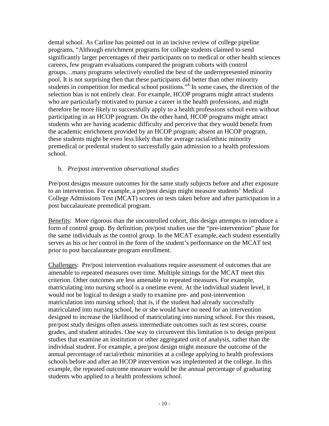dental school. As Carline has pointed out in an incisive review of college pipeline programs, "Although enrichment programs for college students claimed to send significantly larger percentages of their participants on to medical or other health sciences careers, few program evaluations compared the program cohorts with control groups…many programs selectively enrolled the best of the underrepresented minority pool. It is not surprising then that these participants did better than other minority students in competition for medical school positions."<sup>4</sup> In some cases, the direction of the selection bias is not entirely clear. For example, HCOP programs might attract students who are particularly motivated to pursue a career in the health professions, and might therefore be more likely to successfully apply to a health professions school even without participating in an HCOP program. On the other hand, HCOP programs might attract students who are having academic difficulty and perceive that they would benefit from the academic enrichment provided by an HCOP program; absent an HCOP program, these students might be even less likely than the average racial/ethnic minority premedical or predental student to successfully gain admission to a health professions school.

## b. *Pre/post intervention observational studies*

Pre/post designs measure outcomes for the same study subjects before and after exposure to an intervention. For example, a pre/post design might measure students' Medical College Admissions Test (MCAT) scores on tests taken before and after participation in a post baccalaureate premedical program.

Benefits: More rigorous than the uncontrolled cohort, this design attempts to introduce a form of control group. By definition, pre/post studies use the "pre-intervention" phase for the same individuals as the control group. In the MCAT example, each student essentially serves as his or her control in the form of the student's performance on the MCAT test prior to post baccalaureate program enrollment.

Challenges: Pre/post intervention evaluations require assessment of outcomes that are amenable to repeated measures over time. Multiple sittings for the MCAT meet this criterion. Other outcomes are less amenable to repeated measures. For example, matriculating into nursing school is a onetime event. At the individual student level, it would not be logical to design a study to examine pre- and post-intervention matriculation into nursing school; that is, if the student had already successfully matriculated into nursing school, he or she would have no need for an intervention designed to increase the likelihood of matriculating into nursing school. For this reason, pre/post study designs often assess intermediate outcomes such as test scores, course grades, and student attitudes. One way to circumvent this limitation is to design pre/post studies that examine an institution or other aggregated unit of analysis, rather than the individual student. For example, a pre/post design might measure the outcome of the annual percentage of racial/ethnic minorities at a college applying to health professions schools before and after an HCOP intervention was implemented at the college. In this example, the repeated outcome measure would be the annual percentage of graduating students who applied to a health professions school.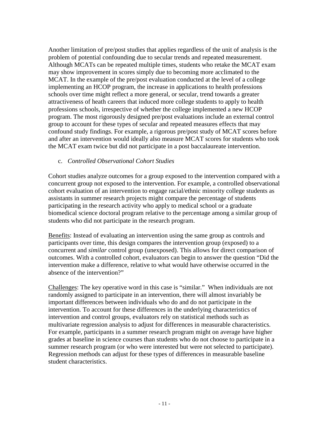Another limitation of pre/post studies that applies regardless of the unit of analysis is the problem of potential confounding due to secular trends and repeated measurement. Although MCATs can be repeated multiple times, students who retake the MCAT exam may show improvement in scores simply due to becoming more acclimated to the MCAT. In the example of the pre/post evaluation conducted at the level of a college implementing an HCOP program, the increase in applications to health professions schools over time might reflect a more general, or secular, trend towards a greater attractiveness of heath careers that induced more college students to apply to health professions schools, irrespective of whether the college implemented a new HCOP program. The most rigorously designed pre/post evaluations include an external control group to account for these types of secular and repeated measures effects that may confound study findings. For example, a rigorous pre/post study of MCAT scores before and after an intervention would ideally also measure MCAT scores for students who took the MCAT exam twice but did not participate in a post baccalaureate intervention.

### c. *Controlled Observational Cohort Studies*

Cohort studies analyze outcomes for a group exposed to the intervention compared with a concurrent group not exposed to the intervention. For example, a controlled observational cohort evaluation of an intervention to engage racial/ethnic minority college students as assistants in summer research projects might compare the percentage of students participating in the research activity who apply to medical school or a graduate biomedical science doctoral program relative to the percentage among a similar group of students who did not participate in the research program.

Benefits: Instead of evaluating an intervention using the same group as controls and participants over time, this design compares the intervention group (exposed) to a concurrent and *similar* control group (unexposed). This allows for direct comparison of outcomes. With a controlled cohort, evaluators can begin to answer the question "Did the intervention make a difference, relative to what would have otherwise occurred in the absence of the intervention?"

Challenges: The key operative word in this case is "similar." When individuals are not randomly assigned to participate in an intervention, there will almost invariably be important differences between individuals who do and do not participate in the intervention. To account for these differences in the underlying characteristics of intervention and control groups, evaluators rely on statistical methods such as multivariate regression analysis to adjust for differences in measurable characteristics. For example, participants in a summer research program might on average have higher grades at baseline in science courses than students who do not choose to participate in a summer research program (or who were interested but were not selected to participate). Regression methods can adjust for these types of differences in measurable baseline student characteristics.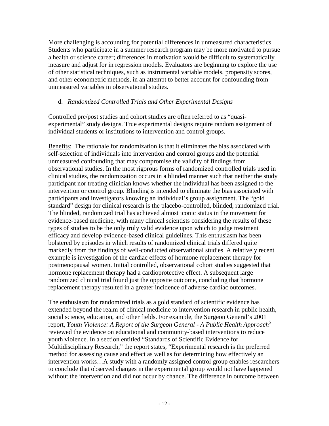More challenging is accounting for potential differences in unmeasured characteristics. Students who participate in a summer research program may be more motivated to pursue a health or science career; differences in motivation would be difficult to systematically measure and adjust for in regression models. Evaluators are beginning to explore the use of other statistical techniques, such as instrumental variable models, propensity scores, and other econometric methods, in an attempt to better account for confounding from unmeasured variables in observational studies.

## d. *Randomized Controlled Trials and Other Experimental Designs*

Controlled pre/post studies and cohort studies are often referred to as "quasiexperimental" study designs. True experimental designs require random assignment of individual students or institutions to intervention and control groups.

Benefits: The rationale for randomization is that it eliminates the bias associated with self-selection of individuals into intervention and control groups and the potential unmeasured confounding that may compromise the validity of findings from observational studies. In the most rigorous forms of randomized controlled trials used in clinical studies, the randomization occurs in a blinded manner such that neither the study participant nor treating clinician knows whether the individual has been assigned to the intervention or control group. Blinding is intended to eliminate the bias associated with participants and investigators knowing an individual's group assignment. The "gold standard" design for clinical research is the placebo-controlled, blinded, randomized trial. The blinded, randomized trial has achieved almost iconic status in the movement for evidence-based medicine, with many clinical scientists considering the results of these types of studies to be the only truly valid evidence upon which to judge treatment efficacy and develop evidence-based clinical guidelines. This enthusiasm has been bolstered by episodes in which results of randomized clinical trials differed quite markedly from the findings of well-conducted observational studies. A relatively recent example is investigation of the cardiac effects of hormone replacement therapy for postmenopausal women. Initial controlled, observational cohort studies suggested that hormone replacement therapy had a cardioprotective effect. A subsequent large randomized clinical trial found just the opposite outcome, concluding that hormone replacement therapy resulted in a greater incidence of adverse cardiac outcomes.

The enthusiasm for randomized trials as a gold standard of scientific evidence has extended beyond the realm of clinical medicine to intervention research in public health, social science, education, and other fields. For example, the Surgeon General's 2001 report, *Youth Violence: A Report of the Surgeon General - A Public Health Approach*<sup>5</sup> reviewed the evidence on educational and community-based interventions to reduce youth violence. In a section entitled "Standards of Scientific Evidence for Multidisciplinary Research," the report states, "Experimental research is the preferred method for assessing cause and effect as well as for determining how effectively an intervention works…A study with a randomly assigned control group enables researchers to conclude that observed changes in the experimental group would not have happened without the intervention and did not occur by chance. The difference in outcome between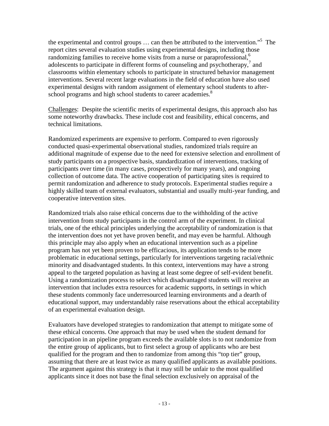the experimental and control groups  $\dots$  can then be attributed to the intervention."<sup>5</sup> The report cites several evaluation studies using experimental designs, including those randomizing families to receive home visits from a nurse or paraprofessional,<sup>6</sup> adolescents to participate in different forms of counseling and psychotherapy, $\frac{7}{1}$  and classrooms within elementary schools to participate in structured behavior management interventions. Several recent large evaluations in the field of education have also used experimental designs with random assignment of elementary school students to afterschool programs and high school students to career academies.<sup>8</sup>

Challenges: Despite the scientific merits of experimental designs, this approach also has some noteworthy drawbacks. These include cost and feasibility, ethical concerns, and technical limitations.

Randomized experiments are expensive to perform. Compared to even rigorously conducted quasi-experimental observational studies, randomized trials require an additional magnitude of expense due to the need for extensive selection and enrollment of study participants on a prospective basis, standardization of interventions, tracking of participants over time (in many cases, prospectively for many years), and ongoing collection of outcome data. The active cooperation of participating sites is required to permit randomization and adherence to study protocols. Experimental studies require a highly skilled team of external evaluators, substantial and usually multi-year funding, and cooperative intervention sites.

Randomized trials also raise ethical concerns due to the withholding of the active intervention from study participants in the control arm of the experiment. In clinical trials, one of the ethical principles underlying the acceptability of randomization is that the intervention does not yet have proven benefit, and may even be harmful. Although this principle may also apply when an educational intervention such as a pipeline program has not yet been proven to be efficacious, its application tends to be more problematic in educational settings, particularly for interventions targeting racial/ethnic minority and disadvantaged students. In this context, interventions may have a strong appeal to the targeted population as having at least some degree of self-evident benefit. Using a randomization process to select which disadvantaged students will receive an intervention that includes extra resources for academic supports, in settings in which these students commonly face underresourced learning environments and a dearth of educational support, may understandably raise reservations about the ethical acceptability of an experimental evaluation design.

Evaluators have developed strategies to randomization that attempt to mitigate some of these ethical concerns. One approach that may be used when the student demand for participation in an pipeline program exceeds the available slots is to not randomize from the entire group of applicants, but to first select a group of applicants who are best qualified for the program and then to randomize from among this "top tier" group, assuming that there are at least twice as many qualified applicants as available positions. The argument against this strategy is that it may still be unfair to the most qualified applicants since it does not base the final selection exclusively on appraisal of the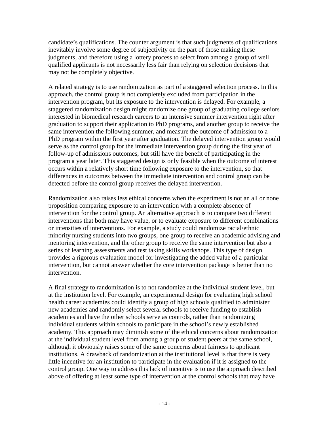candidate's qualifications. The counter argument is that such judgments of qualifications inevitably involve some degree of subjectivity on the part of those making these judgments, and therefore using a lottery process to select from among a group of well qualified applicants is not necessarily less fair than relying on selection decisions that may not be completely objective.

A related strategy is to use randomization as part of a staggered selection process. In this approach, the control group is not completely excluded from participation in the intervention program, but its exposure to the intervention is delayed. For example, a staggered randomization design might randomize one group of graduating college seniors interested in biomedical research careers to an intensive summer intervention right after graduation to support their application to PhD programs, and another group to receive the same intervention the following summer, and measure the outcome of admission to a PhD program within the first year after graduation. The delayed intervention group would serve as the control group for the immediate intervention group during the first year of follow-up of admissions outcomes, but still have the benefit of participating in the program a year later. This staggered design is only feasible when the outcome of interest occurs within a relatively short time following exposure to the intervention, so that differences in outcomes between the immediate intervention and control group can be detected before the control group receives the delayed intervention.

Randomization also raises less ethical concerns when the experiment is not an all or none proposition comparing exposure to an intervention with a complete absence of intervention for the control group. An alternative approach is to compare two different interventions that both may have value, or to evaluate exposure to different combinations or intensities of interventions. For example, a study could randomize racial/ethnic minority nursing students into two groups, one group to receive an academic advising and mentoring intervention, and the other group to receive the same intervention but also a series of learning assessments and test taking skills workshops. This type of design provides a rigorous evaluation model for investigating the added value of a particular intervention, but cannot answer whether the core intervention package is better than no intervention.

A final strategy to randomization is to not randomize at the individual student level, but at the institution level. For example, an experimental design for evaluating high school health career academies could identify a group of high schools qualified to administer new academies and randomly select several schools to receive funding to establish academies and have the other schools serve as controls, rather than randomizing individual students within schools to participate in the school's newly established academy. This approach may diminish some of the ethical concerns about randomization at the individual student level from among a group of student peers at the same school, although it obviously raises some of the same concerns about fairness to applicant institutions. A drawback of randomization at the institutional level is that there is very little incentive for an institution to participate in the evaluation if it is assigned to the control group. One way to address this lack of incentive is to use the approach described above of offering at least some type of intervention at the control schools that may have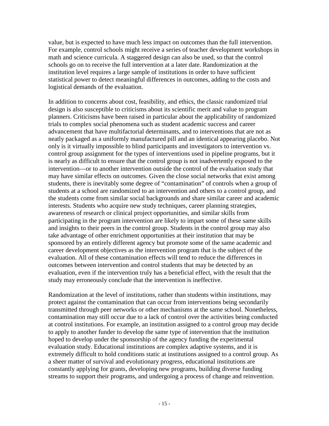value, but is expected to have much less impact on outcomes than the full intervention. For example, control schools might receive a series of teacher development workshops in math and science curricula. A staggered design can also be used, so that the control schools go on to receive the full intervention at a later date. Randomization at the institution level requires a large sample of institutions in order to have sufficient statistical power to detect meaningful differences in outcomes, adding to the costs and logistical demands of the evaluation.

In addition to concerns about cost, feasibility, and ethics, the classic randomized trial design is also susceptible to criticisms about its scientific merit and value to program planners. Criticisms have been raised in particular about the applicability of randomized trials to complex social phenomena such as student academic success and career advancement that have multifactorial determinants, and to interventions that are not as neatly packaged as a uniformly manufactured pill and an identical appearing placebo. Not only is it virtually impossible to blind participants and investigators to intervention vs. control group assignment for the types of interventions used in pipeline programs, but it is nearly as difficult to ensure that the control group is not inadvertently exposed to the intervention—or to another intervention outside the control of the evaluation study that may have similar effects on outcomes. Given the close social networks that exist among students, there is inevitably some degree of "contamination" of controls when a group of students at a school are randomized to an intervention and others to a control group, and the students come from similar social backgrounds and share similar career and academic interests. Students who acquire new study techniques, career planning strategies, awareness of research or clinical project opportunities, and similar skills from participating in the program intervention are likely to impart some of these same skills and insights to their peers in the control group. Students in the control group may also take advantage of other enrichment opportunities at their institution that may be sponsored by an entirely different agency but promote some of the same academic and career development objectives as the intervention program that is the subject of the evaluation. All of these contamination effects will tend to reduce the differences in outcomes between intervention and control students that may be detected by an evaluation, even if the intervention truly has a beneficial effect, with the result that the study may erroneously conclude that the intervention is ineffective.

Randomization at the level of institutions, rather than students within institutions, may protect against the contamination that can occur from interventions being secondarily transmitted through peer networks or other mechanisms at the same school. Nonetheless, contamination may still occur due to a lack of control over the activities being conducted at control institutions. For example, an institution assigned to a control group may decide to apply to another funder to develop the same type of intervention that the institution hoped to develop under the sponsorship of the agency funding the experimental evaluation study. Educational institutions are complex adaptive systems, and it is extremely difficult to hold conditions static at institutions assigned to a control group. As a sheer matter of survival and evolutionary progress, educational institutions are constantly applying for grants, developing new programs, building diverse funding streams to support their programs, and undergoing a process of change and reinvention.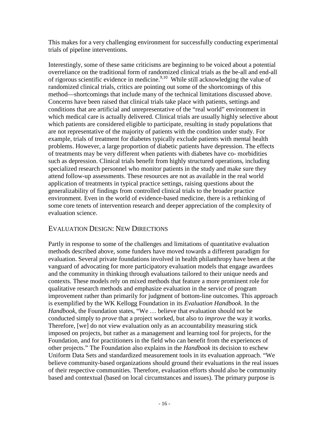This makes for a very challenging environment for successfully conducting experimental trials of pipeline interventions.

Interestingly, some of these same criticisms are beginning to be voiced about a potential overreliance on the traditional form of randomized clinical trials as the be-all and end-all of rigorous scientific evidence in medicine.<sup>9,10</sup> While still acknowledging the value of randomized clinical trials, critics are pointing out some of the shortcomings of this method—shortcomings that include many of the technical limitations discussed above. Concerns have been raised that clinical trials take place with patients, settings and conditions that are artificial and unrepresentative of the "real world" environment in which medical care is actually delivered. Clinical trials are usually highly selective about which patients are considered eligible to participate, resulting in study populations that are not representative of the majority of patients with the condition under study. For example, trials of treatment for diabetes typically exclude patients with mental health problems. However, a large proportion of diabetic patients have depression. The effects of treatments may be very different when patients with diabetes have co- morbidities such as depression. Clinical trials benefit from highly structured operations, including specialized research personnel who monitor patients in the study and make sure they attend follow-up assessments. These resources are not as available in the real world application of treatments in typical practice settings, raising questions about the generalizability of findings from controlled clinical trials to the broader practice environment. Even in the world of evidence-based medicine, there is a rethinking of some core tenets of intervention research and deeper appreciation of the complexity of evaluation science.

# EVALUATION DESIGN: NEW DIRECTIONS

Partly in response to some of the challenges and limitations of quantitative evaluation methods described above, some funders have moved towards a different paradigm for evaluation. Several private foundations involved in health philanthropy have been at the vanguard of advocating for more participatory evaluation models that engage awardees and the community in thinking through evaluations tailored to their unique needs and contexts. These models rely on mixed methods that feature a more prominent role for qualitative research methods and emphasize evaluation in the service of program improvement rather than primarily for judgment of bottom-line outcomes. This approach is exemplified by the WK Kellogg Foundation in its *Evaluation Handbook*. In the *Handbook*, the Foundation states, "We … believe that evaluation should not be conducted simply to *prove* that a project worked, but also to *improve* the way it works. Therefore, [we] do not view evaluation only as an accountability measuring stick imposed on projects, but rather as a management and learning tool for projects, for the Foundation, and for practitioners in the field who can benefit from the experiences of other projects." The Foundation also explains in the *Handbook* its decision to eschew Uniform Data Sets and standardized measurement tools in its evaluation approach. "We believe community-based organizations should ground their evaluations in the real issues of their respective communities. Therefore, evaluation efforts should also be community based and contextual (based on local circumstances and issues). The primary purpose is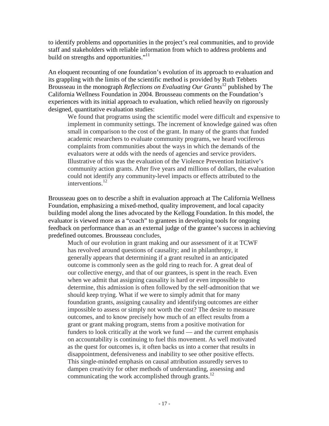to identify problems and opportunities in the project's real communities, and to provide staff and stakeholders with reliable information from which to address problems and build on strengths and opportunities."<sup>11</sup>

An eloquent recounting of one foundation's evolution of its approach to evaluation and its grappling with the limits of the scientific method is provided by Ruth Tebbets Brousseau in the monograph *Reflections on Evaluating Our Grants*12 published by The California Wellness Foundation in 2004. Brousseau comments on the Foundation's experiences with its initial approach to evaluation, which relied heavily on rigorously designed, quantitative evaluation studies:

We found that programs using the scientific model were difficult and expensive to implement in community settings. The increment of knowledge gained was often small in comparison to the cost of the grant. In many of the grants that funded academic researchers to evaluate community programs, we heard vociferous complaints from communities about the ways in which the demands of the evaluators were at odds with the needs of agencies and service providers. Illustrative of this was the evaluation of the Violence Prevention Initiative's community action grants. After five years and millions of dollars, the evaluation could not identify any community-level impacts or effects attributed to the interventions.<sup>12</sup>

Brousseau goes on to describe a shift in evaluation approach at The California Wellness Foundation, emphasizing a mixed-method, quality improvement, and local capacity building model along the lines advocated by the Kellogg Foundation. In this model, the evaluator is viewed more as a "coach" to grantees in developing tools for ongoing feedback on performance than as an external judge of the grantee's success in achieving predefined outcomes. Brousseau concludes,

Much of our evolution in grant making and our assessment of it at TCWF has revolved around questions of causality; and in philanthropy, it generally appears that determining if a grant resulted in an anticipated outcome is commonly seen as the gold ring to reach for. A great deal of our collective energy, and that of our grantees, is spent in the reach. Even when we admit that assigning causality is hard or even impossible to determine, this admission is often followed by the self-admonition that we should keep trying. What if we were to simply admit that for many foundation grants, assigning causality and identifying outcomes are either impossible to assess or simply not worth the cost? The desire to measure outcomes, and to know precisely how much of an effect results from a grant or grant making program, stems from a positive motivation for funders to look critically at the work we fund — and the current emphasis on accountability is continuing to fuel this movement. As well motivated as the quest for outcomes is, it often backs us into a corner that results in disappointment, defensiveness and inability to see other positive effects. This single-minded emphasis on causal attribution assuredly serves to dampen creativity for other methods of understanding, assessing and communicating the work accomplished through grants. $^{12}$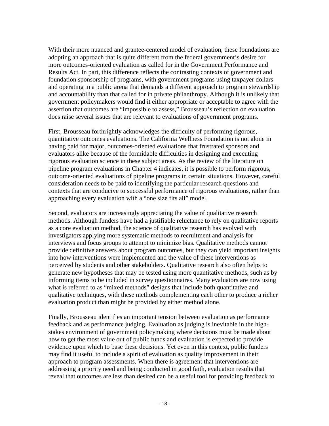With their more nuanced and grantee-centered model of evaluation, these foundations are adopting an approach that is quite different from the federal government's desire for more outcomes-oriented evaluation as called for in the Government Performance and Results Act. In part, this difference reflects the contrasting contexts of government and foundation sponsorship of programs, with government programs using taxpayer dollars and operating in a public arena that demands a different approach to program stewardship and accountability than that called for in private philanthropy. Although it is unlikely that government policymakers would find it either appropriate or acceptable to agree with the assertion that outcomes are "impossible to assess," Brousseau's reflection on evaluation does raise several issues that are relevant to evaluations of government programs.

First, Brousseau forthrightly acknowledges the difficulty of performing rigorous, quantitative outcomes evaluations. The California Wellness Foundation is not alone in having paid for major, outcomes-oriented evaluations that frustrated sponsors and evaluators alike because of the formidable difficulties in designing and executing rigorous evaluation science in these subject areas. As the review of the literature on pipeline program evaluations in Chapter 4 indicates, it is possible to perform rigorous, outcome-oriented evaluations of pipeline programs in certain situations. However, careful consideration needs to be paid to identifying the particular research questions and contexts that are conducive to successful performance of rigorous evaluations, rather than approaching every evaluation with a "one size fits all" model.

Second, evaluators are increasingly appreciating the value of qualitative research methods. Although funders have had a justifiable reluctance to rely on qualitative reports as a core evaluation method, the science of qualitative research has evolved with investigators applying more systematic methods to recruitment and analysis for interviews and focus groups to attempt to minimize bias. Qualitative methods cannot provide definitive answers about program outcomes, but they can yield important insights into how interventions were implemented and the value of these interventions as perceived by students and other stakeholders. Qualitative research also often helps to generate new hypotheses that may be tested using more quantitative methods, such as by informing items to be included in survey questionnaires. Many evaluators are now using what is referred to as "mixed methods" designs that include both quantitative and qualitative techniques, with these methods complementing each other to produce a richer evaluation product than might be provided by either method alone.

Finally, Brousseau identifies an important tension between evaluation as performance feedback and as performance judging. Evaluation as judging is inevitable in the highstakes environment of government policymaking where decisions must be made about how to get the most value out of public funds and evaluation is expected to provide evidence upon which to base these decisions. Yet even in this context, public funders may find it useful to include a spirit of evaluation as quality improvement in their approach to program assessments. When there is agreement that interventions are addressing a priority need and being conducted in good faith, evaluation results that reveal that outcomes are less than desired can be a useful tool for providing feedback to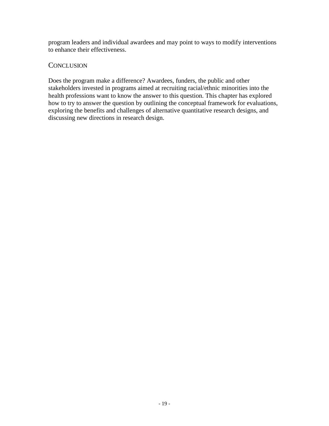program leaders and individual awardees and may point to ways to modify interventions to enhance their effectiveness.

## **CONCLUSION**

Does the program make a difference? Awardees, funders, the public and other stakeholders invested in programs aimed at recruiting racial/ethnic minorities into the health professions want to know the answer to this question. This chapter has explored how to try to answer the question by outlining the conceptual framework for evaluations, exploring the benefits and challenges of alternative quantitative research designs, and discussing new directions in research design.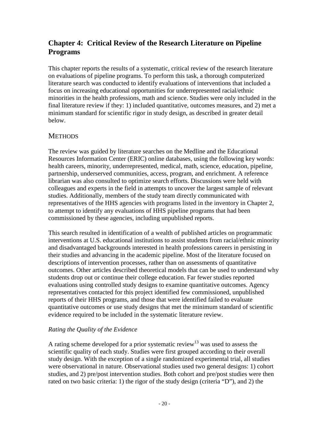# **Chapter 4: Critical Review of the Research Literature on Pipeline Programs**

This chapter reports the results of a systematic, critical review of the research literature on evaluations of pipeline programs. To perform this task, a thorough computerized literature search was conducted to identify evaluations of interventions that included a focus on increasing educational opportunities for underrepresented racial/ethnic minorities in the health professions, math and science. Studies were only included in the final literature review if they: 1) included quantitative, outcomes measures, and 2) met a minimum standard for scientific rigor in study design, as described in greater detail below.

# **METHODS**

The review was guided by literature searches on the Medline and the Educational Resources Information Center (ERIC) online databases, using the following key words: health careers, minority, underrepresented, medical, math, science, education, pipeline, partnership, underserved communities, access, program, and enrichment. A reference librarian was also consulted to optimize search efforts. Discussions were held with colleagues and experts in the field in attempts to uncover the largest sample of relevant studies. Additionally, members of the study team directly communicated with representatives of the HHS agencies with programs listed in the inventory in Chapter 2, to attempt to identify any evaluations of HHS pipeline programs that had been commissioned by these agencies, including unpublished reports.

This search resulted in identification of a wealth of published articles on programmatic interventions at U.S. educational institutions to assist students from racial/ethnic minority and disadvantaged backgrounds interested in health professions careers in persisting in their studies and advancing in the academic pipeline. Most of the literature focused on descriptions of intervention processes, rather than on assessments of quantitative outcomes. Other articles described theoretical models that can be used to understand why students drop out or continue their college education. Far fewer studies reported evaluations using controlled study designs to examine quantitative outcomes. Agency representatives contacted for this project identified few commissioned, unpublished reports of their HHS programs, and those that were identified failed to evaluate quantitative outcomes or use study designs that met the minimum standard of scientific evidence required to be included in the systematic literature review.

# *Rating the Quality of the Evidence*

A rating scheme developed for a prior systematic review<sup>13</sup> was used to assess the scientific quality of each study. Studies were first grouped according to their overall study design. With the exception of a single randomized experimental trial, all studies were observational in nature. Observational studies used two general designs: 1) cohort studies, and 2) pre/post intervention studies. Both cohort and pre/post studies were then rated on two basic criteria: 1) the rigor of the study design (criteria "D"), and 2) the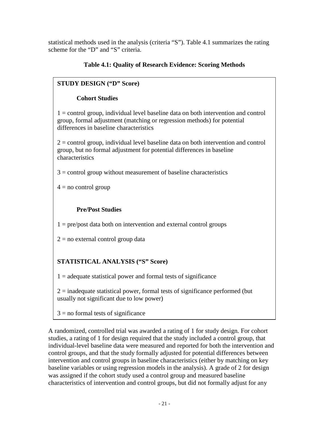statistical methods used in the analysis (criteria "S"). Table 4.1 summarizes the rating scheme for the "D" and "S" criteria.

# **Table 4.1: Quality of Research Evidence: Scoring Methods**

# **STUDY DESIGN ("D" Score)**

# **Cohort Studies**

1 = control group, individual level baseline data on both intervention and control group, formal adjustment (matching or regression methods) for potential differences in baseline characteristics

2 = control group, individual level baseline data on both intervention and control group, but no formal adjustment for potential differences in baseline characteristics

 $3 =$  control group without measurement of baseline characteristics

 $4 =$  no control group

# **Pre/Post Studies**

 $1 = pre/post$  data both on intervention and external control groups

 $2 =$  no external control group data

# **STATISTICAL ANALYSIS ("S" Score)**

 $1 =$  adequate statistical power and formal tests of significance

 $2 =$  inadequate statistical power, formal tests of significance performed (but usually not significant due to low power)

 $3 =$  no formal tests of significance

A randomized, controlled trial was awarded a rating of 1 for study design. For cohort studies, a rating of 1 for design required that the study included a control group, that individual-level baseline data were measured and reported for both the intervention and control groups, and that the study formally adjusted for potential differences between intervention and control groups in baseline characteristics (either by matching on key baseline variables or using regression models in the analysis). A grade of 2 for design was assigned if the cohort study used a control group and measured baseline characteristics of intervention and control groups, but did not formally adjust for any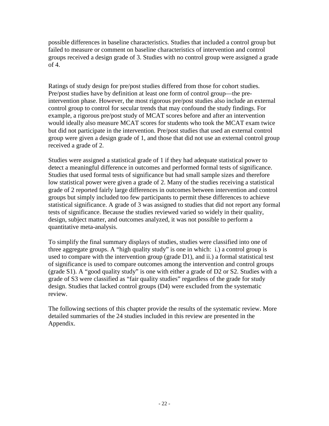possible differences in baseline characteristics. Studies that included a control group but failed to measure or comment on baseline characteristics of intervention and control groups received a design grade of 3. Studies with no control group were assigned a grade of 4.

Ratings of study design for pre/post studies differed from those for cohort studies. Pre/post studies have by definition at least one form of control group—the preintervention phase. However, the most rigorous pre/post studies also include an external control group to control for secular trends that may confound the study findings. For example, a rigorous pre/post study of MCAT scores before and after an intervention would ideally also measure MCAT scores for students who took the MCAT exam twice but did not participate in the intervention. Pre/post studies that used an external control group were given a design grade of 1, and those that did not use an external control group received a grade of 2.

Studies were assigned a statistical grade of 1 if they had adequate statistical power to detect a meaningful difference in outcomes and performed formal tests of significance. Studies that used formal tests of significance but had small sample sizes and therefore low statistical power were given a grade of 2. Many of the studies receiving a statistical grade of 2 reported fairly large differences in outcomes between intervention and control groups but simply included too few participants to permit these differences to achieve statistical significance. A grade of 3 was assigned to studies that did not report any formal tests of significance. Because the studies reviewed varied so widely in their quality, design, subject matter, and outcomes analyzed, it was not possible to perform a quantitative meta-analysis.

To simplify the final summary displays of studies, studies were classified into one of three aggregate groups. A "high quality study" is one in which: i.) a control group is used to compare with the intervention group (grade D1), and ii.) a formal statistical test of significance is used to compare outcomes among the intervention and control groups (grade S1). A "good quality study" is one with either a grade of D2 or S2. Studies with a grade of S3 were classified as "fair quality studies" regardless of the grade for study design. Studies that lacked control groups (D4) were excluded from the systematic review.

The following sections of this chapter provide the results of the systematic review. More detailed summaries of the 24 studies included in this review are presented in the Appendix.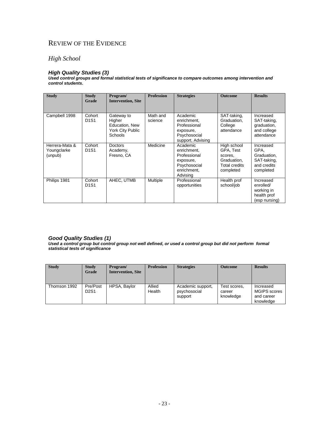# REVIEW OF THE EVIDENCE

# *High School*

#### *High Quality Studies (3)*

*Used control groups and formal statistical tests of significance to compare outcomes among intervention and control students***.**

| <b>Study</b>                             | <b>Study</b><br>Grade                   | Program/<br><b>Intervention, Site</b>                                        | <b>Profession</b>   | <b>Strategies</b>                                                                               | <b>Outcome</b>                                                                          | <b>Results</b>                                                              |
|------------------------------------------|-----------------------------------------|------------------------------------------------------------------------------|---------------------|-------------------------------------------------------------------------------------------------|-----------------------------------------------------------------------------------------|-----------------------------------------------------------------------------|
| Campbell 1998                            | Cohort<br>D <sub>1</sub> S <sub>1</sub> | Gateway to<br>Higher<br>Education, New<br>York City Public<br><b>Schools</b> | Math and<br>science | Academic<br>enrichment,<br>Professional<br>exposure,<br>Psychosocial<br>support, Advising       | SAT-taking,<br>Graduation,<br>College<br>attendance                                     | Increased<br>SAT-taking,<br>graduation,<br>and college<br>attendance        |
| Herrera-Mata &<br>Youngclarke<br>(unpub) | Cohort<br>D <sub>1</sub> S <sub>1</sub> | <b>Doctors</b><br>Academy,<br>Fresno, CA                                     | Medicine            | Academic<br>enrichment,<br>Professional<br>exposure,<br>Psychosocial<br>enrichment.<br>Advising | High school<br>GPA, Test<br>scores,<br>Graduation,<br><b>Total credits</b><br>completed | Increased<br>GPA.<br>Graduation,<br>SAT-taking,<br>and credits<br>completed |
| Philips 1981                             | Cohort<br><b>D1S1</b>                   | AHEC, UTMB                                                                   | Multiple            | Professional<br>opportunities                                                                   | Health prof<br>school/job                                                               | Increased<br>enrolled/<br>working in<br>health prof<br>(esp nursing)        |

#### *Good Quality Studies (1)*

*Used a control group but control group not well defined, or used a control group but did not perform formal statistical tests of significance* 

| <b>Study</b> | <b>Study</b><br>Grade | Program/<br><b>Intervention, Site</b> | <b>Profession</b> | <b>Strategies</b>                            | Outcome                             | <b>Results</b>                                              |
|--------------|-----------------------|---------------------------------------|-------------------|----------------------------------------------|-------------------------------------|-------------------------------------------------------------|
| Thomson 1992 | Pre/Post<br>D2S1      | HPSA, Baylor                          | Allied<br>Health  | Academic support,<br>psychosocial<br>support | Test scores,<br>career<br>knowledge | Increased<br><b>MGIPS</b> scores<br>and career<br>knowledge |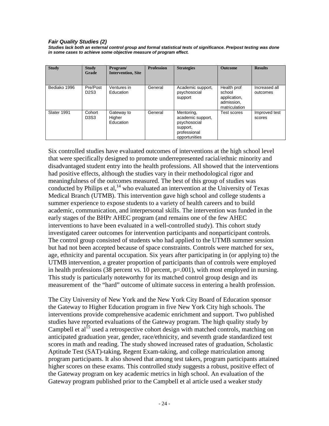#### *Fair Quality Studies (2)*

*Studies lack both an external control group and formal statistical tests of significance. Pre/post testing was done in some cases to achieve some objective measure of program effect.*

| <b>Study</b> | <b>Study</b><br>Grade                     | Program/<br><b>Intervention, Site</b> | <b>Profession</b> | <b>Strategies</b>                                                                            | <b>Outcome</b>                                                       | <b>Results</b>            |
|--------------|-------------------------------------------|---------------------------------------|-------------------|----------------------------------------------------------------------------------------------|----------------------------------------------------------------------|---------------------------|
| Bediako 1996 | Pre/Post<br>D <sub>2</sub> S <sub>3</sub> | Ventures in<br>Education              | General           | Academic support,<br>psychosocial<br>support                                                 | Health prof<br>school<br>application,<br>admission,<br>matriculation | Increased all<br>outcomes |
| Slater 1991  | Cohort<br>D3S3                            | Gateway to<br>Higher<br>Education     | General           | Mentoring,<br>academic support,<br>psychosocial<br>support,<br>professional<br>opportunities | Test scores                                                          | Improved test<br>scores   |

Six controlled studies have evaluated outcomes of interventions at the high school level that were specifically designed to promote underrepresented racial/ethnic minority and disadvantaged student entry into the health professions. All showed that the interventions had positive effects, although the studies vary in their methodological rigor and meaningfulness of the outcomes measured. The best of this group of studies was conducted by Philips et al,<sup>14</sup> who evaluated an intervention at the University of Texas Medical Branch (UTMB). This intervention gave high school and college students a summer experience to expose students to a variety of health careers and to build academic, communication, and interpersonal skills. The intervention was funded in the early stages of the BHPr AHEC program (and remains one of the few AHEC interventions to have been evaluated in a well-controlled study). This cohort study investigated career outcomes for intervention participants and nonparticipant controls. The control group consisted of students who had applied to the UTMB summer session but had not been accepted because of space constraints. Controls were matched for sex, age, ethnicity and parental occupation. Six years after participating in (or applying to) the UTMB intervention, a greater proportion of participants than of controls were employed in health professions (38 percent vs. 10 percent,  $p=0.001$ ), with most employed in nursing. This study is particularly noteworthy for its matched control group design and its measurement of the "hard" outcome of ultimate success in entering a health profession.

The City University of New York and the New York City Board of Education sponsor the Gateway to Higher Education program in five New York City high schools. The interventions provide comprehensive academic enrichment and support. Two published studies have reported evaluations of the Gateway program. The high quality study by Campbell et  $al^{15}$  used a retrospective cohort design with matched controls, matching on anticipated graduation year, gender, race/ethnicity, and seventh grade standardized test scores in math and reading. The study showed increased rates of graduation, Scholastic Aptitude Test (SAT)-taking, Regent Exam-taking, and college matriculation among program participants. It also showed that among test takers, program participants attained higher scores on these exams. This controlled study suggests a robust, positive effect of the Gateway program on key academic metrics in high school. An evaluation of the Gateway program published prior to the Campbell et al article used a weaker study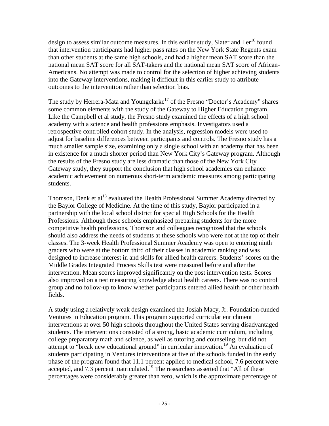design to assess similar outcome measures. In this earlier study, Slater and Iler<sup>16</sup> found that intervention participants had higher pass rates on the New York State Regents exam than other students at the same high schools, and had a higher mean SAT score than the national mean SAT score for all SAT-takers and the national mean SAT score of African-Americans. No attempt was made to control for the selection of higher achieving students into the Gateway interventions, making it difficult in this earlier study to attribute outcomes to the intervention rather than selection bias.

The study by Herrera-Mata and Youngclarke<sup>17</sup> of the Fresno "Doctor's Academy" shares some common elements with the study of the Gateway to Higher Education program. Like the Campbell et al study, the Fresno study examined the effects of a high school academy with a science and health professions emphasis. Investigators used a retrospective controlled cohort study. In the analysis, regression models were used to adjust for baseline differences between participants and controls. The Fresno study has a much smaller sample size, examining only a single school with an academy that has been in existence for a much shorter period than New York City's Gateway program. Although the results of the Fresno study are less dramatic than those of the New York City Gateway study, they support the conclusion that high school academies can enhance academic achievement on numerous short-term academic measures among participating students.

Thomson, Denk et  $al^{18}$  evaluated the Health Professional Summer Academy directed by the Baylor College of Medicine. At the time of this study, Baylor participated in a partnership with the local school district for special High Schools for the Health Professions. Although these schools emphasized preparing students for the more competitive health professions, Thomson and colleagues recognized that the schools should also address the needs of students at these schools who were not at the top of their classes. The 3-week Health Professional Summer Academy was open to entering ninth graders who were at the bottom third of their classes in academic ranking and was designed to increase interest in and skills for allied health careers. Students' scores on the Middle Grades Integrated Process Skills test were measured before and after the intervention. Mean scores improved significantly on the post intervention tests. Scores also improved on a test measuring knowledge about health careers. There was no control group and no follow-up to know whether participants entered allied health or other health fields.

A study using a relatively weak design examined the Josiah Macy, Jr. Foundation-funded Ventures in Education program. This program supported curricular enrichment interventions at over 50 high schools throughout the United States serving disadvantaged students. The interventions consisted of a strong, basic academic curriculum, including college preparatory math and science, as well as tutoring and counseling, but did not attempt to "break new educational ground" in curricular innovation.19 An evaluation of students participating in Ventures interventions at five of the schools funded in the early phase of the program found that 11.1 percent applied to medical school, 7.6 percent were accepted, and 7.3 percent matriculated.<sup>19</sup> The researchers asserted that "All of these percentages were considerably greater than zero, which is the approximate percentage of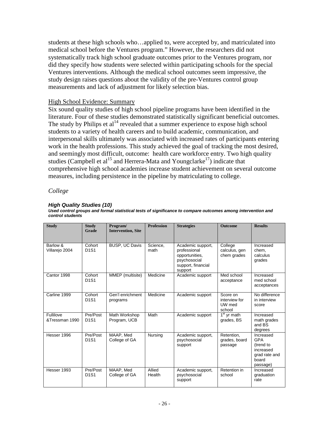students at these high schools who…applied to, were accepted by, and matriculated into medical school before the Ventures program." However, the researchers did not systematically track high school graduate outcomes prior to the Ventures program, nor did they specify how students were selected within participating schools for the special Ventures interventions. Although the medical school outcomes seem impressive, the study design raises questions about the validity of the pre-Ventures control group measurements and lack of adjustment for likely selection bias.

### High School Evidence: Summary

Six sound quality studies of high school pipeline programs have been identified in the literature. Four of these studies demonstrated statistically significant beneficial outcomes. The study by Philips et al<sup>14</sup> revealed that a summer experience to expose high school students to a variety of health careers and to build academic, communication, and interpersonal skills ultimately was associated with increased rates of participants entering work in the health professions. This study achieved the goal of tracking the most desired, and seemingly most difficult, outcome: health care workforce entry. Two high quality studies (Campbell et al<sup>15</sup> and Herrera-Mata and Youngclarke<sup>17</sup>) indicate that comprehensive high school academies increase student achievement on several outcome measures, including persistence in the pipeline by matriculating to college.

### *College*

#### *High Quality Studies (10)*

*Used control groups and formal statistical tests of significance to compare outcomes among intervention and control students*

| <b>Study</b>                | <b>Study</b><br>Grade                     | Program/<br><b>Intervention, Site</b> | <b>Profession</b> | <b>Strategies</b>                                                                                    | <b>Outcome</b>                                | <b>Results</b>                                                                          |
|-----------------------------|-------------------------------------------|---------------------------------------|-------------------|------------------------------------------------------------------------------------------------------|-----------------------------------------------|-----------------------------------------------------------------------------------------|
| Barlow &<br>Villarejo 2004  | Cohort<br>D <sub>1</sub> S <sub>1</sub>   | <b>BUSP, UC Davis</b>                 | Science.<br>math  | Academic support,<br>professional<br>opportunities.<br>psychosocial<br>support, financial<br>support | College<br>calculus, gen<br>chem grades       | Increased<br>chem.<br>calculus<br>grades                                                |
| Cantor 1998                 | Cohort<br>D <sub>1</sub> S <sub>1</sub>   | MMEP (multisite)                      | Medicine          | Academic support                                                                                     | Med school<br>acceptance                      | Increased<br>med school<br>acceptances                                                  |
| Carline 1999                | Cohort<br><b>D1S1</b>                     | Gen'l enrichment<br>programs          | Medicine          | Academic support                                                                                     | Score on<br>interview for<br>UW med<br>school | No difference<br>in interview<br>score                                                  |
| Fullilove<br>&Tressman 1990 | Pre/Post<br><b>D1S1</b>                   | Math Workshop<br>Program, UCB         | Math              | Academic support                                                                                     | $1st$ yr math<br>grades, BS                   | Increased<br>math grades<br>and BS<br>degrees                                           |
| Hesser 1996                 | Pre/Post<br><b>D1S1</b>                   | MAAP, Med<br>College of GA            | Nursing           | Academic support,<br>psychosocial<br>support                                                         | Retention.<br>grades, board<br>passage        | Increased<br><b>GPA</b><br>(trend to<br>increased<br>grad rate and<br>board<br>passage) |
| Hesser 1993                 | Pre/Post<br>D <sub>1</sub> S <sub>1</sub> | MAAP, Med<br>College of GA            | Allied<br>Health  | Academic support,<br>psychosocial<br>support                                                         | Retention in<br>school                        | Increased<br>graduation<br>rate                                                         |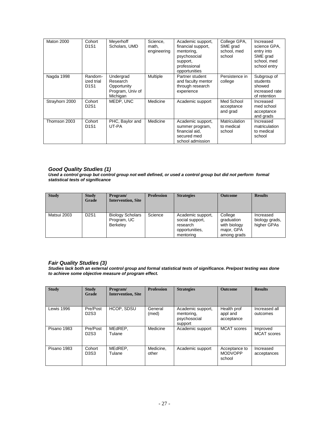| Maton 2000     | Cohort<br>D <sub>1</sub> S <sub>1</sub>                | Meyerhoff<br>Scholars, UMD                                           | Science,<br>math,<br>engineering | Academic support,<br>financial support,<br>mentoring,<br>psychosocial<br>support,<br>professional<br>opportunities | College GPA,<br>SME grad<br>school, med<br>school | Increased<br>science GPA,<br>entry into<br>SME grad<br>school, med<br>school entry |
|----------------|--------------------------------------------------------|----------------------------------------------------------------------|----------------------------------|--------------------------------------------------------------------------------------------------------------------|---------------------------------------------------|------------------------------------------------------------------------------------|
| Nagda 1998     | Random-<br>ized trial<br>D <sub>1</sub> S <sub>1</sub> | Undergrad<br>Research<br>Opportunity<br>Program, Univ of<br>Michigan | <b>Multiple</b>                  | Partner student<br>and faculty mentor<br>through research<br>experience                                            | Persistence in<br>college                         | Subgroup of<br>students<br>showed<br>increased rate<br>of retention                |
| Strayhorn 2000 | Cohort<br>D <sub>2</sub> S <sub>1</sub>                | MEDP. UNC                                                            | Medicine                         | Academic support                                                                                                   | Med School<br>acceptance<br>and grad              | Increased<br>med school<br>acceptance<br>and grads                                 |
| Thomson 2003   | Cohort<br>D <sub>1</sub> S <sub>1</sub>                | PHC, Baylor and<br>UT-PA                                             | Medicine                         | Academic support,<br>summer program,<br>financial aid.<br>secured med<br>school admission                          | Matriculation<br>to medical<br>school             | Increased<br>matriculation<br>to medical<br>school                                 |

#### *Good Quality Studies (1)*

*Used a control group but control group not well defined, or used a control group but did not perform formal statistical tests of significance* 

| <b>Study</b> | <b>Study</b><br>Grade         | Program/<br><b>Intervention, Site</b>              | <b>Profession</b> | <b>Strategies</b>                                                               | <b>Outcome</b>                                                     | <b>Results</b>                             |
|--------------|-------------------------------|----------------------------------------------------|-------------------|---------------------------------------------------------------------------------|--------------------------------------------------------------------|--------------------------------------------|
| Matsui 2003  | D <sub>2</sub> S <sub>1</sub> | <b>Biology Scholars</b><br>Program, UC<br>Berkeley | Science           | Academic support,<br>social support,<br>research<br>opportunities,<br>mentoring | College<br>graduation<br>with biology<br>major, GPA<br>among grads | Increased<br>biology grads,<br>higher GPAs |

#### *Fair Quality Studies (3)*

*Studies lack both an external control group and formal statistical tests of significance. Pre/post testing was done to achieve some objective measure of program effect.*

| <b>Study</b> | <b>Study</b><br>Grade                     | Program/<br><b>Intervention, Site</b> | <b>Profession</b>  | <b>Strategies</b>                                          | <b>Outcome</b>                            | <b>Results</b>                 |
|--------------|-------------------------------------------|---------------------------------------|--------------------|------------------------------------------------------------|-------------------------------------------|--------------------------------|
| Lewis 1996   | Pre/Post<br>D <sub>2</sub> S <sub>3</sub> | HCOP, SDSU                            | General<br>(med)   | Academic support,<br>mentoring,<br>psychosocial<br>support | Health prof<br>appl and<br>acceptance     | Increased all<br>outcomes      |
| Pisano 1983  | Pre/Post<br>D <sub>2</sub> S <sub>3</sub> | MEdREP,<br>Tulane                     | Medicine           | Academic support                                           | <b>MCAT</b> scores                        | Improved<br><b>MCAT</b> scores |
| Pisano 1983  | Cohort<br>D3S3                            | MEdREP,<br>Tulane                     | Medicine.<br>other | Academic support                                           | Acceptance to<br><b>MODVOPP</b><br>school | Increased<br>acceptances       |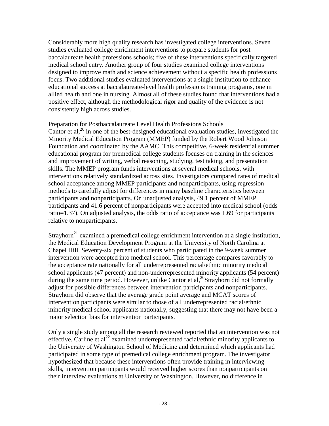Considerably more high quality research has investigated college interventions. Seven studies evaluated college enrichment interventions to prepare students for post baccalaureate health professions schools; five of these interventions specifically targeted medical school entry. Another group of four studies examined college interventions designed to improve math and science achievement without a specific health professions focus. Two additional studies evaluated interventions at a single institution to enhance educational success at baccalaureate-level health professions training programs, one in allied health and one in nursing. Almost all of these studies found that interventions had a positive effect, although the methodological rigor and quality of the evidence is not consistently high across studies.

### Preparation for Postbaccalaureate Level Health Professions Schools

Cantor et al,  $^{20}$  in one of the best-designed educational evaluation studies, investigated the Minority Medical Education Program (MMEP) funded by the Robert Wood Johnson Foundation and coordinated by the AAMC. This competitive, 6-week residential summer educational program for premedical college students focuses on training in the sciences and improvement of writing, verbal reasoning, studying, test taking, and presentation skills. The MMEP program funds interventions at several medical schools, with interventions relatively standardized across sites. Investigators compared rates of medical school acceptance among MMEP participants and nonparticipants, using regression methods to carefully adjust for differences in many baseline characteristics between participants and nonparticipants. On unadjusted analysis, 49.1 percent of MMEP participants and 41.6 percent of nonparticipants were accepted into medical school (odds ratio=1.37). On adjusted analysis, the odds ratio of acceptance was 1.69 for participants relative to nonparticipants.

Strayhorn<sup>21</sup> examined a premedical college enrichment intervention at a single institution, the Medical Education Development Program at the University of North Carolina at Chapel Hill. Seventy-six percent of students who participated in the 9-week summer intervention were accepted into medical school. This percentage compares favorably to the acceptance rate nationally for all underrepresented racial/ethnic minority medical school applicants (47 percent) and non-underrepresented minority applicants (54 percent) during the same time period. However, unlike Cantor et al,<sup>20</sup>Strayhorn did not formally adjust for possible differences between intervention participants and nonparticipants. Strayhorn did observe that the average grade point average and MCAT scores of intervention participants were similar to those of all underrepresented racial/ethnic minority medical school applicants nationally, suggesting that there may not have been a major selection bias for intervention participants.

Only a single study among all the research reviewed reported that an intervention was not effective. Carline et al<sup>22</sup> examined underrepresented racial/ethnic minority applicants to the University of Washington School of Medicine and determined which applicants had participated in some type of premedical college enrichment program. The investigator hypothesized that because these interventions often provide training in interviewing skills, intervention participants would received higher scores than nonparticipants on their interview evaluations at University of Washington. However, no difference in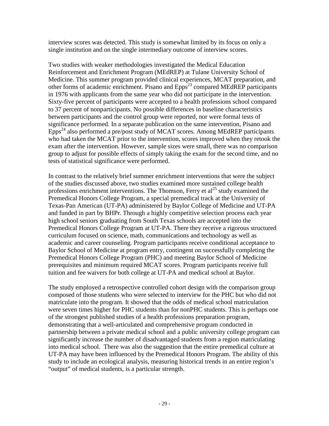interview scores was detected. This study is somewhat limited by its focus on only a single institution and on the single intermediary outcome of interview scores.

Two studies with weaker methodologies investigated the Medical Education Reinforcement and Enrichment Program (MEdREP) at Tulane University School of Medicine. This summer program provided clinical experiences, MCAT preparation, and other forms of academic enrichment. Pisano and Epps<sup>23</sup> compared MEdREP participants in 1976 with applicants from the same year who did not participate in the intervention. Sixty-five percent of participants were accepted to a health professions school compared to 37 percent of nonparticipants. No possible differences in baseline characteristics between participants and the control group were reported, nor were formal tests of significance performed. In a separate publication on the same intervention, Pisano and Epps<sup>24</sup> also performed a pre/post study of MCAT scores. Among MEdREP participants who had taken the MCAT prior to the intervention, scores improved when they retook the exam after the intervention. However, sample sizes were small, there was no comparison group to adjust for possible effects of simply taking the exam for the second time, and no tests of statistical significance were performed.

In contrast to the relatively brief summer enrichment interventions that were the subject of the studies discussed above, two studies examined more sustained college health professions enrichment interventions. The Thomson, Ferry et  $al^{25}$  study examined the Premedical Honors College Program, a special premedical track at the University of Texas-Pan American (UT-PA) administered by Baylor College of Medicine and UT-PA and funded in part by BHPr. Through a highly competitive selection process each year high school seniors graduating from South Texas schools are accepted into the Premedical Honors College Program at UT-PA. There they receive a rigorous structured curriculum focused on science, math, communications and technology as well as academic and career counseling. Program participants receive conditional acceptance to Baylor School of Medicine at program entry, contingent on successfully completing the Premedical Honors College Program (PHC) and meeting Baylor School of Medicine prerequisites and minimum required MCAT scores. Program participants receive full tuition and fee waivers for both college at UT-PA and medical school at Baylor.

The study employed a retrospective controlled cohort design with the comparison group composed of those students who were selected to interview for the PHC but who did not matriculate into the program. It showed that the odds of medical school matriculation were seven times higher for PHC students than for nonPHC students. This is perhaps one of the strongest published studies of a health professions preparation program, demonstrating that a well-articulated and comprehensive program conducted in partnership between a private medical school and a public university college program can significantly increase the number of disadvantaged students from a region matriculating into medical school. There was also the suggestion that the entire premedical culture at UT-PA may have been influenced by the Premedical Honors Program. The ability of this study to include an ecological analysis, measuring historical trends in an entire region's "output" of medical students, is a particular strength.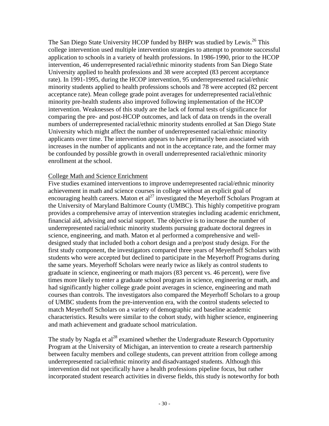The San Diego State University HCOP funded by BHPr was studied by Lewis.<sup>26</sup> This college intervention used multiple intervention strategies to attempt to promote successful application to schools in a variety of health professions. In 1986-1990, prior to the HCOP intervention, 46 underrepresented racial/ethnic minority students from San Diego State University applied to health professions and 38 were accepted (83 percent acceptance rate). In 1991-1995, during the HCOP intervention, 95 underrepresented racial/ethnic minority students applied to health professions schools and 78 were accepted (82 percent acceptance rate). Mean college grade point averages for underrepresented racial/ethnic minority pre-health students also improved following implementation of the HCOP intervention. Weaknesses of this study are the lack of formal tests of significance for comparing the pre- and post-HCOP outcomes, and lack of data on trends in the overall numbers of underrepresented racial/ethnic minority students enrolled at San Diego State University which might affect the number of underrepresented racial/ethnic minority applicants over time. The intervention appears to have primarily been associated with increases in the number of applicants and not in the acceptance rate, and the former may be confounded by possible growth in overall underrepresented racial/ethnic minority enrollment at the school.

### College Math and Science Enrichment

Five studies examined interventions to improve underrepresented racial/ethnic minority achievement in math and science courses in college without an explicit goal of encouraging health careers. Maton et al<sup>27</sup> investigated the Meyerhoff Scholars Program at the University of Maryland Baltimore County (UMBC). This highly competitive program provides a comprehensive array of intervention strategies including academic enrichment, financial aid, advising and social support. The objective is to increase the number of underrepresented racial/ethnic minority students pursuing graduate doctoral degrees in science, engineering, and math. Maton et al performed a comprehensive and welldesigned study that included both a cohort design and a pre/post study design. For the first study component, the investigators compared three years of Meyerhoff Scholars with students who were accepted but declined to participate in the Meyerhoff Programs during the same years. Meyerhoff Scholars were nearly twice as likely as control students to graduate in science, engineering or math majors (83 percent vs. 46 percent), were five times more likely to enter a graduate school program in science, engineering or math, and had significantly higher college grade point averages in science, engineering and math courses than controls. The investigators also compared the Meyerhoff Scholars to a group of UMBC students from the pre-intervention era, with the control students selected to match Meyerhoff Scholars on a variety of demographic and baseline academic characteristics. Results were similar to the cohort study, with higher science, engineering and math achievement and graduate school matriculation.

The study by Nagda et al<sup>28</sup> examined whether the Undergraduate Research Opportunity Program at the University of Michigan, an intervention to create a research partnership between faculty members and college students, can prevent attrition from college among underrepresented racial/ethnic minority and disadvantaged students. Although this intervention did not specifically have a health professions pipeline focus, but rather incorporated student research activities in diverse fields, this study is noteworthy for both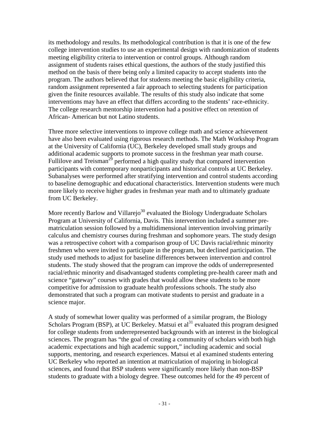its methodology and results. Its methodological contribution is that it is one of the few college intervention studies to use an experimental design with randomization of students meeting eligibility criteria to intervention or control groups. Although random assignment of students raises ethical questions, the authors of the study justified this method on the basis of there being only a limited capacity to accept students into the program. The authors believed that for students meeting the basic eligibility criteria, random assignment represented a fair approach to selecting students for participation given the finite resources available. The results of this study also indicate that some interventions may have an effect that differs according to the students' race-ethnicity. The college research mentorship intervention had a positive effect on retention of African- American but not Latino students.

Three more selective interventions to improve college math and science achievement have also been evaluated using rigorous research methods. The Math Workshop Program at the University of California (UC), Berkeley developed small study groups and additional academic supports to promote success in the freshman year math course. Fullilove and Treisman<sup>29</sup> performed a high quality study that compared intervention participants with contemporary nonparticipants and historical controls at UC Berkeley. Subanalyses were performed after stratifying intervention and control students according to baseline demographic and educational characteristics. Intervention students were much more likely to receive higher grades in freshman year math and to ultimately graduate from UC Berkeley.

More recently Barlow and Villarej $o^{30}$  evaluated the Biology Undergraduate Scholars Program at University of California, Davis. This intervention included a summer prematriculation session followed by a multidimensional intervention involving primarily calculus and chemistry courses during freshman and sophomore years. The study design was a retrospective cohort with a comparison group of UC Davis racial/ethnic minority freshmen who were invited to participate in the program, but declined participation. The study used methods to adjust for baseline differences between intervention and control students. The study showed that the program can improve the odds of underrepresented racial/ethnic minority and disadvantaged students completing pre-health career math and science "gateway" courses with grades that would allow these students to be more competitive for admission to graduate health professions schools. The study also demonstrated that such a program can motivate students to persist and graduate in a science major.

A study of somewhat lower quality was performed of a similar program, the Biology Scholars Program (BSP), at UC Berkeley. Matsui et  $al<sup>31</sup>$  evaluated this program designed for college students from underrepresented backgrounds with an interest in the biological sciences. The program has "the goal of creating a community of scholars with both high academic expectations and high academic support," including academic and social supports, mentoring, and research experiences. Matsui et al examined students entering UC Berkeley who reported an intention at matriculation of majoring in biological sciences, and found that BSP students were significantly more likely than non-BSP students to graduate with a biology degree. These outcomes held for the 49 percent of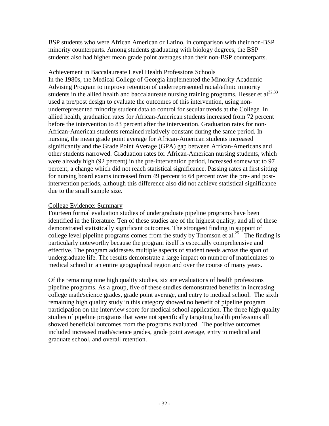BSP students who were African American or Latino, in comparison with their non-BSP minority counterparts. Among students graduating with biology degrees, the BSP students also had higher mean grade point averages than their non-BSP counterparts.

### Achievement in Baccalaureate Level Health Professions Schools

In the 1980s, the Medical College of Georgia implemented the Minority Academic Advising Program to improve retention of underrepresented racial/ethnic minority students in the allied health and baccalaureate nursing training programs. Hesser et al<sup>32,33</sup> used a pre/post design to evaluate the outcomes of this intervention, using nonunderrepresented minority student data to control for secular trends at the College. In allied health, graduation rates for African-American students increased from 72 percent before the intervention to 83 percent after the intervention. Graduation rates for non-African-American students remained relatively constant during the same period. In nursing, the mean grade point average for African-American students increased significantly and the Grade Point Average (GPA) gap between African-Americans and other students narrowed. Graduation rates for African-American nursing students, which were already high (92 percent) in the pre-intervention period, increased somewhat to 97 percent, a change which did not reach statistical significance. Passing rates at first sitting for nursing board exams increased from 49 percent to 64 percent over the pre- and postintervention periods, although this difference also did not achieve statistical significance due to the small sample size.

### College Evidence: Summary

Fourteen formal evaluation studies of undergraduate pipeline programs have been identified in the literature. Ten of these studies are of the highest quality; and all of these demonstrated statistically significant outcomes. The strongest finding in support of college level pipeline programs comes from the study by Thomson et al.<sup>25</sup> The finding is particularly noteworthy because the program itself is especially comprehensive and effective. The program addresses multiple aspects of student needs across the span of undergraduate life. The results demonstrate a large impact on number of matriculates to medical school in an entire geographical region and over the course of many years.

Of the remaining nine high quality studies, six are evaluations of health professions pipeline programs. As a group, five of these studies demonstrated benefits in increasing college math/science grades, grade point average, and entry to medical school. The sixth remaining high quality study in this category showed no benefit of pipeline program participation on the interview score for medical school application. The three high quality studies of pipeline programs that were not specifically targeting health professions all showed beneficial outcomes from the programs evaluated. The positive outcomes included increased math/science grades, grade point average, entry to medical and graduate school, and overall retention.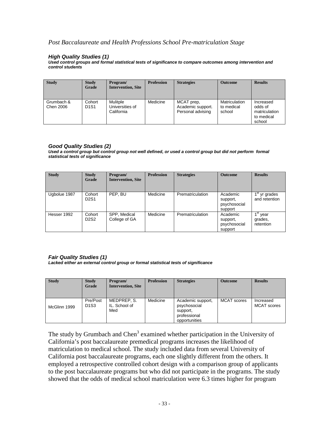#### *Post Baccalaureate and Health Professions School Pre-matriculation Stage*

#### *High Quality Studies (1)*

*Used control groups and formal statistical tests of significance to compare outcomes among intervention and control students*

| <b>Study</b>            | <b>Study</b><br>Grade                   | Program/<br><b>Intervention, Site</b>     | <b>Profession</b> | <b>Strategies</b>                                    | <b>Outcome</b>                        | <b>Results</b>                                                |
|-------------------------|-----------------------------------------|-------------------------------------------|-------------------|------------------------------------------------------|---------------------------------------|---------------------------------------------------------------|
| Grumbach &<br>Chen 2006 | Cohort<br>D <sub>1</sub> S <sub>1</sub> | Mulitple<br>Universities of<br>California | Medicine          | MCAT prep,<br>Academic support.<br>Personal advising | Matriculation<br>to medical<br>school | Increased<br>odds of<br>matriculation<br>to medical<br>school |

#### *Good Quality Studies (2)*

Used a control group but control group not well defined, or used a control group but did not perform formal *statistical tests of significance* 

| <b>Study</b> | <b>Study</b><br>Grade                   | Program/<br><b>Intervention, Site</b> | <b>Profession</b> | <b>Strategies</b> | <b>Outcome</b>                                  | <b>Results</b>                                               |
|--------------|-----------------------------------------|---------------------------------------|-------------------|-------------------|-------------------------------------------------|--------------------------------------------------------------|
| Ugbolue 1987 | Cohort<br>D2S1                          | PEP. BU                               | Medicine          | Prematriculation  | Academic<br>support,<br>psychosocial<br>support | $\overline{1}$ <sup>st</sup> yr grades<br>and retention      |
| Hesser 1992  | Cohort<br>D <sub>2</sub> S <sub>2</sub> | SPP, Medical<br>College of GA         | Medicine          | Prematriculation  | Academic<br>support,<br>psychosocial<br>support | 1 <sup>st</sup><br><sup>'</sup> vear<br>grades,<br>retention |

#### *Fair Quality Studies (1) Lacked either an external control group or formal statistical tests of significance*

| <b>Study</b> | <b>Study</b><br>Grade                     | Program/<br><b>Intervention, Site</b> | <b>Profession</b> | <b>Strategies</b>                                                              | <b>Outcome</b> | <b>Results</b>                  |
|--------------|-------------------------------------------|---------------------------------------|-------------------|--------------------------------------------------------------------------------|----------------|---------------------------------|
| McGlinn 1999 | Pre/Post<br>D <sub>1</sub> S <sub>3</sub> | MEDPREP, S.<br>IL. School of<br>Med   | Medicine          | Academic support,<br>psychosocial<br>support,<br>professional<br>opportunities | MCAT scores    | Increased<br><b>MCAT</b> scores |

The study by Grumbach and Chen<sup>3</sup> examined whether participation in the University of California's post baccalaureate premedical programs increases the likelihood of matriculation to medical school. The study included data from several University of California post baccalaureate programs, each one slightly different from the others. It employed a retrospective controlled cohort design with a comparison group of applicants to the post baccalaureate programs but who did not participate in the programs. The study showed that the odds of medical school matriculation were 6.3 times higher for program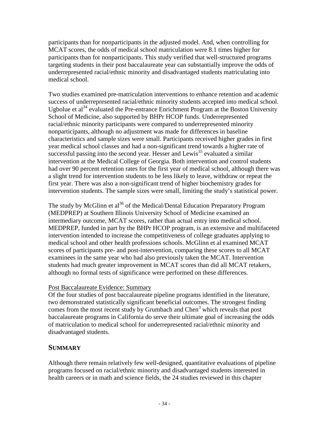participants than for nonparticipants in the adjusted model. And, when controlling for MCAT scores, the odds of medical school matriculation were 8.1 times higher for participants than for nonparticipants. This study verified that well-structured programs targeting students in their post baccalaureate year can substantially improve the odds of underrepresented racial/ethnic minority and disadvantaged students matriculating into medical school.

Two studies examined pre-matriculation interventions to enhance retention and academic success of underrepresented racial/ethnic minority students accepted into medical school. Ugbolue et al<sup>34</sup> evaluated the Pre-entrance Enrichment Program at the Boston University School of Medicine, also supported by BHPr HCOP funds. Underrepresented racial/ethnic minority participants were compared to underrepresented minority nonparticipants, although no adjustment was made for differences in baseline characteristics and sample sizes were small. Participants received higher grades in first year medical school classes and had a non-significant trend towards a higher rate of successful passing into the second year. Hesser and Lewis<sup>35</sup> evaluated a similar intervention at the Medical College of Georgia. Both intervention and control students had over 90 percent retention rates for the first year of medical school, although there was a slight trend for intervention students to be less likely to leave, withdraw or repeat the first year. There was also a non-significant trend of higher biochemistry grades for intervention students. The sample sizes were small, limiting the study's statistical power.

The study by McGlinn et al<sup>36</sup> of the Medical/Dental Education Preparatory Program (MEDPREP) at Southern Illinois University School of Medicine examined an intermediary outcome, MCAT scores, rather than actual entry into medical school. MEDPREP, funded in part by the BHPr HCOP program, is an extensive and multifaceted intervention intended to increase the competitiveness of college graduates applying to medical school and other health professions schools. McGlinn et al examined MCAT scores of participants pre- and post-intervention, comparing these scores to all MCAT examinees in the same year who had also previously taken the MCAT. Intervention students had much greater improvement in MCAT scores than did all MCAT retakers, although no formal tests of significance were performed on these differences.

### Post Baccalaureate Evidence: Summary

Of the four studies of post baccalaureate pipeline programs identified in the literature, two demonstrated statistically significant beneficial outcomes. The strongest finding comes from the most recent study by Grumbach and Chen<sup>3</sup> which reveals that post baccalaureate programs in California do serve their ultimate goal of increasing the odds of matriculation to medical school for underrepresented racial/ethnic minority and disadvantaged students.

## **SUMMARY**

Although there remain relatively few well-designed, quantitative evaluations of pipeline programs focused on racial/ethnic minority and disadvantaged students interested in health careers or in math and science fields, the 24 studies reviewed in this chapter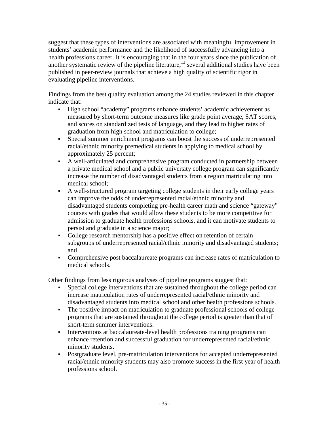suggest that these types of interventions are associated with meaningful improvement in students' academic performance and the likelihood of successfully advancing into a health professions career. It is encouraging that in the four years since the publication of another systematic review of the pipeline literature,<sup>13</sup> several additional studies have been published in peer-review journals that achieve a high quality of scientific rigor in evaluating pipeline interventions.

Findings from the best quality evaluation among the 24 studies reviewed in this chapter indicate that:

- High school "academy" programs enhance students' academic achievement as measured by short-term outcome measures like grade point average, SAT scores, and scores on standardized tests of language, and they lead to higher rates of graduation from high school and matriculation to college;
- Special summer enrichment programs can boost the success of underrepresented racial/ethnic minority premedical students in applying to medical school by approximately 25 percent;
- A well-articulated and comprehensive program conducted in partnership between a private medical school and a public university college program can significantly increase the number of disadvantaged students from a region matriculating into medical school;
- A well-structured program targeting college students in their early college years can improve the odds of underrepresented racial/ethnic minority and disadvantaged students completing pre-health career math and science "gateway" courses with grades that would allow these students to be more competitive for admission to graduate health professions schools, and it can motivate students to persist and graduate in a science major;
- College research mentorship has a positive effect on retention of certain subgroups of underrepresented racial/ethnic minority and disadvantaged students; and
- Comprehensive post baccalaureate programs can increase rates of matriculation to medical schools.

Other findings from less rigorous analyses of pipeline programs suggest that:

- Special college interventions that are sustained throughout the college period can increase matriculation rates of underrepresented racial/ethnic minority and disadvantaged students into medical school and other health professions schools.
- The positive impact on matriculation to graduate professional schools of college programs that are sustained throughout the college period is greater than that of short-term summer interventions.
- Interventions at baccalaureate-level health professions training programs can enhance retention and successful graduation for underrepresented racial/ethnic minority students.
- Postgraduate level, pre-matriculation interventions for accepted underrepresented racial/ethnic minority students may also promote success in the first year of health professions school.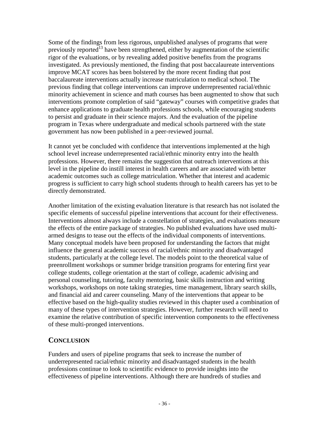Some of the findings from less rigorous, unpublished analyses of programs that were previously reported<sup>13</sup> have been strengthened, either by augmentation of the scientific rigor of the evaluations, or by revealing added positive benefits from the programs investigated. As previously mentioned, the finding that post baccalaureate interventions improve MCAT scores has been bolstered by the more recent finding that post baccalaureate interventions actually increase matriculation to medical school. The previous finding that college interventions can improve underrepresented racial/ethnic minority achievement in science and math courses has been augmented to show that such interventions promote completion of said "gateway" courses with competitive grades that enhance applications to graduate health professions schools, while encouraging students to persist and graduate in their science majors. And the evaluation of the pipeline program in Texas where undergraduate and medical schools partnered with the state government has now been published in a peer-reviewed journal.

It cannot yet be concluded with confidence that interventions implemented at the high school level increase underrepresented racial/ethnic minority entry into the health professions. However, there remains the suggestion that outreach interventions at this level in the pipeline do instill interest in health careers and are associated with better academic outcomes such as college matriculation. Whether that interest and academic progress is sufficient to carry high school students through to health careers has yet to be directly demonstrated.

Another limitation of the existing evaluation literature is that research has not isolated the specific elements of successful pipeline interventions that account for their effectiveness. Interventions almost always include a constellation of strategies, and evaluations measure the effects of the entire package of strategies. No published evaluations have used multiarmed designs to tease out the effects of the individual components of interventions. Many conceptual models have been proposed for understanding the factors that might influence the general academic success of racial/ethnic minority and disadvantaged students, particularly at the college level. The models point to the theoretical value of preenrollment workshops or summer bridge transition programs for entering first year college students, college orientation at the start of college, academic advising and personal counseling, tutoring, faculty mentoring, basic skills instruction and writing workshops, workshops on note taking strategies, time management, library search skills, and financial aid and career counseling. Many of the interventions that appear to be effective based on the high-quality studies reviewed in this chapter used a combination of many of these types of intervention strategies. However, further research will need to examine the relative contribution of specific intervention components to the effectiveness of these multi-pronged interventions.

## **CONCLUSION**

Funders and users of pipeline programs that seek to increase the number of underrepresented racial/ethnic minority and disadvantaged students in the health professions continue to look to scientific evidence to provide insights into the effectiveness of pipeline interventions. Although there are hundreds of studies and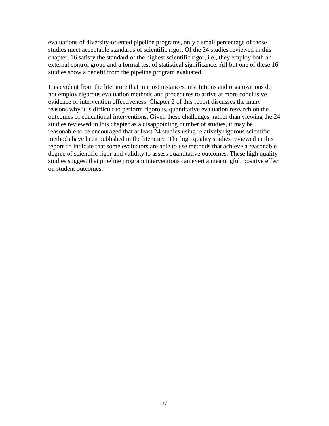evaluations of diversity-oriented pipeline programs, only a small percentage of those studies meet acceptable standards of scientific rigor. Of the 24 studies reviewed in this chapter, 16 satisfy the standard of the highest scientific rigor, i.e., they employ both an external control group and a formal test of statistical significance. All but one of these 16 studies show a benefit from the pipeline program evaluated.

It is evident from the literature that in most instances, institutions and organizations do not employ rigorous evaluation methods and procedures to arrive at more conclusive evidence of intervention effectiveness. Chapter 2 of this report discusses the many reasons why it is difficult to perform rigorous, quantitative evaluation research on the outcomes of educational interventions. Given these challenges, rather than viewing the 24 studies reviewed in this chapter as a disappointing number of studies, it may be reasonable to be encouraged that at least 24 studies using relatively rigorous scientific methods have been published in the literature. The high quality studies reviewed in this report do indicate that some evaluators are able to use methods that achieve a reasonable degree of scientific rigor and validity to assess quantitative outcomes. These high quality studies suggest that pipeline program interventions can exert a meaningful, positive effect on student outcomes.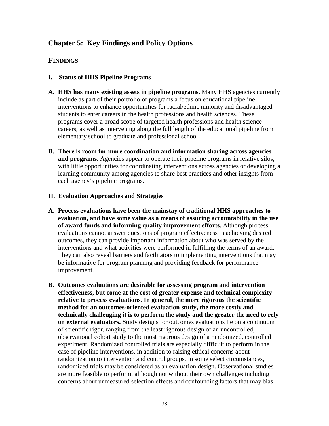# **Chapter 5: Key Findings and Policy Options**

## **FINDINGS**

- **I. Status of HHS Pipeline Programs**
- **A. HHS has many existing assets in pipeline programs.** Many HHS agencies currently include as part of their portfolio of programs a focus on educational pipeline interventions to enhance opportunities for racial/ethnic minority and disadvantaged students to enter careers in the health professions and health sciences. These programs cover a broad scope of targeted health professions and health science careers, as well as intervening along the full length of the educational pipeline from elementary school to graduate and professional school.
- **B. There is room for more coordination and information sharing across agencies and programs.** Agencies appear to operate their pipeline programs in relative silos, with little opportunities for coordinating interventions across agencies or developing a learning community among agencies to share best practices and other insights from each agency's pipeline programs.
- **II. Evaluation Approaches and Strategies**
- **A. Process evaluations have been the mainstay of traditional HHS approaches to evaluation, and have some value as a means of assuring accountability in the use of award funds and informing quality improvement efforts.** Although process evaluations cannot answer questions of program effectiveness in achieving desired outcomes, they can provide important information about who was served by the interventions and what activities were performed in fulfilling the terms of an award. They can also reveal barriers and facilitators to implementing interventions that may be informative for program planning and providing feedback for performance improvement.
- **B. Outcomes evaluations are desirable for assessing program and intervention effectiveness, but come at the cost of greater expense and technical complexity relative to process evaluations. In general, the more rigorous the scientific method for an outcomes-oriented evaluation study, the more costly and technically challenging it is to perform the study and the greater the need to rely on external evaluators.** Study designs for outcomes evaluations lie on a continuum of scientific rigor, ranging from the least rigorous design of an uncontrolled, observational cohort study to the most rigorous design of a randomized, controlled experiment. Randomized controlled trials are especially difficult to perform in the case of pipeline interventions, in addition to raising ethical concerns about randomization to intervention and control groups. In some select circumstances, randomized trials may be considered as an evaluation design. Observational studies are more feasible to perform, although not without their own challenges including concerns about unmeasured selection effects and confounding factors that may bias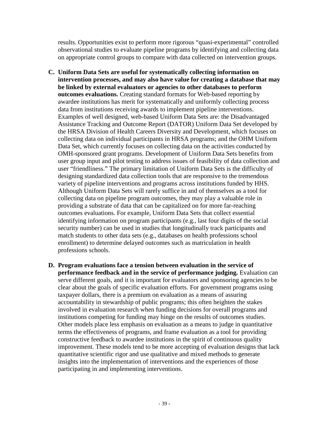results. Opportunities exist to perform more rigorous "quasi-experimental" controlled observational studies to evaluate pipeline programs by identifying and collecting data on appropriate control groups to compare with data collected on intervention groups.

- **C. Uniform Data Sets are useful for systematically collecting information on intervention processes, and may also have value for creating a database that may be linked by external evaluators or agencies to other databases to perform outcomes evaluations.** Creating standard formats for Web-based reporting by awardee institutions has merit for systematically and uniformly collecting process data from institutions receiving awards to implement pipeline interventions. Examples of well designed, web-based Uniform Data Sets are: the Disadvantaged Assistance Tracking and Outcome Report (DATOR) Uniform Data Set developed by the HRSA Division of Health Careers Diversity and Development, which focuses on collecting data on individual participants in HRSA programs; and the OHM Uniform Data Set, which currently focuses on collecting data on the activities conducted by OMH-sponsored grant programs. Development of Uniform Data Sets benefits from user group input and pilot testing to address issues of feasibility of data collection and user "friendliness." The primary limitation of Uniform Data Sets is the difficulty of designing standardized data collection tools that are responsive to the tremendous variety of pipeline interventions and programs across institutions funded by HHS. Although Uniform Data Sets will rarely suffice in and of themselves as a tool for collecting data on pipeline program outcomes, they may play a valuable role in providing a substrate of data that can be capitalized on for more far-reaching outcomes evaluations. For example, Uniform Data Sets that collect essential identifying information on program participants (e.g., last four digits of the social security number) can be used in studies that longitudinally track participants and match students to other data sets (e.g., databases on health professions school enrollment) to determine delayed outcomes such as matriculation in health professions schools.
- **D. Program evaluations face a tension between evaluation in the service of performance feedback and in the service of performance judging.** Evaluation can serve different goals, and it is important for evaluators and sponsoring agencies to be clear about the goals of specific evaluation efforts. For government programs using taxpayer dollars, there is a premium on evaluation as a means of assuring accountability in stewardship of public programs; this often heighten the stakes involved in evaluation research when funding decisions for overall programs and institutions competing for funding may hinge on the results of outcomes studies. Other models place less emphasis on evaluation as a means to judge in quantitative terms the effectiveness of programs, and frame evaluation as a tool for providing constructive feedback to awardee institutions in the spirit of continuous quality improvement. These models tend to be more accepting of evaluation designs that lack quantitative scientific rigor and use qualitative and mixed methods to generate insights into the implementation of interventions and the experiences of those participating in and implementing interventions.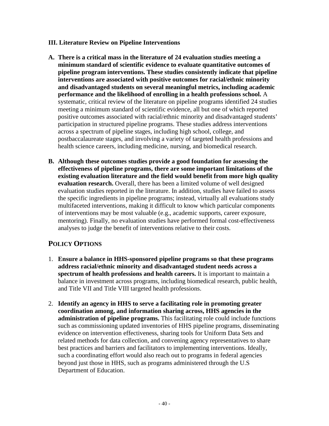### **III. Literature Review on Pipeline Interventions**

- **A. There is a critical mass in the literature of 24 evaluation studies meeting a minimum standard of scientific evidence to evaluate quantitative outcomes of pipeline program interventions. These studies consistently indicate that pipeline interventions are associated with positive outcomes for racial/ethnic minority and disadvantaged students on several meaningful metrics, including academic performance and the likelihood of enrolling in a health professions school.** A systematic, critical review of the literature on pipeline programs identified 24 studies meeting a minimum standard of scientific evidence, all but one of which reported positive outcomes associated with racial/ethnic minority and disadvantaged students' participation in structured pipeline programs. These studies address interventions across a spectrum of pipeline stages, including high school, college, and postbaccalaureate stages, and involving a variety of targeted health professions and health science careers, including medicine, nursing, and biomedical research.
- **B. Although these outcomes studies provide a good foundation for assessing the effectiveness of pipeline programs, there are some important limitations of the existing evaluation literature and the field would benefit from more high quality evaluation research.** Overall, there has been a limited volume of well designed evaluation studies reported in the literature. In addition, studies have failed to assess the specific ingredients in pipeline programs; instead, virtually all evaluations study multifaceted interventions, making it difficult to know which particular components of interventions may be most valuable (e.g., academic supports, career exposure, mentoring). Finally, no evaluation studies have performed formal cost-effectiveness analyses to judge the benefit of interventions relative to their costs.

## **POLICY OPTIONS**

- 1. **Ensure a balance in HHS-sponsored pipeline programs so that these programs address racial/ethnic minority and disadvantaged student needs across a spectrum of health professions and health careers.** It is important to maintain a balance in investment across programs, including biomedical research, public health, and Title VII and Title VIII targeted health professions.
- 2. **Identify an agency in HHS to serve a facilitating role in promoting greater coordination among, and information sharing across, HHS agencies in the administration of pipeline programs.** This facilitating role could include functions such as commissioning updated inventories of HHS pipeline programs, disseminating evidence on intervention effectiveness, sharing tools for Uniform Data Sets and related methods for data collection, and convening agency representatives to share best practices and barriers and facilitators to implementing interventions. Ideally, such a coordinating effort would also reach out to programs in federal agencies beyond just those in HHS, such as programs administered through the U.S Department of Education.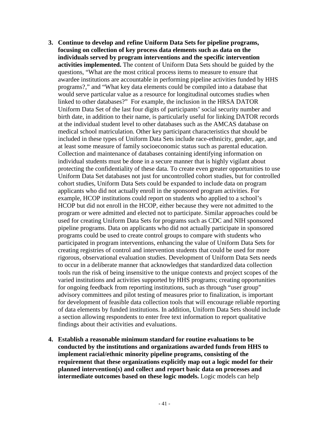- **3. Continue to develop and refine Uniform Data Sets for pipeline programs, focusing on collection of key process data elements such as data on the individuals served by program interventions and the specific intervention activities implemented.** The content of Uniform Data Sets should be guided by the questions, "What are the most critical process items to measure to ensure that awardee institutions are accountable in performing pipeline activities funded by HHS programs?," and "What key data elements could be compiled into a database that would serve particular value as a resource for longitudinal outcomes studies when linked to other databases?" For example, the inclusion in the HRSA DATOR Uniform Data Set of the last four digits of participants' social security number and birth date, in addition to their name, is particularly useful for linking DATOR records at the individual student level to other databases such as the AMCAS database on medical school matriculation. Other key participant characteristics that should be included in these types of Uniform Data Sets include race-ethnicity, gender, age, and at least some measure of family socioeconomic status such as parental education. Collection and maintenance of databases containing identifying information on individual students must be done in a secure manner that is highly vigilant about protecting the confidentiality of these data. To create even greater opportunities to use Uniform Data Set databases not just for uncontrolled cohort studies, but for controlled cohort studies, Uniform Data Sets could be expanded to include data on program applicants who did not actually enroll in the sponsored program activities. For example, HCOP institutions could report on students who applied to a school's HCOP but did not enroll in the HCOP, either because they were not admitted to the program or were admitted and elected not to participate. Similar approaches could be used for creating Uniform Data Sets for programs such as CDC and NIH sponsored pipeline programs. Data on applicants who did not actually participate in sponsored programs could be used to create control groups to compare with students who participated in program interventions, enhancing the value of Uniform Data Sets for creating registries of control and intervention students that could be used for more rigorous, observational evaluation studies. Development of Uniform Data Sets needs to occur in a deliberate manner that acknowledges that standardized data collection tools run the risk of being insensitive to the unique contexts and project scopes of the varied institutions and activities supported by HHS programs; creating opportunities for ongoing feedback from reporting institutions, such as through "user group" advisory committees and pilot testing of measures prior to finalization, is important for development of feasible data collection tools that will encourage reliable reporting of data elements by funded institutions. In addition, Uniform Data Sets should include a section allowing respondents to enter free text information to report qualitative findings about their activities and evaluations.
- **4. Establish a reasonable minimum standard for routine evaluations to be conducted by the institutions and organizations awarded funds from HHS to implement racial/ethnic minority pipeline programs, consisting of the requirement that these organizations explicitly map out a logic model for their planned intervention(s) and collect and report basic data on processes and intermediate outcomes based on these logic models.** Logic models can help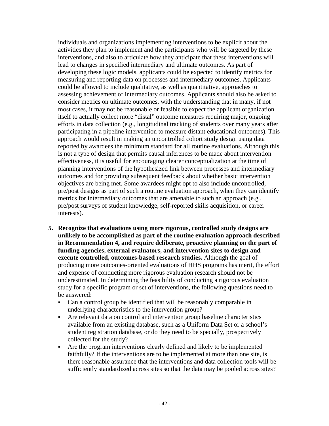individuals and organizations implementing interventions to be explicit about the activities they plan to implement and the participants who will be targeted by these interventions, and also to articulate how they anticipate that these interventions will lead to changes in specified intermediary and ultimate outcomes. As part of developing these logic models, applicants could be expected to identify metrics for measuring and reporting data on processes and intermediary outcomes. Applicants could be allowed to include qualitative, as well as quantitative, approaches to assessing achievement of intermediary outcomes. Applicants should also be asked to consider metrics on ultimate outcomes, with the understanding that in many, if not most cases, it may not be reasonable or feasible to expect the applicant organization itself to actually collect more "distal" outcome measures requiring major, ongoing efforts in data collection (e.g., longitudinal tracking of students over many years after participating in a pipeline intervention to measure distant educational outcomes). This approach would result in making an uncontrolled cohort study design using data reported by awardees the minimum standard for all routine evaluations. Although this is not a type of design that permits causal inferences to be made about intervention effectiveness, it is useful for encouraging clearer conceptualization at the time of planning interventions of the hypothesized link between processes and intermediary outcomes and for providing subsequent feedback about whether basic intervention objectives are being met. Some awardees might opt to also include uncontrolled, pre/post designs as part of such a routine evaluation approach, when they can identify metrics for intermediary outcomes that are amenable to such an approach (e.g., pre/post surveys of student knowledge, self-reported skills acquisition, or career interests).

- **5. Recognize that evaluations using more rigorous, controlled study designs are unlikely to be accomplished as part of the routine evaluation approach described in Recommendation 4, and require deliberate, proactive planning on the part of funding agencies, external evaluators, and intervention sites to design and execute controlled, outcomes-based research studies.** Although the goal of producing more outcomes-oriented evaluations of HHS programs has merit, the effort and expense of conducting more rigorous evaluation research should not be underestimated. In determining the feasibility of conducting a rigorous evaluation study for a specific program or set of interventions, the following questions need to be answered:
	- Can a control group be identified that will be reasonably comparable in underlying characteristics to the intervention group?
	- Are relevant data on control and intervention group baseline characteristics available from an existing database, such as a Uniform Data Set or a school's student registration database, or do they need to be specially, prospectively collected for the study?
	- Are the program interventions clearly defined and likely to be implemented faithfully? If the interventions are to be implemented at more than one site, is there reasonable assurance that the interventions and data collection tools will be sufficiently standardized across sites so that the data may be pooled across sites?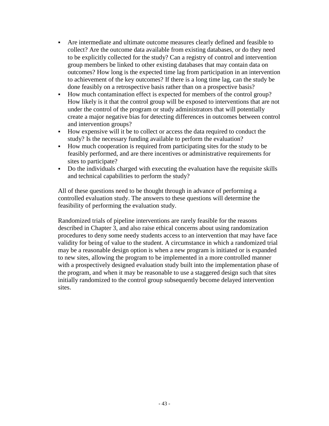- Are intermediate and ultimate outcome measures clearly defined and feasible to collect? Are the outcome data available from existing databases, or do they need to be explicitly collected for the study? Can a registry of control and intervention group members be linked to other existing databases that may contain data on outcomes? How long is the expected time lag from participation in an intervention to achievement of the key outcomes? If there is a long time lag, can the study be done feasibly on a retrospective basis rather than on a prospective basis?
- How much contamination effect is expected for members of the control group? How likely is it that the control group will be exposed to interventions that are not under the control of the program or study administrators that will potentially create a major negative bias for detecting differences in outcomes between control and intervention groups?
- How expensive will it be to collect or access the data required to conduct the study? Is the necessary funding available to perform the evaluation?
- How much cooperation is required from participating sites for the study to be feasibly performed, and are there incentives or administrative requirements for sites to participate?
- Do the individuals charged with executing the evaluation have the requisite skills and technical capabilities to perform the study?

All of these questions need to be thought through in advance of performing a controlled evaluation study. The answers to these questions will determine the feasibility of performing the evaluation study.

Randomized trials of pipeline interventions are rarely feasible for the reasons described in Chapter 3, and also raise ethical concerns about using randomization procedures to deny some needy students access to an intervention that may have face validity for being of value to the student. A circumstance in which a randomized trial may be a reasonable design option is when a new program is initiated or is expanded to new sites, allowing the program to be implemented in a more controlled manner with a prospectively designed evaluation study built into the implementation phase of the program, and when it may be reasonable to use a staggered design such that sites initially randomized to the control group subsequently become delayed intervention sites.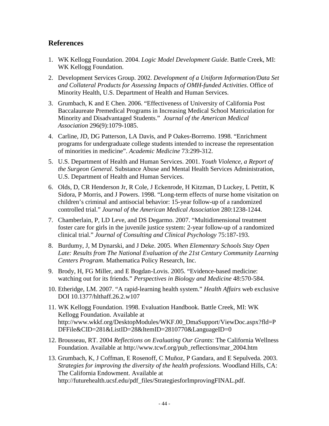## **References**

- 1. WK Kellogg Foundation. 2004. *Logic Model Development Guide*. Battle Creek, MI: WK Kellogg Foundation.
- 2. Development Services Group. 2002. *Development of a Uniform Information/Data Set and Collateral Products for Assessing Impacts of OMH-funded Activities*. Office of Minority Health, U.S. Department of Health and Human Services.
- 3. Grumbach, K and E Chen. 2006. "Effectiveness of University of California Post Baccalaureate Premedical Programs in Increasing Medical School Matriculation for Minority and Disadvantaged Students." *Journal of the American Medical Association* 296(9):1079-1085.
- 4. Carline, JD, DG Patterson, LA Davis, and P Oakes-Borremo. 1998. "Enrichment programs for undergraduate college students intended to increase the representation of minorities in medicine". *Academic Medicine* 73:299-312.
- 5. U.S. Department of Health and Human Services. 2001. *Youth Violence, a Report of the Surgeon General.* Substance Abuse and Mental Health Services Administration, U.S. Department of Health and Human Services.
- 6. Olds, D, CR Henderson Jr, R Cole, J Eckenrode, H Kitzman, D Luckey, L Pettitt, K Sidora, P Morris, and J Powers. 1998. "Long-term effects of nurse home visitation on children's criminal and antisocial behavior: 15-year follow-up of a randomized controlled trial." *Journal of the American Medical Association* 280:1238-1244.
- 7. Chamberlain, P, LD Leve, and DS Degarmo. 2007. "Multidimensional treatment foster care for girls in the juvenile justice system: 2-year follow-up of a randomized clinical trial." *Journal of Consulting and Clinical Psychology* 75:187-193.
- 8. Burdumy, J, M Dynarski, and J Deke. 2005. *When Elementary Schools Stay Open Late: Results from The National Evaluation of the 21st Century Community Learning Centers Program*. Mathematica Policy Research, Inc.
- 9. Brody, H, FG Miller, and E Bogdan-Lovis. 2005. "Evidence-based medicine: watching out for its friends." *Perspectives in Biology and Medicine* 48:570-584.
- 10. Etheridge, LM. 2007. "A rapid-learning health system." *Health Affairs* web exclusive DOI 10.1377/hlthaff.26.2.w107
- 11. WK Kellogg Foundation. 1998. Evaluation Handbook. Battle Creek, MI: WK Kellogg Foundation. Available at http://www.wkkf.org/DesktopModules/WKF.00\_DmaSupport/ViewDoc.aspx?fld=P DFFile&CID=281&ListID=28&ItemID=2810770&LanguageID=0
- 12. Brousseau, RT. 2004 *Reflections on Evaluating Our Grants*: The California Wellness Foundation. Available at http://www.tcwf.org/pub\_reflections/mar\_2004.htm
- 13. Grumbach, K, J Coffman, E Rosenoff, C Muñoz, P Gandara, and E Sepulveda. 2003. *Strategies for improving the diversity of the health professions*. Woodland Hills, CA: The California Endowment. Available at http://futurehealth.ucsf.edu/pdf\_files/StrategiesforImprovingFINAL.pdf.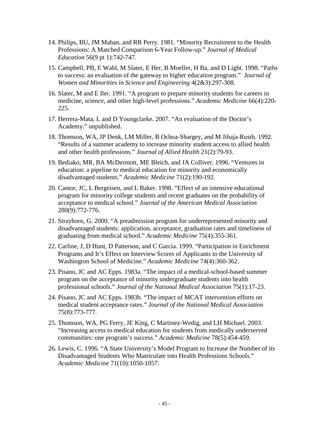- 14. Philips, BU, JM Mahan, and RR Perry. 1981. "Minority Recruitment to the Health Professions: A Matched Comparison 6-Year Follow-up." *Journal of Medical Education* 56(9 pt 1):742-747.
- 15. Campbell, PB, E Wahl, M Slater, E Her, B Moeller, H Ba, and D Light. 1998. "Paths to success: an evaluation of the gateway to higher education program." *Journal of Women and Minorities in Science and Engineering* 4(2&3):297-308.
- 16. Slater, M and E Iler. 1991. "A program to prepare minority students for careers in medicine, science, and other high-level professions." *Academic Medicine* 66(4):220- 225.
- 17. Herrera-Mata, L and D Youngclarke. 2007. "An evaluation of the Doctor's Academy." unpublished.
- 18. Thomson, WA, JP Denk, LM Miller, B Ochoa-Shargey, and M Jibaja-Rusth. 1992. "Results of a summer academy to increase minority student access to allied health and other health professions." *Journal of Allied Health* 21(2):79-93.
- 19. Bediako, MR, BA McDermott, ME Bleich, and JA Colliver. 1996. "Ventures in education: a pipeline to medical education for minority and economically disadvantaged students." *Academic Medicine* 71(2):190-192.
- 20. Cantor, JC, L Bergeisen, and L Baker. 1998. "Effect of an intensive educational program for minority college students and recent graduates on the probability of acceptance to medical school." *Journal of the American Medical Association* 280(9):772-776.
- 21. Strayhorn, G. 2000. "A preadmission program for underrepresented minority and disadvantaged students: application, acceptance, graduation rates and timeliness of graduating from medical school." *Academic Medicine* 75(4):355-361.
- 22. Carline, J, D Hunt, D Patterson, and C Garcia. 1999. "Participation in Enrichment Programs and It's Effect on Interview Scores of Applicants to the University of Washington School of Medicine." *Academic Medicine* 74(4):360-362.
- 23. Pisano, JC and AC Epps. 1983a. "The impact of a medical-school-based summer program on the acceptance of minority undergraduate students into health professional schools." *Journal of the National Medical Association* 75(1):17-23.
- 24. Pisano, JC and AC Epps. 1983b. "The impact of MCAT intervention efforts on medical student acceptance rates." *Journal of the National Medical Association* 75(8):773-777.
- 25. Thomson, WA, PG Ferry, JE King, C Martinez-Wedig, and LH Michael. 2003. "Increasing access to medical education for students from medically underserved communities: one program's success." *Academic Medicine* 78(5):454-459.
- 26. Lewis, C. 1996. "A State University's Model Program to Increase the Number of its Disadvantaged Students Who Matriculate into Health Professions Schools." *Academic Medicine* 71(10):1050-1057.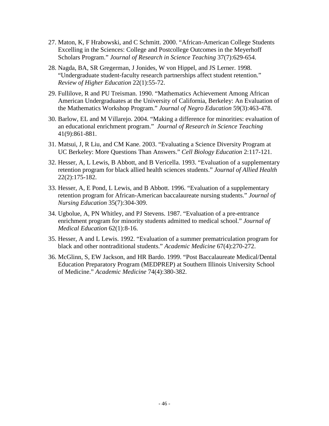- 27. Maton, K, F Hrabowski, and C Schmitt. 2000. "African-American College Students Excelling in the Sciences: College and Postcollege Outcomes in the Meyerhoff Scholars Program." *Journal of Research in Science Teaching* 37(7):629-654.
- 28. Nagda, BA, SR Gregerman, J Jonides, W von Hippel, and JS Lerner. 1998. "Undergraduate student-faculty research partnerships affect student retention." *Review of Higher Education* 22(1):55-72.
- 29. Fullilove, R and PU Treisman. 1990. "Mathematics Achievement Among African American Undergraduates at the University of California, Berkeley: An Evaluation of the Mathematics Workshop Program." *Journal of Negro Education* 59(3):463-478.
- 30. Barlow, EL and M Villarejo. 2004. "Making a difference for minorities: evaluation of an educational enrichment program." *Journal of Research in Science Teaching* 41(9):861-881.
- 31. Matsui, J, R Liu, and CM Kane. 2003. "Evaluating a Science Diversity Program at UC Berkeley: More Questions Than Answers." *Cell Biology Education* 2:117-121.
- 32. Hesser, A, L Lewis, B Abbott, and B Vericella. 1993. "Evaluation of a supplementary retention program for black allied health sciences students." *Journal of Allied Health* 22(2):175-182.
- 33. Hesser, A, E Pond, L Lewis, and B Abbott. 1996. "Evaluation of a supplementary retention program for African-American baccalaureate nursing students." *Journal of Nursing Education* 35(7):304-309.
- 34. Ugbolue, A, PN Whitley, and PJ Stevens. 1987. "Evaluation of a pre-entrance enrichment program for minority students admitted to medical school." *Journal of Medical Education* 62(1):8-16.
- 35. Hesser, A and L Lewis. 1992. "Evaluation of a summer prematriculation program for black and other nontraditional students." *Academic Medicine* 67(4):270-272.
- 36. McGlinn, S, EW Jackson, and HR Bardo. 1999. "Post Baccalaureate Medical/Dental Education Preparatory Program (MEDPREP) at Southern Illinois University School of Medicine." *Academic Medicine* 74(4):380-382.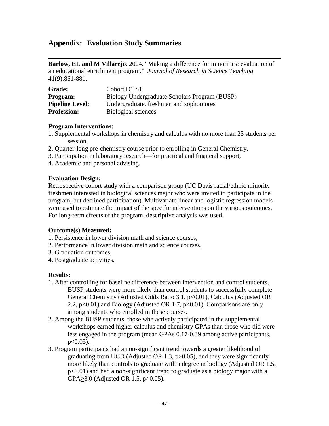## **Appendix: Evaluation Study Summaries**

**Barlow, EL and M Villarejo.** 2004. "Making a difference for minorities: evaluation of an educational enrichment program." *Journal of Research in Science Teaching* 41(9):861-881.

| <b>Grade:</b>          | Cohort D1 S1                                  |
|------------------------|-----------------------------------------------|
| <b>Program:</b>        | Biology Undergraduate Scholars Program (BUSP) |
| <b>Pipeline Level:</b> | Undergraduate, freshmen and sophomores        |
| <b>Profession:</b>     | Biological sciences                           |

#### **Program Interventions:**

- 1. Supplemental workshops in chemistry and calculus with no more than 25 students per session,
- 2. Quarter-long pre-chemistry course prior to enrolling in General Chemistry,
- 3. Participation in laboratory research—for practical and financial support,
- 4. Academic and personal advising.

### **Evaluation Design:**

Retrospective cohort study with a comparison group (UC Davis racial/ethnic minority freshmen interested in biological sciences major who were invited to participate in the program, but declined participation). Multivariate linear and logistic regression models were used to estimate the impact of the specific interventions on the various outcomes. For long-term effects of the program, descriptive analysis was used.

### **Outcome(s) Measured:**

- 1. Persistence in lower division math and science courses,
- 2. Performance in lower division math and science courses,
- 3. Graduation outcomes,
- 4. Postgraduate activities.

### **Results:**

- 1. After controlling for baseline difference between intervention and control students, BUSP students were more likely than control students to successfully complete General Chemistry (Adjusted Odds Ratio 3.1, p<0.01), Calculus (Adjusted OR 2.2,  $p<0.01$ ) and Biology (Adjusted OR 1.7,  $p<0.01$ ). Comparisons are only among students who enrolled in these courses.
- 2. Among the BUSP students, those who actively participated in the supplemental workshops earned higher calculus and chemistry GPAs than those who did were less engaged in the program (mean GPAs 0.17-0.39 among active participants,  $p < 0.05$ ).
- 3. Program participants had a non-significant trend towards a greater likelihood of graduating from UCD (Adjusted OR 1.3,  $p > 0.05$ ), and they were significantly more likely than controls to graduate with a degree in biology (Adjusted OR 1.5, p<0.01) and had a non-significant trend to graduate as a biology major with a  $GPA \geq 3.0$  (Adjusted OR 1.5, p > 0.05).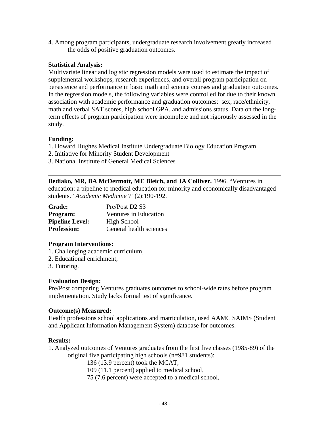4. Among program participants, undergraduate research involvement greatly increased the odds of positive graduation outcomes.

### **Statistical Analysis:**

Multivariate linear and logistic regression models were used to estimate the impact of supplemental workshops, research experiences, and overall program participation on persistence and performance in basic math and science courses and graduation outcomes. In the regression models, the following variables were controlled for due to their known association with academic performance and graduation outcomes: sex, race/ethnicity, math and verbal SAT scores, high school GPA, and admissions status. Data on the longterm effects of program participation were incomplete and not rigorously assessed in the study.

### **Funding:**

- 1. Howard Hughes Medical Institute Undergraduate Biology Education Program
- 2. Initiative for Minority Student Development
- 3. National Institute of General Medical Sciences

**Bediako, MR, BA McDermott, ME Bleich, and JA Colliver.** 1996. "Ventures in education: a pipeline to medical education for minority and economically disadvantaged students." *Academic Medicine* 71(2):190-192.

| <b>Grade:</b>          | Pre/Post D2 S3               |
|------------------------|------------------------------|
| <b>Program:</b>        | <b>Ventures in Education</b> |
| <b>Pipeline Level:</b> | High School                  |
| <b>Profession:</b>     | General health sciences      |

#### **Program Interventions:**

- 1. Challenging academic curriculum,
- 2. Educational enrichment,
- 3. Tutoring.

### **Evaluation Design:**

Pre/Post comparing Ventures graduates outcomes to school-wide rates before program implementation. Study lacks formal test of significance.

#### **Outcome(s) Measured:**

Health professions school applications and matriculation, used AAMC SAIMS (Student and Applicant Information Management System) database for outcomes.

### **Results:**

1. Analyzed outcomes of Ventures graduates from the first five classes (1985-89) of the original five participating high schools (n=981 students):

136 (13.9 percent) took the MCAT,

109 (11.1 percent) applied to medical school,

75 (7.6 percent) were accepted to a medical school,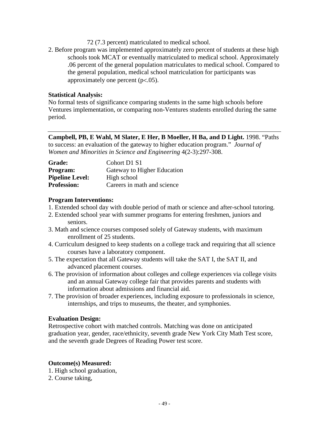- 72 (7.3 percent) matriculated to medical school.
- 2. Before program was implemented approximately zero percent of students at these high schools took MCAT or eventually matriculated to medical school. Approximately .06 percent of the general population matriculates to medical school. Compared to the general population, medical school matriculation for participants was approximately one percent  $(p<.05)$ .

No formal tests of significance comparing students in the same high schools before Ventures implementation, or comparing non-Ventures students enrolled during the same period.

**Campbell, PB, E Wahl, M Slater, E Her, B Moeller, H Ba, and D Light.** 1998. "Paths to success: an evaluation of the gateway to higher education program." *Journal of Women and Minorities in Science and Engineering* 4(2-3):297-308.

| <b>Grade:</b>          | Cohort D1 S1                |
|------------------------|-----------------------------|
| <b>Program:</b>        | Gateway to Higher Education |
| <b>Pipeline Level:</b> | High school                 |
| <b>Profession:</b>     | Careers in math and science |

### **Program Interventions:**

- 1. Extended school day with double period of math or science and after-school tutoring.
- 2. Extended school year with summer programs for entering freshmen, juniors and seniors.
- 3. Math and science courses composed solely of Gateway students, with maximum enrollment of 25 students.
- 4. Curriculum designed to keep students on a college track and requiring that all science courses have a laboratory component.
- 5. The expectation that all Gateway students will take the SAT I, the SAT II, and advanced placement courses.
- 6. The provision of information about colleges and college experiences via college visits and an annual Gateway college fair that provides parents and students with information about admissions and financial aid.
- 7. The provision of broader experiences, including exposure to professionals in science, internships, and trips to museums, the theater, and symphonies.

#### **Evaluation Design:**

Retrospective cohort with matched controls. Matching was done on anticipated graduation year, gender, race/ethnicity, seventh grade New York City Math Test score, and the seventh grade Degrees of Reading Power test score.

### **Outcome(s) Measured:**

- 1. High school graduation,
- 2. Course taking,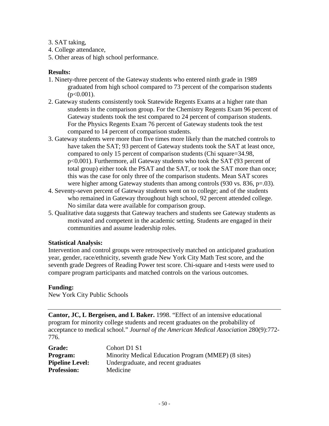- 3. SAT taking,
- 4. College attendance,
- 5. Other areas of high school performance.

### **Results:**

- 1. Ninety-three percent of the Gateway students who entered ninth grade in 1989 graduated from high school compared to 73 percent of the comparison students  $(p<0.001)$ .
- 2. Gateway students consistently took Statewide Regents Exams at a higher rate than students in the comparison group. For the Chemistry Regents Exam 96 percent of Gateway students took the test compared to 24 percent of comparison students. For the Physics Regents Exam 76 percent of Gateway students took the test compared to 14 percent of comparison students.
- 3. Gateway students were more than five times more likely than the matched controls to have taken the SAT; 93 percent of Gateway students took the SAT at least once, compared to only 15 percent of comparison students (Chi square=34.98, p<0.001). Furthermore, all Gateway students who took the SAT (93 percent of total group) either took the PSAT and the SAT, or took the SAT more than once; this was the case for only three of the comparison students. Mean SAT scores were higher among Gateway students than among controls (930 vs. 836, p=.03).
- 4. Seventy-seven percent of Gateway students went on to college; and of the students who remained in Gateway throughout high school, 92 percent attended college. No similar data were available for comparison group.
- 5. Qualitative data suggests that Gateway teachers and students see Gateway students as motivated and competent in the academic setting. Students are engaged in their communities and assume leadership roles.

#### **Statistical Analysis:**

Intervention and control groups were retrospectively matched on anticipated graduation year, gender, race/ethnicity, seventh grade New York City Math Test score, and the seventh grade Degrees of Reading Power test score. Chi-square and t-tests were used to compare program participants and matched controls on the various outcomes.

#### **Funding:**

New York City Public Schools

**Cantor, JC, L Bergeisen, and L Baker.** 1998. "Effect of an intensive educational program for minority college students and recent graduates on the probability of acceptance to medical school." *Journal of the American Medical Association* 280(9):772- 776.

| <b>Grade:</b>          | Cohort D1 S1                                        |
|------------------------|-----------------------------------------------------|
| <b>Program:</b>        | Minority Medical Education Program (MMEP) (8 sites) |
| <b>Pipeline Level:</b> | Undergraduate, and recent graduates                 |
| <b>Profession:</b>     | Medicine                                            |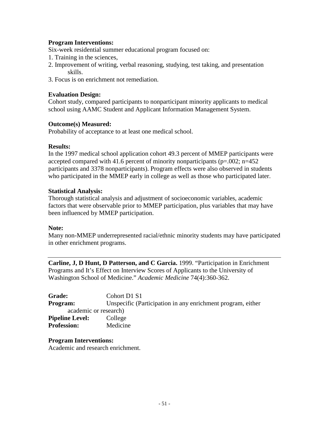### **Program Interventions:**

Six-week residential summer educational program focused on:

- 1. Training in the sciences,
- 2. Improvement of writing, verbal reasoning, studying, test taking, and presentation skills.
- 3. Focus is on enrichment not remediation.

### **Evaluation Design:**

Cohort study, compared participants to nonparticipant minority applicants to medical school using AAMC Student and Applicant Information Management System.

### **Outcome(s) Measured:**

Probability of acceptance to at least one medical school.

### **Results:**

In the 1997 medical school application cohort 49.3 percent of MMEP participants were accepted compared with 41.6 percent of minority nonparticipants ( $p=.002$ ;  $n=452$ ) participants and 3378 nonparticipants). Program effects were also observed in students who participated in the MMEP early in college as well as those who participated later.

### **Statistical Analysis:**

Thorough statistical analysis and adjustment of socioeconomic variables, academic factors that were observable prior to MMEP participation, plus variables that may have been influenced by MMEP participation.

#### **Note:**

Many non-MMEP underrepresented racial/ethnic minority students may have participated in other enrichment programs.

**Carline, J, D Hunt, D Patterson, and C Garcia.** 1999. "Participation in Enrichment Programs and It's Effect on Interview Scores of Applicants to the University of Washington School of Medicine." *Academic Medicine* 74(4):360-362.

| <b>Grade:</b>          | Cohort D1 S1                                                |
|------------------------|-------------------------------------------------------------|
| <b>Program:</b>        | Unspecific (Participation in any enrichment program, either |
| academic or research)  |                                                             |
| <b>Pipeline Level:</b> | College                                                     |
| <b>Profession:</b>     | Medicine                                                    |

**Program Interventions:**  Academic and research enrichment.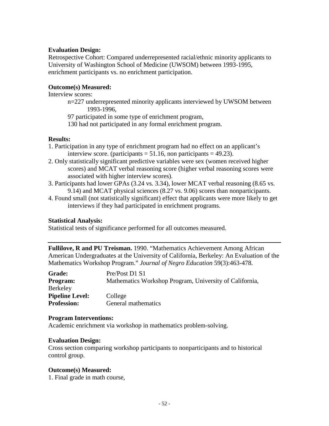#### **Evaluation Design:**

Retrospective Cohort: Compared underrepresented racial/ethnic minority applicants to University of Washington School of Medicine (UWSOM) between 1993-1995, enrichment participants vs. no enrichment participation.

### **Outcome(s) Measured:**

Interview scores:

n=227 underrepresented minority applicants interviewed by UWSOM between 1993-1996,

97 participated in some type of enrichment program,

130 had not participated in any formal enrichment program.

### **Results:**

- 1. Participation in any type of enrichment program had no effect on an applicant's interview score. (participants  $= 51.16$ , non participants  $= 49.23$ ).
- 2. Only statistically significant predictive variables were sex (women received higher scores) and MCAT verbal reasoning score (higher verbal reasoning scores were associated with higher interview scores).
- 3. Participants had lower GPAs (3.24 vs. 3.34), lower MCAT verbal reasoning (8.65 vs. 9.14) and MCAT physical sciences (8.27 vs. 9.06) scores than nonparticipants.
- 4. Found small (not statistically significant) effect that applicants were more likely to get interviews if they had participated in enrichment programs.

### **Statistical Analysis:**

Statistical tests of significance performed for all outcomes measured.

**Fullilove, R and PU Treisman.** 1990. "Mathematics Achievement Among African American Undergraduates at the University of California, Berkeley: An Evaluation of the Mathematics Workshop Program." *Journal of Negro Education* 59(3):463-478.

| <b>Grade:</b>          | Pre/Post D1 S1                                          |
|------------------------|---------------------------------------------------------|
| <b>Program:</b>        | Mathematics Workshop Program, University of California, |
| <b>Berkeley</b>        |                                                         |
| <b>Pipeline Level:</b> | College                                                 |
| <b>Profession:</b>     | General mathematics                                     |

#### **Program Interventions:**

Academic enrichment via workshop in mathematics problem-solving.

#### **Evaluation Design:**

Cross section comparing workshop participants to nonparticipants and to historical control group.

#### **Outcome(s) Measured:**

1. Final grade in math course,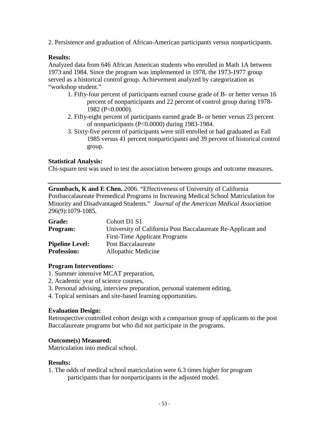2. Persistence and graduation of African-American participants versus nonparticipants.

### **Results:**

Analyzed data from 646 African American students who enrolled in Math 1A between 1973 and 1984. Since the program was implemented in 1978, the 1973-1977 group served as a historical control group. Achievement analyzed by categorization as "workshop student."

- 1. Fifty-four percent of participants earned course grade of B- or better versus 16 percent of nonparticipants and 22 percent of control group during 1978- 1982 (P<0.0000).
- 2. Fifty-eight percent of participants earned grade B- or better versus 23 percent of nonparticipants (P<0.0000) during 1983-1984.
- 3. Sixty-five percent of participants were still enrolled or had graduated as Fall 1985 versus 41 percent nonparticipants and 39 percent of historical control group.

### **Statistical Analysis:**

Chi-square test was used to test the association between groups and outcome measures.

**Grumbach, K and E Chen.** 2006. "Effectiveness of University of California Postbaccalaureate Premedical Programs in Increasing Medical School Matriculation for Minority and Disadvantaged Students." *Journal of the American Medical Association* 296(9):1079-1085.

| <b>Grade:</b>          | Cohort D1 S1                                                 |
|------------------------|--------------------------------------------------------------|
| <b>Program:</b>        | University of California Post Baccalaureate Re-Applicant and |
|                        | <b>First-Time Applicant Programs</b>                         |
| <b>Pipeline Level:</b> | Post Baccalaureate                                           |
| <b>Profession:</b>     | Allopathic Medicine                                          |

#### **Program Interventions:**

- 1. Summer intensive MCAT preparation,
- 2. Academic year of science courses,
- 3. Personal advising, interview preparation, personal statement editing,
- 4. Topical seminars and site-based learning opportunities.

### **Evaluation Design:**

Retrospective controlled cohort design with a comparison group of applicants to the post Baccalaureate programs but who did not participate in the programs.

### **Outcome(s) Measured:**

Matriculation into medical school.

### **Results:**

1. The odds of medical school matriculation were 6.3 times higher for program participants than for nonparticipants in the adjusted model.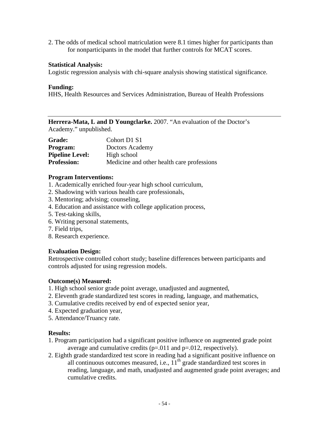2. The odds of medical school matriculation were 8.1 times higher for participants than for nonparticipants in the model that further controls for MCAT scores.

#### **Statistical Analysis:**

Logistic regression analysis with chi-square analysis showing statistical significance.

#### **Funding:**

HHS, Health Resources and Services Administration, Bureau of Health Professions

**Herrera-Mata, L and D Youngclarke.** 2007. "An evaluation of the Doctor's Academy." unpublished.

| <b>Grade:</b>          | Cohort D1 S1                               |
|------------------------|--------------------------------------------|
| <b>Program:</b>        | Doctors Academy                            |
| <b>Pipeline Level:</b> | High school                                |
| <b>Profession:</b>     | Medicine and other health care professions |

#### **Program Interventions:**

- 1. Academically enriched four-year high school curriculum,
- 2. Shadowing with various health care professionals,
- 3. Mentoring; advising; counseling,
- 4. Education and assistance with college application process,
- 5. Test-taking skills,
- 6. Writing personal statements,
- 7. Field trips,
- 8. Research experience.

#### **Evaluation Design:**

Retrospective controlled cohort study; baseline differences between participants and controls adjusted for using regression models.

#### **Outcome(s) Measured:**

- 1. High school senior grade point average, unadjusted and augmented,
- 2. Eleventh grade standardized test scores in reading, language, and mathematics,
- 3. Cumulative credits received by end of expected senior year,
- 4. Expected graduation year,
- 5. Attendance/Truancy rate.

#### **Results:**

- 1. Program participation had a significant positive influence on augmented grade point average and cumulative credits  $(p=.011$  and  $p=.012$ , respectively).
- 2. Eighth grade standardized test score in reading had a significant positive influence on all continuous outcomes measured, i.e.,  $11<sup>th</sup>$  grade standardized test scores in reading, language, and math, unadjusted and augmented grade point averages; and cumulative credits.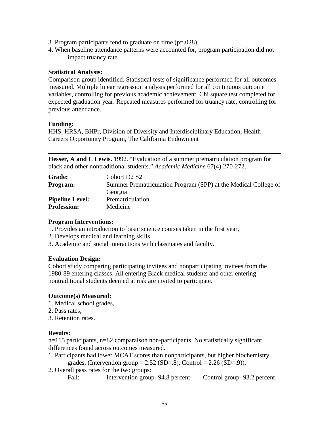- 3. Program participants tend to graduate on time  $(p=.028)$ .
- 4. When baseline attendance patterns were accounted for, program participation did not impact truancy rate.

Comparison group identified. Statistical tests of significance performed for all outcomes measured. Multiple linear regression analysis performed for all continuous outcome variables, controlling for previous academic achievement. Chi square test completed for expected graduation year. Repeated measures performed for truancy rate, controlling for previous attendance.

### **Funding:**

HHS, HRSA, BHPr, Division of Diversity and Interdisciplinary Education, Health Careers Opportunity Program, The California Endowment

**Hesser, A and L Lewis.** 1992. "Evaluation of a summer prematriculation program for black and other nontraditional students." *Academic Medicine* 67(4):270-272.

| <b>Grade:</b>          | Cohort D <sub>2</sub> S <sub>2</sub>                            |
|------------------------|-----------------------------------------------------------------|
| <b>Program:</b>        | Summer Prematriculation Program (SPP) at the Medical College of |
|                        | Georgia                                                         |
| <b>Pipeline Level:</b> | Prematriculation                                                |
| <b>Profession:</b>     | Medicine                                                        |

#### **Program Interventions:**

- 1. Provides an introduction to basic science courses taken in the first year,
- 2. Develops medical and learning skills,
- 3. Academic and social interactions with classmates and faculty.

### **Evaluation Design:**

Cohort study comparing participating invitees and nonparticipating invitees from the 1980-89 entering classes. All entering Black medical students and other entering nontraditional students deemed at risk are invited to participate.

### **Outcome(s) Measured:**

- 1. Medical school grades,
- 2. Pass rates,
- 3. Retention rates.

### **Results:**

n=115 participants, n=82 comparaison non-participants. No statistically significant differences found across outcomes measured.

- 1. Participants had lower MCAT scores than nonparticipants, but higher biochemistry grades, (Intervention group =  $2.52$  (SD=.8), Control =  $2.26$  (SD=.9)).
- 2. Overall pass rates for the two groups:
	- Fall: Intervention group- 94.8 percent Control group- 93.2 percent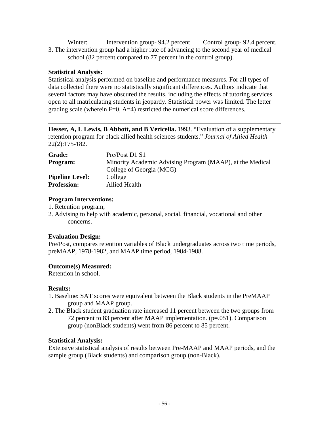Winter: Intervention group- 94.2 percent Control group- 92.4 percent. 3. The intervention group had a higher rate of advancing to the second year of medical school (82 percent compared to 77 percent in the control group).

### **Statistical Analysis:**

Statistical analysis performed on baseline and performance measures. For all types of data collected there were no statistically significant differences. Authors indicate that several factors may have obscured the results, including the effects of tutoring services open to all matriculating students in jeopardy. Statistical power was limited. The letter grading scale (wherein  $F=0$ ,  $A=4$ ) restricted the numerical score differences.

**Hesser, A, L Lewis, B Abbott, and B Vericella.** 1993. "Evaluation of a supplementary retention program for black allied health sciences students." *Journal of Allied Health* 22(2):175-182.

| <b>Grade:</b>          | Pre/Post D1 S1                                            |
|------------------------|-----------------------------------------------------------|
| <b>Program:</b>        | Minority Academic Advising Program (MAAP), at the Medical |
|                        | College of Georgia (MCG)                                  |
| <b>Pipeline Level:</b> | College                                                   |
| <b>Profession:</b>     | Allied Health                                             |

### **Program Interventions:**

- 1. Retention program,
- 2. Advising to help with academic, personal, social, financial, vocational and other concerns.

### **Evaluation Design:**

Pre/Post, compares retention variables of Black undergraduates across two time periods, preMAAP, 1978-1982, and MAAP time period, 1984-1988.

### **Outcome(s) Measured:**

Retention in school.

### **Results:**

- 1. Baseline: SAT scores were equivalent between the Black students in the PreMAAP group and MAAP group.
- 2. The Black student graduation rate increased 11 percent between the two groups from 72 percent to 83 percent after MAAP implementation. (p=.051). Comparison group (nonBlack students) went from 86 percent to 85 percent.

### **Statistical Analysis:**

Extensive statistical analysis of results between Pre-MAAP and MAAP periods, and the sample group (Black students) and comparison group (non-Black).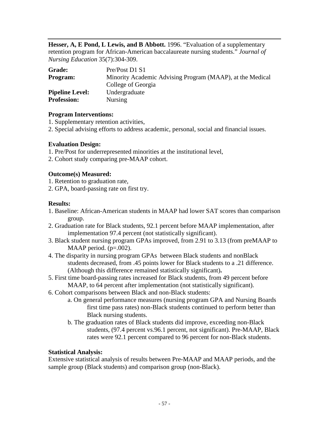**Hesser, A, E Pond, L Lewis, and B Abbott.** 1996. "Evaluation of a supplementary retention program for African-American baccalaureate nursing students." *Journal of Nursing Education* 35(7):304-309.

| Grade:                 | Pre/Post D1 S1                                            |
|------------------------|-----------------------------------------------------------|
| <b>Program:</b>        | Minority Academic Advising Program (MAAP), at the Medical |
|                        | College of Georgia                                        |
| <b>Pipeline Level:</b> | Undergraduate                                             |
| <b>Profession:</b>     | <b>Nursing</b>                                            |

#### **Program Interventions:**

- 1. Supplementary retention activities,
- 2. Special advising efforts to address academic, personal, social and financial issues.

#### **Evaluation Design:**

- 1. Pre/Post for underrepresented minorities at the institutional level,
- 2. Cohort study comparing pre-MAAP cohort.

#### **Outcome(s) Measured:**

- 1. Retention to graduation rate,
- 2. GPA, board-passing rate on first try.

#### **Results:**

- 1. Baseline: African-American students in MAAP had lower SAT scores than comparison group.
- 2. Graduation rate for Black students, 92.1 percent before MAAP implementation, after implementation 97.4 percent (not statistically significant).
- 3. Black student nursing program GPAs improved, from 2.91 to 3.13 (from preMAAP to MAAP period.  $(p=.002)$ .
- 4. The disparity in nursing program GPAs between Black students and nonBlack students decreased, from .45 points lower for Black students to a .21 difference. (Although this difference remained statistically significant)**.**
- 5. First time board-passing rates increased for Black students, from 49 percent before MAAP, to 64 percent after implementation (not statistically significant).
- 6. Cohort comparisons between Black and non-Black students:
	- a. On general performance measures (nursing program GPA and Nursing Boards first time pass rates) non-Black students continued to perform better than Black nursing students.
	- b. The graduation rates of Black students did improve, exceeding non-Black students, (97.4 percent vs.96.1 percent, not significant). Pre-MAAP, Black rates were 92.1 percent compared to 96 percent for non-Black students.

#### **Statistical Analysis:**

Extensive statistical analysis of results between Pre-MAAP and MAAP periods, and the sample group (Black students) and comparison group (non-Black).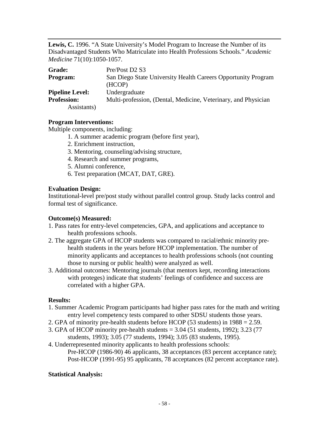**Lewis, C.** 1996. "A State University's Model Program to Increase the Number of its Disadvantaged Students Who Matriculate into Health Professions Schools." *Academic Medicine* 71(10):1050-1057.

| <b>Grade:</b>          | Pre/Post D2 S3                                                 |
|------------------------|----------------------------------------------------------------|
| <b>Program:</b>        | San Diego State University Health Careers Opportunity Program  |
|                        | (HCOP)                                                         |
| <b>Pipeline Level:</b> | Undergraduate                                                  |
| <b>Profession:</b>     | Multi-profession, (Dental, Medicine, Veterinary, and Physician |
| Assistants)            |                                                                |

#### **Program Interventions:**

Multiple components, including:

- 1. A summer academic program (before first year),
- 2. Enrichment instruction,
- 3. Mentoring, counseling/advising structure,
- 4. Research and summer programs,
- 5. Alumni conference,
- 6. Test preparation (MCAT, DAT, GRE).

### **Evaluation Design:**

Institutional-level pre/post study without parallel control group. Study lacks control and formal test of significance.

#### **Outcome(s) Measured:**

- 1. Pass rates for entry-level competencies, GPA, and applications and acceptance to health professions schools.
- 2. The aggregate GPA of HCOP students was compared to racial/ethnic minority prehealth students in the years before HCOP implementation. The number of minority applicants and acceptances to health professions schools (not counting those to nursing or public health) were analyzed as well.
- 3. Additional outcomes: Mentoring journals (that mentors kept, recording interactions with proteges) indicate that students' feelings of confidence and success are correlated with a higher GPA.

#### **Results:**

- 1. Summer Academic Program participants had higher pass rates for the math and writing entry level competency tests compared to other SDSU students those years.
- 2. GPA of minority pre-health students before HCOP (53 students) in 1988 = 2.59.
- 3. GPA of HCOP minority pre-health students = 3.04 (51 students, 1992); 3.23 (77
- students, 1993); 3.05 (77 students, 1994); 3.05 (83 students, 1995).
- 4. Underrepresented minority applicants to health professions schools: Pre-HCOP (1986-90) 46 applicants, 38 acceptances (83 percent acceptance rate); Post-HCOP (1991-95) 95 applicants, 78 acceptances (82 percent acceptance rate).

### **Statistical Analysis:**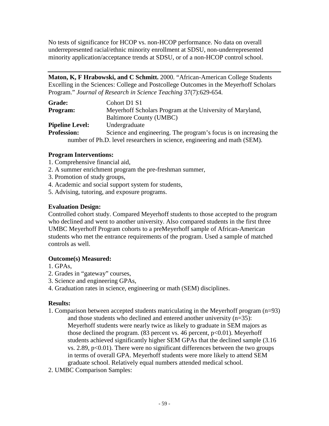No tests of significance for HCOP vs. non-HCOP performance. No data on overall underrepresented racial/ethnic minority enrollment at SDSU, non-underrepresented minority application/acceptance trends at SDSU, or of a non-HCOP control school.

**Maton, K, F Hrabowski, and C Schmitt.** 2000. "African-American College Students Excelling in the Sciences: College and Postcollege Outcomes in the Meyerhoff Scholars Program." *Journal of Research in Science Teaching* 37(7):629-654.

| <b>Grade:</b>          | Cohort D1 S1                                                              |
|------------------------|---------------------------------------------------------------------------|
| Program:               | Meyerhoff Scholars Program at the University of Maryland,                 |
|                        | Baltimore County (UMBC)                                                   |
| <b>Pipeline Level:</b> | Undergraduate                                                             |
| <b>Profession:</b>     | Science and engineering. The program's focus is on increasing the         |
|                        | number of Ph.D. level researchers in science, engineering and math (SEM). |

### **Program Interventions:**

- 1. Comprehensive financial aid,
- 2. A summer enrichment program the pre-freshman summer,
- 3. Promotion of study groups,
- 4. Academic and social support system for students,
- 5. Advising, tutoring, and exposure programs.

### **Evaluation Design:**

Controlled cohort study. Compared Meyerhoff students to those accepted to the program who declined and went to another university. Also compared students in the first three UMBC Meyerhoff Program cohorts to a preMeyerhoff sample of African-American students who met the entrance requirements of the program. Used a sample of matched controls as well.

## **Outcome(s) Measured:**

- 1. GPAs,
- 2. Grades in "gateway" courses,
- 3. Science and engineering GPAs,
- 4. Graduation rates in science, engineering or math (SEM) disciplines.

### **Results:**

- 1. Comparison between accepted students matriculating in the Meyerhoff program (n=93)
	- and those students who declined and entered another university (n=35): Meyerhoff students were nearly twice as likely to graduate in SEM majors as those declined the program.  $(83$  percent vs. 46 percent,  $p<0.01$ ). Meyerhoff students achieved significantly higher SEM GPAs that the declined sample (3.16 vs. 2.89,  $p<0.01$ ). There were no significant differences between the two groups in terms of overall GPA. Meyerhoff students were more likely to attend SEM graduate school. Relatively equal numbers attended medical school.
- 2. UMBC Comparison Samples: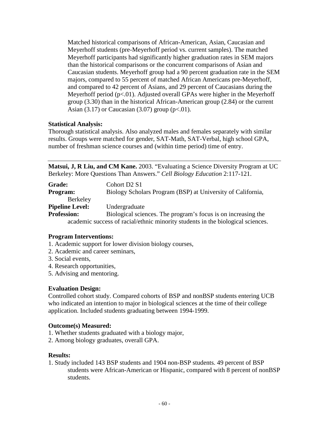Matched historical comparisons of African-American, Asian, Caucasian and Meyerhoff students (pre-Meyerhoff period vs. current samples). The matched Meyerhoff participants had significantly higher graduation rates in SEM majors than the historical comparisons or the concurrent comparisons of Asian and Caucasian students. Meyerhoff group had a 90 percent graduation rate in the SEM majors, compared to 55 percent of matched African Americans pre-Meyerhoff, and compared to 42 percent of Asians, and 29 percent of Caucasians during the Meyerhoff period  $(p<.01)$ . Adjusted overall GPAs were higher in the Meyerhoff group (3.30) than in the historical African-American group (2.84) or the current Asian  $(3.17)$  or Caucasian  $(3.07)$  group  $(p<.01)$ .

### **Statistical Analysis:**

Thorough statistical analysis. Also analyzed males and females separately with similar results. Groups were matched for gender, SAT-Math, SAT-Verbal, high school GPA, number of freshman science courses and (within time period) time of entry.

**Matsui, J, R Liu, and CM Kane.** 2003. "Evaluating a Science Diversity Program at UC Berkeley: More Questions Than Answers." *Cell Biology Education* 2:117-121.

| <b>Grade:</b>          | Cohort D <sub>2</sub> S <sub>1</sub>                                            |
|------------------------|---------------------------------------------------------------------------------|
| Program:               | Biology Scholars Program (BSP) at University of California,                     |
| Berkeley               |                                                                                 |
| <b>Pipeline Level:</b> | Undergraduate                                                                   |
| <b>Profession:</b>     | Biological sciences. The program's focus is on increasing the                   |
|                        | academic success of racial/ethnic minority students in the biological sciences. |

### **Program Interventions:**

- 1. Academic support for lower division biology courses,
- 2. Academic and career seminars,
- 3. Social events,
- 4. Research opportunities,
- 5. Advising and mentoring.

### **Evaluation Design:**

Controlled cohort study. Compared cohorts of BSP and nonBSP students entering UCB who indicated an intention to major in biological sciences at the time of their college application. Included students graduating between 1994-1999.

### **Outcome(s) Measured:**

- 1. Whether students graduated with a biology major,
- 2. Among biology graduates, overall GPA.

### **Results:**

1. Study included 143 BSP students and 1904 non-BSP students. 49 percent of BSP students were African-American or Hispanic, compared with 8 percent of nonBSP students.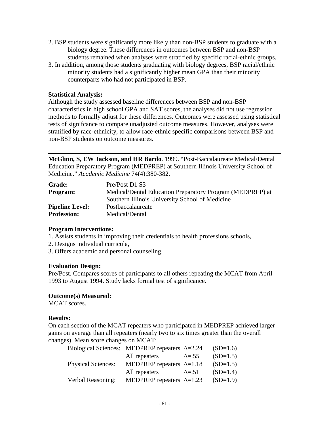- 2. BSP students were significantly more likely than non-BSP students to graduate with a biology degree. These differences in outcomes between BSP and non-BSP students remained when analyses were stratified by specific racial-ethnic groups.
- 3. In addition, among those students graduating with biology degrees, BSP racial/ethnic minority students had a significantly higher mean GPA than their minority counterparts who had not participated in BSP.

Although the study assessed baseline differences between BSP and non-BSP characteristics in high school GPA and SAT scores, the analyses did not use regression methods to formally adjust for these differences. Outcomes were assessed using statistical tests of signifcance to compare unadjusted outcome measures. However, analyses were stratified by race-ethnicity, to allow race-ethnic specific comparisons between BSP and non-BSP students on outcome measures.

**McGlinn, S, EW Jackson, and HR Bardo**. 1999. "Post-Baccalaureate Medical/Dental Education Preparatory Program (MEDPREP) at Southern Illinois University School of Medicine." *Academic Medicine* 74(4):380-382.

| <b>Grade:</b>          | Pre/Post D1 S3                                            |
|------------------------|-----------------------------------------------------------|
| <b>Program:</b>        | Medical/Dental Education Preparatory Program (MEDPREP) at |
|                        | Southern Illinois University School of Medicine           |
| <b>Pipeline Level:</b> | Postbaccalaureate                                         |
| <b>Profession:</b>     | Medical/Dental                                            |

#### **Program Interventions:**

- 1. Assists students in improving their credentials to health professions schools,
- 2. Designs individual curricula,
- 3. Offers academic and personal counseling.

#### **Evaluation Design:**

Pre/Post. Compares scores of participants to all others repeating the MCAT from April 1993 to August 1994. Study lacks formal test of significance.

### **Outcome(s) Measured:**

MCAT scores.

### **Results:**

On each section of the MCAT repeaters who participated in MEDPREP achieved larger gains on average than all repeaters (nearly two to six times greater than the overall changes). Mean score changes on MCAT:

|                           | Biological Sciences: MEDPREP repeaters $\Delta = 2.24$ |                | $(SD=1.6)$ |
|---------------------------|--------------------------------------------------------|----------------|------------|
|                           | All repeaters                                          | $\Delta = .55$ | $(SD=1.5)$ |
| <b>Physical Sciences:</b> | MEDPREP repeaters $\Delta=1.18$                        |                | $(SD=1.5)$ |
|                           | All repeaters                                          | $\Delta = .51$ | $(SD=1.4)$ |
| Verbal Reasoning:         | MEDPREP repeaters $\Delta = 1.23$                      |                | $(SD=1.9)$ |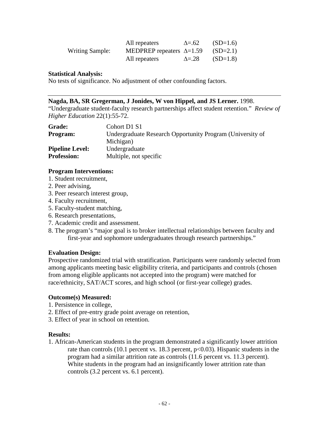|                        | All repeaters                   | $\Delta = .62$ | $(SD=1.6)$ |
|------------------------|---------------------------------|----------------|------------|
| <b>Writing Sample:</b> | MEDPREP repeaters $\Delta=1.59$ |                | $(SD=2.1)$ |
|                        | All repeaters                   | $\Delta = 28$  | $(SD=1.8)$ |

No tests of significance. No adjustment of other confounding factors.

#### **Nagda, BA, SR Gregerman, J Jonides, W von Hippel, and JS Lerner.** 1998.

"Undergraduate student-faculty research partnerships affect student retention." *Review of Higher Education* 22(1):55-72.

| <b>Grade:</b>          | Cohort D1 S1                                              |
|------------------------|-----------------------------------------------------------|
| <b>Program:</b>        | Undergraduate Research Opportunity Program (University of |
|                        | Michigan)                                                 |
| <b>Pipeline Level:</b> | Undergraduate                                             |
| <b>Profession:</b>     | Multiple, not specific                                    |

### **Program Interventions:**

- 1. Student recruitment,
- 2. Peer advising,
- 3. Peer research interest group,
- 4. Faculty recruitment,
- 5. Faculty-student matching,
- 6. Research presentations,
- 7. Academic credit and assessment.
- 8. The program's "major goal is to broker intellectual relationships between faculty and first-year and sophomore undergraduates through research partnerships."

### **Evaluation Design:**

Prospective randomized trial with stratification. Participants were randomly selected from among applicants meeting basic eligibility criteria, and participants and controls (chosen from among eligible applicants not accepted into the program) were matched for race/ethnicity, SAT/ACT scores, and high school (or first-year college) grades.

#### **Outcome(s) Measured:**

- 1. Persistence in college,
- 2. Effect of pre-entry grade point average on retention,
- 3. Effect of year in school on retention.

#### **Results:**

1. African-American students in the program demonstrated a significantly lower attrition rate than controls (10.1 percent vs. 18.3 percent,  $p<0.03$ ). Hispanic students in the program had a similar attrition rate as controls (11.6 percent vs. 11.3 percent). White students in the program had an insignificantly lower attrition rate than controls (3.2 percent vs. 6.1 percent).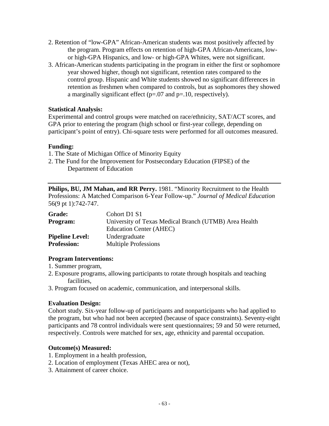- 2. Retention of "low-GPA" African-American students was most positively affected by the program. Program effects on retention of high-GPA African-Americans, lowor high-GPA Hispanics, and low- or high-GPA Whites, were not significant.
- 3. African-American students participating in the program in either the first or sophomore year showed higher, though not significant, retention rates compared to the control group. Hispanic and White students showed no significant differences in retention as freshmen when compared to controls, but as sophomores they showed a marginally significant effect ( $p=0.07$  and  $p=0.10$ , respectively).

Experimental and control groups were matched on race/ethnicity, SAT/ACT scores, and GPA prior to entering the program (high school or first-year college, depending on participant's point of entry). Chi-square tests were performed for all outcomes measured.

### **Funding:**

- 1. The State of Michigan Office of Minority Equity
- 2. The Fund for the Improvement for Postsecondary Education (FIPSE) of the Department of Education

**Philips, BU, JM Mahan, and RR Perry.** 1981. "Minority Recruitment to the Health Professions: A Matched Comparison 6-Year Follow-up." *Journal of Medical Education* 56(9 pt 1):742-747.

| <b>Grade:</b>          | Cohort D1 S1                                          |
|------------------------|-------------------------------------------------------|
| Program:               | University of Texas Medical Branch (UTMB) Area Health |
|                        | Education Center (AHEC)                               |
| <b>Pipeline Level:</b> | Undergraduate                                         |
| <b>Profession:</b>     | <b>Multiple Professions</b>                           |

### **Program Interventions:**

- 1. Summer program,
- 2. Exposure programs, allowing participants to rotate through hospitals and teaching facilities,
- 3. Program focused on academic, communication, and interpersonal skills.

### **Evaluation Design:**

Cohort study. Six-year follow-up of participants and nonparticipants who had applied to the program, but who had not been accepted (because of space constraints). Seventy-eight participants and 78 control individuals were sent questionnaires; 59 and 50 were returned, respectively. Controls were matched for sex, age, ethnicity and parental occupation.

#### **Outcome(s) Measured:**

- 1. Employment in a health profession,
- 2. Location of employment (Texas AHEC area or not),
- 3. Attainment of career choice.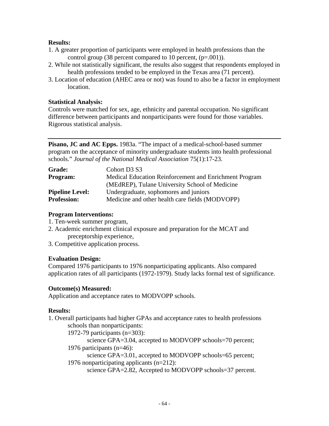### **Results:**

- 1. A greater proportion of participants were employed in health professions than the control group (38 percent compared to 10 percent,  $(p=.001)$ ).
- 2. While not statistically significant, the results also suggest that respondents employed in health professions tended to be employed in the Texas area (71 percent).
- 3. Location of education (AHEC area or not) was found to also be a factor in employment location.

#### **Statistical Analysis:**

Controls were matched for sex, age, ethnicity and parental occupation. No significant difference between participants and nonparticipants were found for those variables. Rigorous statistical analysis.

**Pisano, JC and AC Epps.** 1983a. "The impact of a medical-school-based summer program on the acceptance of minority undergraduate students into health professional schools." *Journal of the National Medical Association* 75(1):17-23.

| <b>Grade:</b>          | Cohort D3 S3                                           |
|------------------------|--------------------------------------------------------|
| <b>Program:</b>        | Medical Education Reinforcement and Enrichment Program |
|                        | (MEdREP), Tulane University School of Medicine         |
| <b>Pipeline Level:</b> | Undergraduate, sophomores and juniors                  |
| <b>Profession:</b>     | Medicine and other health care fields (MODVOPP)        |

#### **Program Interventions:**

- 1. Ten-week summer program,
- 2. Academic enrichment clinical exposure and preparation for the MCAT and preceptorship experience,
- 3. Competitive application process.

### **Evaluation Design:**

Compared 1976 participants to 1976 nonparticipating applicants. Also compared application rates of all participants (1972-1979). Study lacks formal test of significance.

### **Outcome(s) Measured:**

Application and acceptance rates to MODVOPP schools.

### **Results:**

- 1. Overall participants had higher GPAs and acceptance rates to health professions schools than nonparticipants:
	- 1972-79 participants (n=303):

science GPA=3.04, accepted to MODVOPP schools=70 percent;

1976 participants (n=46):

science GPA=3.01, accepted to MODVOPP schools=65 percent; 1976 nonparticipating applicants (n=212):

science GPA=2.82, Accepted to MODVOPP schools=37 percent.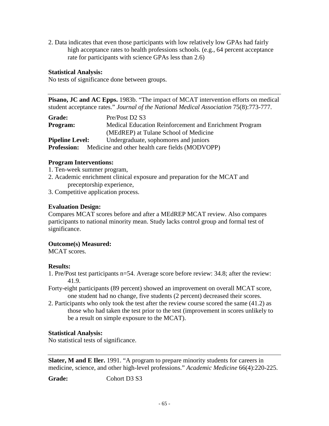2. Data indicates that even those participants with low relatively low GPAs had fairly high acceptance rates to health professions schools. (e.g., 64 percent acceptance rate for participants with science GPAs less than 2.6)

#### **Statistical Analysis:**

No tests of significance done between groups.

**Pisano, JC and AC Epps.** 1983b. "The impact of MCAT intervention efforts on medical student acceptance rates." *Journal of the National Medical Association* 75(8):773-777.

| <b>Grade:</b>          | Pre/Post D2 S3                                         |
|------------------------|--------------------------------------------------------|
| Program:               | Medical Education Reinforcement and Enrichment Program |
|                        | (MEdREP) at Tulane School of Medicine                  |
| <b>Pipeline Level:</b> | Undergraduate, sophomores and juniors                  |
| <b>Profession:</b>     | Medicine and other health care fields (MODVOPP)        |

### **Program Interventions:**

- 1. Ten-week summer program,
- 2. Academic enrichment clinical exposure and preparation for the MCAT and preceptorship experience,
- 3. Competitive application process.

### **Evaluation Design:**

Compares MCAT scores before and after a MEdREP MCAT review. Also compares participants to national minority mean. Study lacks control group and formal test of significance.

### **Outcome(s) Measured:**

MCAT scores.

### **Results:**

- 1. Pre/Post test participants n=54. Average score before review: 34.8; after the review: 41.9.
- Forty-eight participants (89 percent) showed an improvement on overall MCAT score, one student had no change, five students (2 percent) decreased their scores.
- 2. Participants who only took the test after the review course scored the same (41.2) as those who had taken the test prior to the test (improvement in scores unlikely to be a result on simple exposure to the MCAT).

### **Statistical Analysis:**

No statistical tests of significance.

**Slater, M and E Iler.** 1991. "A program to prepare minority students for careers in medicine, science, and other high-level professions." *Academic Medicine* 66(4):220-225.

Grade: Cohort D3 S3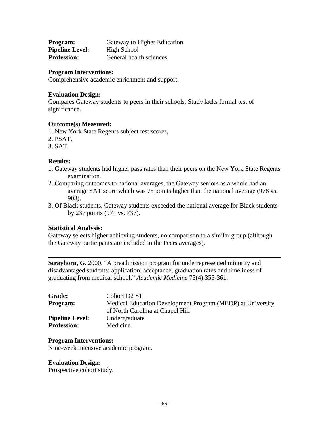| Program:               | Gateway to Higher Education |
|------------------------|-----------------------------|
| <b>Pipeline Level:</b> | High School                 |
| <b>Profession:</b>     | General health sciences     |

#### **Program Interventions:**

Comprehensive academic enrichment and support.

#### **Evaluation Design:**

Compares Gateway students to peers in their schools. Study lacks formal test of significance.

#### **Outcome(s) Measured:**

1. New York State Regents subject test scores,

- 2. PSAT,
- 3. SAT.

#### **Results:**

- 1. Gateway students had higher pass rates than their peers on the New York State Regents examination.
- 2. Comparing outcomes to national averages, the Gateway seniors as a whole had an average SAT score which was 75 points higher than the national average (978 vs. 903).
- 3. Of Black students, Gateway students exceeded the national average for Black students by 237 points (974 vs. 737).

#### **Statistical Analysis:**

Gateway selects higher achieving students, no comparison to a similar group (although the Gateway participants are included in the Peers averages).

**Strayhorn, G.** 2000. "A preadmission program for underrepresented minority and disadvantaged students: application, acceptance, graduation rates and timeliness of graduating from medical school." *Academic Medicine* 75(4):355-361.

| <b>Grade:</b>          | Cohort D <sub>2</sub> S <sub>1</sub>                       |
|------------------------|------------------------------------------------------------|
| <b>Program:</b>        | Medical Education Development Program (MEDP) at University |
|                        | of North Carolina at Chapel Hill                           |
| <b>Pipeline Level:</b> | Undergraduate                                              |
| <b>Profession:</b>     | Medicine                                                   |

#### **Program Interventions:**

Nine-week intensive academic program.

#### **Evaluation Design:**

Prospective cohort study.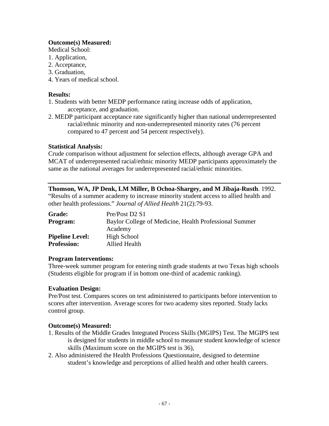### **Outcome(s) Measured:**

Medical School:

- 1. Application,
- 2. Acceptance,
- 3. Graduation,
- 4. Years of medical school.

### **Results:**

- 1. Students with better MEDP performance rating increase odds of application, acceptance, and graduation.
- 2. MEDP participant acceptance rate significantly higher than national underrepresented racial/ethnic minority and non-underrepresented minority rates (76 percent compared to 47 percent and 54 percent respectively).

### **Statistical Analysis:**

Crude comparison without adjustment for selection effects, although average GPA and MCAT of underrepresented racial/ethnic minority MEDP participants approximately the same as the national averages for underrepresented racial/ethnic minorities.

### **Thomson, WA, JP Denk, LM Miller, B Ochoa-Shargey, and M Jibaja-Rusth**. 1992.

"Results of a summer academy to increase minority student access to allied health and other health professions." *Journal of Allied Health* 21(2):79-93.

| <b>Grade:</b>          | Pre/Post D2 S1                                         |
|------------------------|--------------------------------------------------------|
| <b>Program:</b>        | Baylor College of Medicine, Health Professional Summer |
|                        | Academy                                                |
| <b>Pipeline Level:</b> | High School                                            |
| <b>Profession:</b>     | Allied Health                                          |

### **Program Interventions:**

Three-week summer program for entering ninth grade students at two Texas high schools (Students eligible for program if in bottom one-third of academic ranking).

## **Evaluation Design:**

Pre/Post test. Compares scores on test administered to participants before intervention to scores after intervention. Average scores for two academy sites reported. Study lacks control group.

## **Outcome(s) Measured:**

- 1. Results of the Middle Grades Integrated Process Skills (MGIPS) Test. The MGIPS test is designed for students in middle school to measure student knowledge of science skills (Maximum score on the MGIPS test is 36),
- 2. Also administered the Health Professions Questionnaire, designed to determine student's knowledge and perceptions of allied health and other health careers.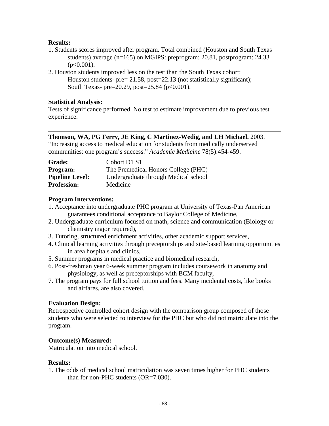### **Results:**

- 1. Students scores improved after program. Total combined (Houston and South Texas students) average (n=165) on MGIPS: preprogram: 20.81, postprogram: 24.33  $(p<0.001)$ .
- 2. Houston students improved less on the test than the South Texas cohort: Houston students- pre= 21.58, post=22.13 (not statistically significant); South Texas- pre=20.29, post=25.84 ( $p<0.001$ ).

#### **Statistical Analysis:**

Tests of significance performed. No test to estimate improvement due to previous test experience.

#### **Thomson, WA, PG Ferry, JE King, C Martinez-Wedig, and LH Michael.** 2003.

"Increasing access to medical education for students from medically underserved communities: one program's success." *Academic Medicine* 78(5):454-459.

| <b>Grade:</b>          | Cohort D1 S1                         |
|------------------------|--------------------------------------|
| <b>Program:</b>        | The Premedical Honors College (PHC)  |
| <b>Pipeline Level:</b> | Undergraduate through Medical school |
| <b>Profession:</b>     | Medicine                             |

### **Program Interventions:**

- 1. Acceptance into undergraduate PHC program at University of Texas-Pan American guarantees conditional acceptance to Baylor College of Medicine,
- 2. Undergraduate curriculum focused on math, science and communication (Biology or chemistry major required),
- 3. Tutoring, structured enrichment activities, other academic support services,
- 4. Clinical learning activities through preceptorships and site-based learning opportunities in area hospitals and clinics,
- 5. Summer programs in medical practice and biomedical research,
- 6. Post-freshman year 6-week summer program includes coursework in anatomy and physiology, as well as preceptorships with BCM faculty,
- 7. The program pays for full school tuition and fees. Many incidental costs, like books and airfares, are also covered.

### **Evaluation Design:**

Retrospective controlled cohort design with the comparison group composed of those students who were selected to interview for the PHC but who did not matriculate into the program.

### **Outcome(s) Measured:**

Matriculation into medical school.

#### **Results:**

1. The odds of medical school matriculation was seven times higher for PHC students than for non-PHC students (OR=7.030).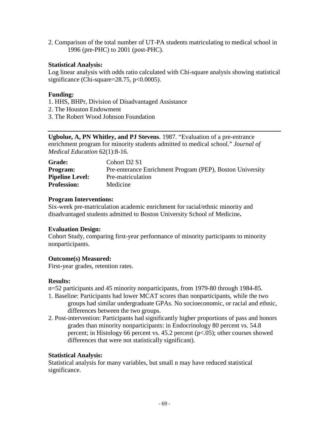2. Comparison of the total number of UT-PA students matriculating to medical school in 1996 (pre-PHC) to 2001 (post-PHC).

#### **Statistical Analysis:**

Log linear analysis with odds ratio calculated with Chi-square analysis showing statistical significance (Chi-square= $28.75$ , p $<0.0005$ ).

### **Funding:**

- 1. HHS, BHPr, Division of Disadvantaged Assistance
- 2. The Houston Endowment
- 3. The Robert Wood Johnson Foundation

**Ugbolue, A, PN Whitley, and PJ Stevens**. 1987. "Evaluation of a pre-entrance enrichment program for minority students admitted to medical school." *Journal of Medical Education* 62(1):8-16.

| <b>Grade:</b>          | Cohort D <sub>2</sub> S <sub>1</sub>                      |
|------------------------|-----------------------------------------------------------|
| <b>Program:</b>        | Pre-enterance Enrichment Program (PEP), Boston University |
| <b>Pipeline Level:</b> | Pre-matriculation                                         |
| <b>Profession:</b>     | Medicine                                                  |

#### **Program Interventions:**

Six-week pre-matriculation academic enrichment for racial/ethnic minority and disadvantaged students admitted to Boston University School of Medicine**.**

# **Evaluation Design:**

Cohort Study, comparing first-year performance of minority participants to minority nonparticipants.

# **Outcome(s) Measured:**

First-year grades, retention rates.

#### **Results:**

n=52 participants and 45 minority nonparticipants, from 1979-80 through 1984-85.

- 1. Baseline: Participants had lower MCAT scores than nonparticipants, while the two groups had similar undergraduate GPAs. No socioeconomic, or racial and ethnic, differences between the two groups.
- 2. Post-intervention: Participants had significantly higher proportions of pass and honors grades than minority nonparticipants: in Endocrinology 80 percent vs. 54.8 percent; in Histology 66 percent vs. 45.2 percent  $(p<.05)$ ; other courses showed differences that were not statistically significant).

# **Statistical Analysis:**

Statistical analysis for many variables, but small n may have reduced statistical significance.